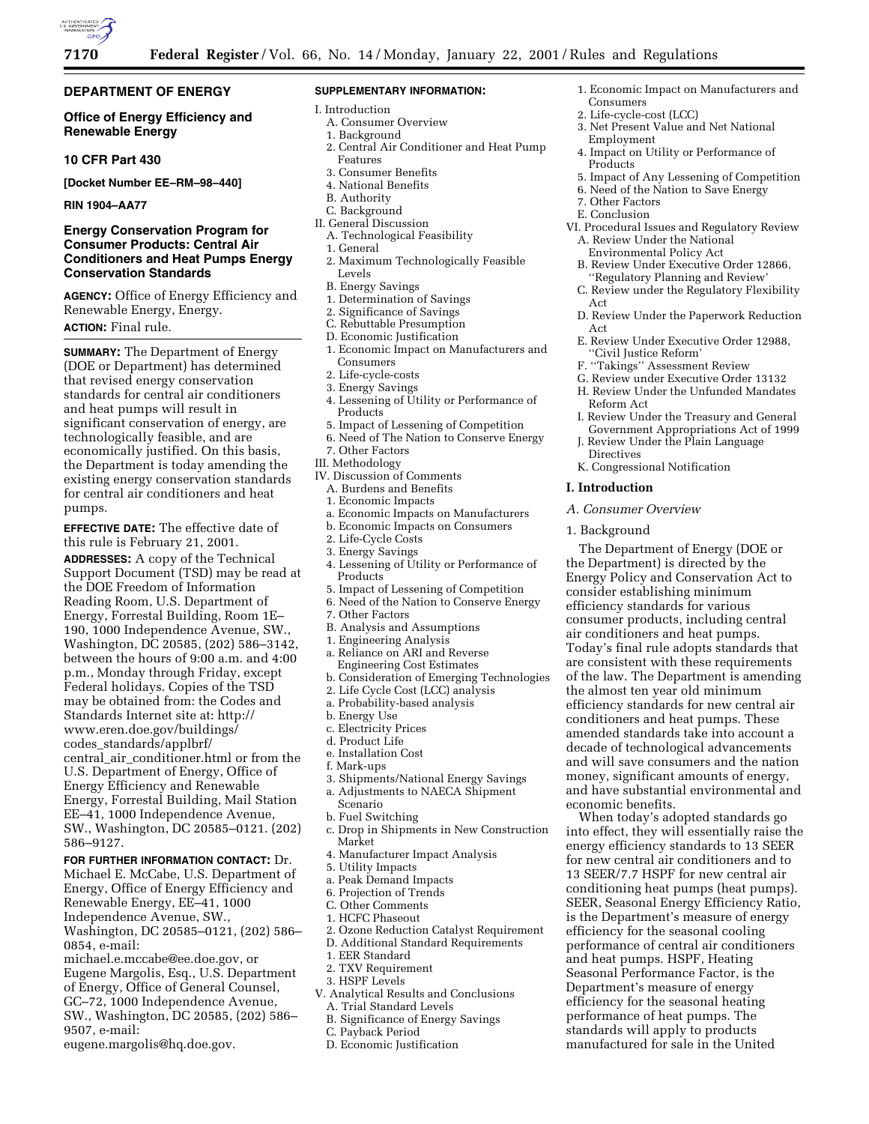

# **DEPARTMENT OF ENERGY**

# **Office of Energy Efficiency and Renewable Energy**

# **10 CFR Part 430**

**[Docket Number EE–RM–98–440]**

#### **RIN 1904–AA77**

# **Energy Conservation Program for Consumer Products: Central Air Conditioners and Heat Pumps Energy Conservation Standards**

**AGENCY:** Office of Energy Efficiency and Renewable Energy, Energy. **ACTION:** Final rule.

# **SUMMARY:** The Department of Energy (DOE or Department) has determined that revised energy conservation standards for central air conditioners and heat pumps will result in significant conservation of energy, are technologically feasible, and are economically justified. On this basis, the Department is today amending the existing energy conservation standards for central air conditioners and heat pumps.

**EFFECTIVE DATE:** The effective date of this rule is February 21, 2001.

**ADDRESSES:** A copy of the Technical Support Document (TSD) may be read at the DOE Freedom of Information Reading Room, U.S. Department of Energy, Forrestal Building, Room 1E– 190, 1000 Independence Avenue, SW., Washington, DC 20585, (202) 586–3142, between the hours of 9:00 a.m. and 4:00 p.m., Monday through Friday, except Federal holidays. Copies of the TSD may be obtained from: the Codes and Standards Internet site at: http:// www.eren.doe.gov/buildings/ codes\_standards/applbrf/ central\_air\_conditioner.html or from the U.S. Department of Energy, Office of Energy Efficiency and Renewable Energy, Forrestal Building, Mail Station EE–41, 1000 Independence Avenue, SW., Washington, DC 20585–0121. (202) 586–9127.

# **FOR FURTHER INFORMATION CONTACT:** Dr.

Michael E. McCabe, U.S. Department of Energy, Office of Energy Efficiency and Renewable Energy, EE–41, 1000 Independence Avenue, SW., Washington, DC 20585–0121, (202) 586– 0854, e-mail:

michael.e.mccabe@ee.doe.gov, or Eugene Margolis, Esq., U.S. Department of Energy, Office of General Counsel, GC–72, 1000 Independence Avenue, SW., Washington, DC 20585, (202) 586– 9507, e-mail:

eugene.margolis@hq.doe.gov.

#### **SUPPLEMENTARY INFORMATION:**

- I. Introduction
- A. Consumer Overview
- 1. Background
- 2. Central Air Conditioner and Heat Pump Features
- 3. Consumer Benefits
- 4. National Benefits
- B. Authority
- C. Background
- II. General Discussion A. Technological Feasibility
	- 1. General
	- 2. Maximum Technologically Feasible Levels
	- B. Energy Savings
- 1. Determination of Savings
- 2. Significance of Savings
- C. Rebuttable Presumption
- D. Economic Justification
- 1. Economic Impact on Manufacturers and Consumers
- 2. Life-cycle-costs
- 3. Energy Savings
- 4. Lessening of Utility or Performance of Products
- 5. Impact of Lessening of Competition
- 6. Need of The Nation to Conserve Energy
- 7. Other Factors
- III. Methodology
- IV. Discussion of Comments
- A. Burdens and Benefits
- 1. Economic Impacts
- a. Economic Impacts on Manufacturers
- b. Economic Impacts on Consumers
- 2. Life-Cycle Costs 3. Energy Savings
- 4. Lessening of Utility or Performance of Products
- 5. Impact of Lessening of Competition
- 6. Need of the Nation to Conserve Energy
- 7. Other Factors
- B. Analysis and Assumptions
- 1. Engineering Analysis
- a. Reliance on ARI and Reverse Engineering Cost Estimates
- b. Consideration of Emerging Technologies
- 2. Life Cycle Cost (LCC) analysis
- a. Probability-based analysis
- b. Energy Use
- c. Electricity Prices
- d. Product Life
- e. Installation Cost
- f. Mark-ups
- 3. Shipments/National Energy Savings
- a. Adjustments to NAECA Shipment
- Scenario
- b. Fuel Switching
- c. Drop in Shipments in New Construction Market
- 4. Manufacturer Impact Analysis
- 5. Utility Impacts
- a. Peak Demand Impacts
- 6. Projection of Trends
- C. Other Comments
- 1. HCFC Phaseout
- 2. Ozone Reduction Catalyst Requirement
- D. Additional Standard Requirements
- 1. EER Standard
- 2. TXV Requirement
- 3. HSPF Levels
- V. Analytical Results and Conclusions
- A. Trial Standard Levels
- B. Significance of Energy Savings
- C. Payback Period
- D. Economic Justification
- 1. Economic Impact on Manufacturers and
- Consumers 2. Life-cycle-cost (LCC)
- 3. Net Present Value and Net National
- Employment
- 4. Impact on Utility or Performance of Products
- 5. Impact of Any Lessening of Competition
- 6. Need of the Nation to Save Energy
- 7. Other Factors

Reform Act

Directives

**I. Introduction**

1. Background

economic benefits.

*A. Consumer Overview*

- E. Conclusion
- VI. Procedural Issues and Regulatory Review A. Review Under the National
- Environmental Policy Act B. Review Under Executive Order 12866,
- 'Regulatory Planning and Review
- C. Review under the Regulatory Flexibility Act
- D. Review Under the Paperwork Reduction Act
- E. Review Under Executive Order 12988, ''Civil Justice Reform'
- F. ''Takings'' Assessment Review

K. Congressional Notification

G. Review under Executive Order 13132 H. Review Under the Unfunded Mandates

I. Review Under the Treasury and General Government Appropriations Act of 1999 J. Review Under the Plain Language

The Department of Energy (DOE or the Department) is directed by the Energy Policy and Conservation Act to consider establishing minimum efficiency standards for various consumer products, including central air conditioners and heat pumps. Today's final rule adopts standards that are consistent with these requirements of the law. The Department is amending the almost ten year old minimum efficiency standards for new central air conditioners and heat pumps. These amended standards take into account a decade of technological advancements and will save consumers and the nation money, significant amounts of energy, and have substantial environmental and

When today's adopted standards go into effect, they will essentially raise the energy efficiency standards to 13 SEER for new central air conditioners and to 13 SEER/7.7 HSPF for new central air conditioning heat pumps (heat pumps). SEER, Seasonal Energy Efficiency Ratio, is the Department's measure of energy efficiency for the seasonal cooling performance of central air conditioners and heat pumps. HSPF, Heating Seasonal Performance Factor, is the Department's measure of energy efficiency for the seasonal heating performance of heat pumps. The standards will apply to products manufactured for sale in the United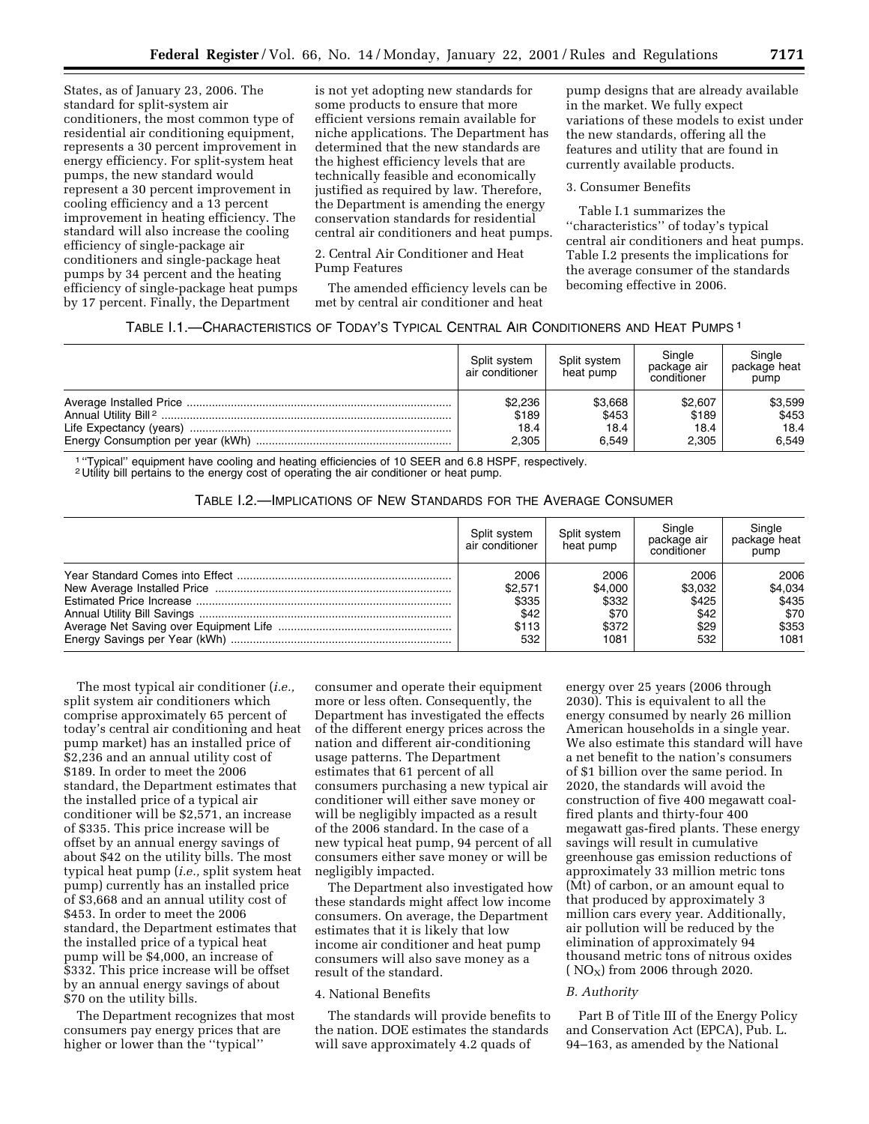States, as of January 23, 2006. The standard for split-system air conditioners, the most common type of residential air conditioning equipment, represents a 30 percent improvement in energy efficiency. For split-system heat pumps, the new standard would represent a 30 percent improvement in cooling efficiency and a 13 percent improvement in heating efficiency. The standard will also increase the cooling efficiency of single-package air conditioners and single-package heat pumps by 34 percent and the heating efficiency of single-package heat pumps by 17 percent. Finally, the Department

is not yet adopting new standards for some products to ensure that more efficient versions remain available for niche applications. The Department has determined that the new standards are the highest efficiency levels that are technically feasible and economically justified as required by law. Therefore, the Department is amending the energy conservation standards for residential central air conditioners and heat pumps.

2. Central Air Conditioner and Heat Pump Features

The amended efficiency levels can be met by central air conditioner and heat

pump designs that are already available in the market. We fully expect variations of these models to exist under the new standards, offering all the features and utility that are found in currently available products.

## 3. Consumer Benefits

Table I.1 summarizes the ''characteristics'' of today's typical central air conditioners and heat pumps. Table I.2 presents the implications for the average consumer of the standards becoming effective in 2006.

# TABLE I.1.—CHARACTERISTICS OF TODAY'S TYPICAL CENTRAL AIR CONDITIONERS AND HEAT PUMPS 1

| Split svstem<br>air conditioner | Split system<br>heat pump | Single<br>package air<br>conditioner | Single<br>package heat<br>pump |
|---------------------------------|---------------------------|--------------------------------------|--------------------------------|
| \$2,236                         | \$3,668                   | \$2,607                              | \$3,599                        |
| \$189                           | \$453                     | \$189                                | \$453                          |
| 18.4                            | 18.4                      | 18.4                                 | 18.4                           |
| 2.305                           | 6.549                     | 2.305                                | 6.549                          |

1 ''Typical'' equipment have cooling and heating efficiencies of 10 SEER and 6.8 HSPF, respectively.

2 Utility bill pertains to the energy cost of operating the air conditioner or heat pump.

# TABLE I.2.—IMPLICATIONS OF NEW STANDARDS FOR THE AVERAGE CONSUMER

| Split system<br>air conditioner | Split system<br>heat pump | Single<br>package air<br>conditioner | Single<br>package heat<br>pump |
|---------------------------------|---------------------------|--------------------------------------|--------------------------------|
| 2006                            | 2006                      | 2006                                 | 2006                           |
| \$2.571                         | \$4.000                   | \$3.032                              | \$4,034                        |
| \$335                           | \$332                     | \$425                                | \$435                          |
| \$42                            | \$70                      | \$42                                 | \$70                           |
| \$113                           | \$372                     | \$29                                 | \$353                          |
| 532                             | 1081                      | 532                                  | 1081                           |

The most typical air conditioner (*i.e.,* split system air conditioners which comprise approximately 65 percent of today's central air conditioning and heat pump market) has an installed price of \$2,236 and an annual utility cost of \$189. In order to meet the 2006 standard, the Department estimates that the installed price of a typical air conditioner will be \$2,571, an increase of \$335. This price increase will be offset by an annual energy savings of about \$42 on the utility bills. The most typical heat pump (*i.e.,* split system heat pump) currently has an installed price of \$3,668 and an annual utility cost of \$453. In order to meet the 2006 standard, the Department estimates that the installed price of a typical heat pump will be \$4,000, an increase of \$332. This price increase will be offset by an annual energy savings of about \$70 on the utility bills.

The Department recognizes that most consumers pay energy prices that are higher or lower than the ''typical''

consumer and operate their equipment more or less often. Consequently, the Department has investigated the effects of the different energy prices across the nation and different air-conditioning usage patterns. The Department estimates that 61 percent of all consumers purchasing a new typical air conditioner will either save money or will be negligibly impacted as a result of the 2006 standard. In the case of a new typical heat pump, 94 percent of all consumers either save money or will be negligibly impacted.

The Department also investigated how these standards might affect low income consumers. On average, the Department estimates that it is likely that low income air conditioner and heat pump consumers will also save money as a result of the standard.

# 4. National Benefits

The standards will provide benefits to the nation. DOE estimates the standards will save approximately 4.2 quads of

energy over 25 years (2006 through 2030). This is equivalent to all the energy consumed by nearly 26 million American households in a single year. We also estimate this standard will have a net benefit to the nation's consumers of \$1 billion over the same period. In 2020, the standards will avoid the construction of five 400 megawatt coalfired plants and thirty-four 400 megawatt gas-fired plants. These energy savings will result in cumulative greenhouse gas emission reductions of approximately 33 million metric tons (Mt) of carbon, or an amount equal to that produced by approximately 3 million cars every year. Additionally, air pollution will be reduced by the elimination of approximately 94 thousand metric tons of nitrous oxides ( $NO<sub>X</sub>$ ) from 2006 through 2020.

#### *B. Authority*

Part B of Title III of the Energy Policy and Conservation Act (EPCA), Pub. L. 94–163, as amended by the National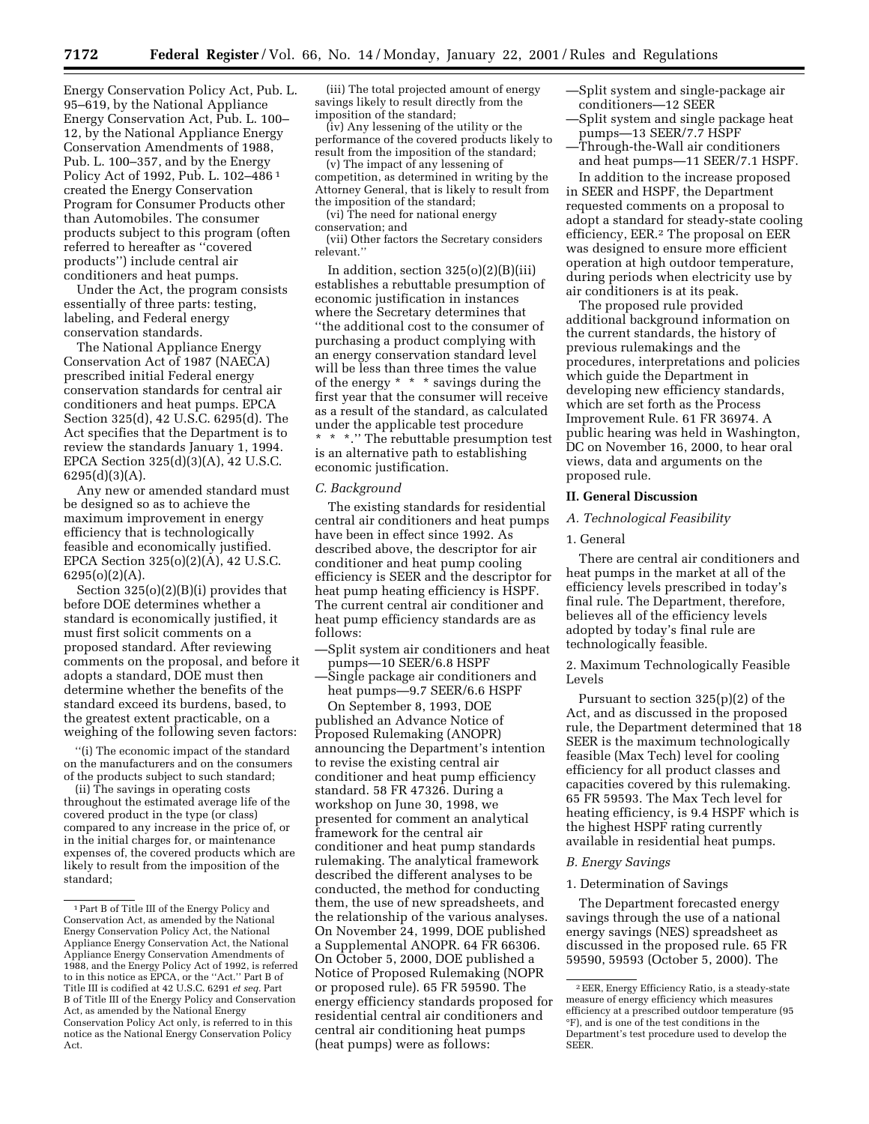Energy Conservation Policy Act, Pub. L. 95–619, by the National Appliance Energy Conservation Act, Pub. L. 100– 12, by the National Appliance Energy Conservation Amendments of 1988, Pub. L. 100–357, and by the Energy Policy Act of 1992, Pub. L. 102–486 1 created the Energy Conservation Program for Consumer Products other than Automobiles. The consumer products subject to this program (often referred to hereafter as ''covered products'') include central air conditioners and heat pumps.

Under the Act, the program consists essentially of three parts: testing, labeling, and Federal energy conservation standards.

The National Appliance Energy Conservation Act of 1987 (NAECA) prescribed initial Federal energy conservation standards for central air conditioners and heat pumps. EPCA Section 325(d), 42 U.S.C. 6295(d). The Act specifies that the Department is to review the standards January 1, 1994. EPCA Section 325(d)(3)(A), 42 U.S.C. 6295(d)(3)(A).

Any new or amended standard must be designed so as to achieve the maximum improvement in energy efficiency that is technologically feasible and economically justified. EPCA Section 325(o)(2)(A), 42 U.S.C. 6295(o)(2)(A).

Section 325(o)(2)(B)(i) provides that before DOE determines whether a standard is economically justified, it must first solicit comments on a proposed standard. After reviewing comments on the proposal, and before it adopts a standard, DOE must then determine whether the benefits of the standard exceed its burdens, based, to the greatest extent practicable, on a weighing of the following seven factors:

''(i) The economic impact of the standard on the manufacturers and on the consumers of the products subject to such standard;

(ii) The savings in operating costs throughout the estimated average life of the covered product in the type (or class) compared to any increase in the price of, or in the initial charges for, or maintenance expenses of, the covered products which are likely to result from the imposition of the standard;

(iii) The total projected amount of energy savings likely to result directly from the imposition of the standard;

(iv) Any lessening of the utility or the performance of the covered products likely to result from the imposition of the standard;

(v) The impact of any lessening of competition, as determined in writing by the Attorney General, that is likely to result from the imposition of the standard;

(vi) The need for national energy conservation; and

(vii) Other factors the Secretary considers relevant.''

In addition, section  $325(o)(2)(B)(iii)$ establishes a rebuttable presumption of economic justification in instances where the Secretary determines that ''the additional cost to the consumer of purchasing a product complying with an energy conservation standard level will be less than three times the value of the energy \* \* \* savings during the first year that the consumer will receive as a result of the standard, as calculated under the applicable test procedure \* \* \*.'' The rebuttable presumption test is an alternative path to establishing economic justification.

#### *C. Background*

The existing standards for residential central air conditioners and heat pumps have been in effect since 1992. As described above, the descriptor for air conditioner and heat pump cooling efficiency is SEER and the descriptor for heat pump heating efficiency is HSPF. The current central air conditioner and heat pump efficiency standards are as follows:

—Split system air conditioners and heat pumps—10 SEER/6.8 HSPF

—Single package air conditioners and heat pumps—9.7 SEER/6.6 HSPF

On September 8, 1993, DOE published an Advance Notice of Proposed Rulemaking (ANOPR) announcing the Department's intention to revise the existing central air conditioner and heat pump efficiency standard. 58 FR 47326. During a workshop on June 30, 1998, we presented for comment an analytical framework for the central air conditioner and heat pump standards rulemaking. The analytical framework described the different analyses to be conducted, the method for conducting them, the use of new spreadsheets, and the relationship of the various analyses. On November 24, 1999, DOE published a Supplemental ANOPR. 64 FR 66306. On October 5, 2000, DOE published a Notice of Proposed Rulemaking (NOPR or proposed rule). 65 FR 59590. The energy efficiency standards proposed for residential central air conditioners and central air conditioning heat pumps (heat pumps) were as follows:

- —Split system and single-package air conditioners—12 SEER
- —Split system and single package heat pumps—13 SEER/7.7 HSPF
- —Through-the-Wall air conditioners and heat pumps—11 SEER/7.1 HSPF.

In addition to the increase proposed in SEER and HSPF, the Department requested comments on a proposal to adopt a standard for steady-state cooling efficiency, EER.2 The proposal on EER was designed to ensure more efficient operation at high outdoor temperature, during periods when electricity use by air conditioners is at its peak.

The proposed rule provided additional background information on the current standards, the history of previous rulemakings and the procedures, interpretations and policies which guide the Department in developing new efficiency standards, which are set forth as the Process Improvement Rule. 61 FR 36974. A public hearing was held in Washington, DC on November 16, 2000, to hear oral views, data and arguments on the proposed rule.

## **II. General Discussion**

# *A. Technological Feasibility*

## 1. General

There are central air conditioners and heat pumps in the market at all of the efficiency levels prescribed in today's final rule. The Department, therefore, believes all of the efficiency levels adopted by today's final rule are technologically feasible.

2. Maximum Technologically Feasible Levels

Pursuant to section 325(p)(2) of the Act, and as discussed in the proposed rule, the Department determined that 18 SEER is the maximum technologically feasible (Max Tech) level for cooling efficiency for all product classes and capacities covered by this rulemaking. 65 FR 59593. The Max Tech level for heating efficiency, is 9.4 HSPF which is the highest HSPF rating currently available in residential heat pumps.

#### *B. Energy Savings*

## 1. Determination of Savings

The Department forecasted energy savings through the use of a national energy savings (NES) spreadsheet as discussed in the proposed rule. 65 FR 59590, 59593 (October 5, 2000). The

<sup>1</sup>Part B of Title III of the Energy Policy and Conservation Act, as amended by the National Energy Conservation Policy Act, the National Appliance Energy Conservation Act, the National Appliance Energy Conservation Amendments of 1988, and the Energy Policy Act of 1992, is referred to in this notice as EPCA, or the ''Act.'' Part B of Title III is codified at 42 U.S.C. 6291 *et seq.* Part B of Title III of the Energy Policy and Conservation Act, as amended by the National Energy Conservation Policy Act only, is referred to in this notice as the National Energy Conservation Policy Act.

<sup>2</sup>EER, Energy Efficiency Ratio, is a steady-state measure of energy efficiency which measures efficiency at a prescribed outdoor temperature (95 °F), and is one of the test conditions in the Department's test procedure used to develop the SEER.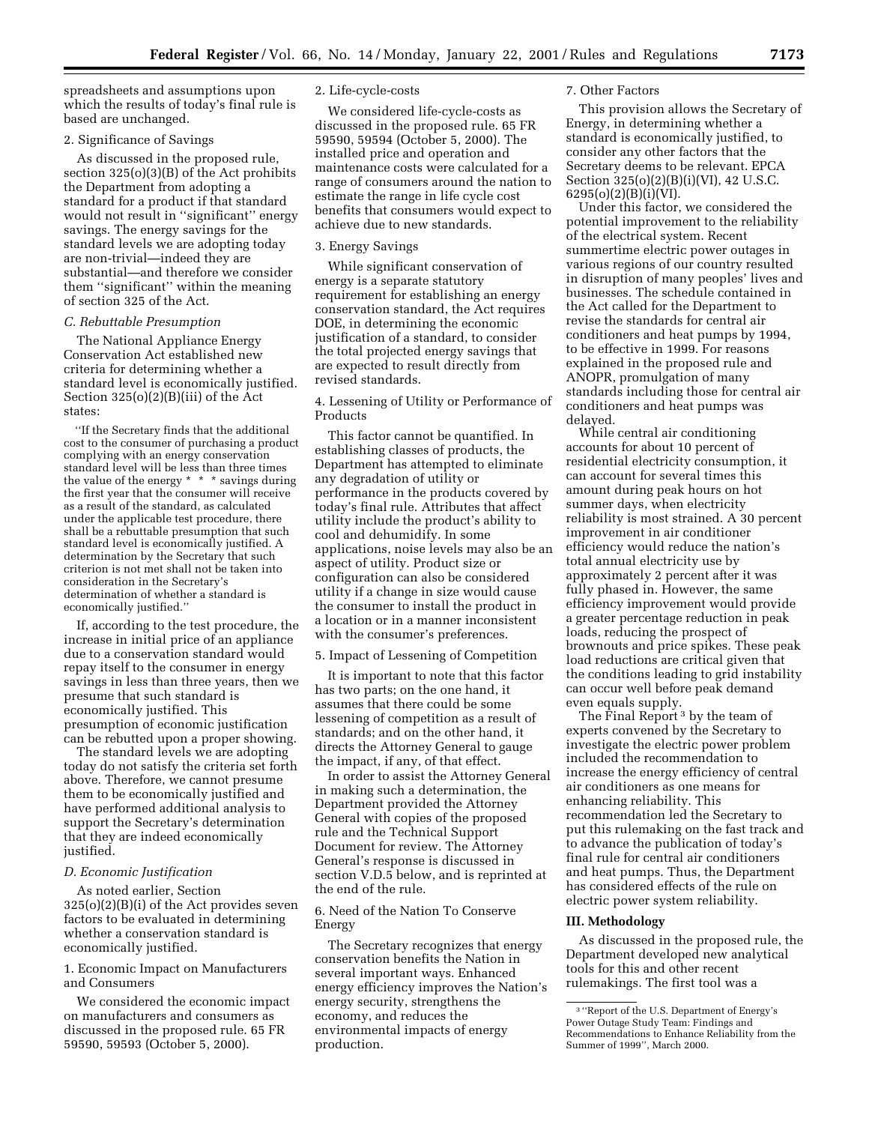spreadsheets and assumptions upon which the results of today's final rule is based are unchanged.

## 2. Significance of Savings

As discussed in the proposed rule, section 325(o)(3)(B) of the Act prohibits the Department from adopting a standard for a product if that standard would not result in ''significant'' energy savings. The energy savings for the standard levels we are adopting today are non-trivial—indeed they are substantial—and therefore we consider them ''significant'' within the meaning of section 325 of the Act.

#### *C. Rebuttable Presumption*

The National Appliance Energy Conservation Act established new criteria for determining whether a standard level is economically justified. Section 325(o)(2)(B)(iii) of the Act states:

''If the Secretary finds that the additional cost to the consumer of purchasing a product complying with an energy conservation standard level will be less than three times the value of the energy \* \* \* savings during the first year that the consumer will receive as a result of the standard, as calculated under the applicable test procedure, there shall be a rebuttable presumption that such standard level is economically justified. A determination by the Secretary that such criterion is not met shall not be taken into consideration in the Secretary's determination of whether a standard is economically justified.''

If, according to the test procedure, the increase in initial price of an appliance due to a conservation standard would repay itself to the consumer in energy savings in less than three years, then we presume that such standard is economically justified. This presumption of economic justification can be rebutted upon a proper showing.

The standard levels we are adopting today do not satisfy the criteria set forth above. Therefore, we cannot presume them to be economically justified and have performed additional analysis to support the Secretary's determination that they are indeed economically justified.

# *D. Economic Justification*

As noted earlier, Section 325(o)(2)(B)(i) of the Act provides seven factors to be evaluated in determining whether a conservation standard is economically justified.

1. Economic Impact on Manufacturers and Consumers

We considered the economic impact on manufacturers and consumers as discussed in the proposed rule. 65 FR 59590, 59593 (October 5, 2000).

#### 2. Life-cycle-costs

We considered life-cycle-costs as discussed in the proposed rule. 65 FR 59590, 59594 (October 5, 2000). The installed price and operation and maintenance costs were calculated for a range of consumers around the nation to estimate the range in life cycle cost benefits that consumers would expect to achieve due to new standards.

#### 3. Energy Savings

While significant conservation of energy is a separate statutory requirement for establishing an energy conservation standard, the Act requires DOE, in determining the economic justification of a standard, to consider the total projected energy savings that are expected to result directly from revised standards.

4. Lessening of Utility or Performance of Products

This factor cannot be quantified. In establishing classes of products, the Department has attempted to eliminate any degradation of utility or performance in the products covered by today's final rule. Attributes that affect utility include the product's ability to cool and dehumidify. In some applications, noise levels may also be an aspect of utility. Product size or configuration can also be considered utility if a change in size would cause the consumer to install the product in a location or in a manner inconsistent with the consumer's preferences.

#### 5. Impact of Lessening of Competition

It is important to note that this factor has two parts; on the one hand, it assumes that there could be some lessening of competition as a result of standards; and on the other hand, it directs the Attorney General to gauge the impact, if any, of that effect.

In order to assist the Attorney General in making such a determination, the Department provided the Attorney General with copies of the proposed rule and the Technical Support Document for review. The Attorney General's response is discussed in section V.D.5 below, and is reprinted at the end of the rule.

6. Need of the Nation To Conserve Energy

The Secretary recognizes that energy conservation benefits the Nation in several important ways. Enhanced energy efficiency improves the Nation's energy security, strengthens the economy, and reduces the environmental impacts of energy production.

#### 7. Other Factors

This provision allows the Secretary of Energy, in determining whether a standard is economically justified, to consider any other factors that the Secretary deems to be relevant. EPCA Section 325(o)(2)(B)(i)(VI), 42 U.S.C. 6295(o)(2)(B)(i)(VI).

Under this factor, we considered the potential improvement to the reliability of the electrical system. Recent summertime electric power outages in various regions of our country resulted in disruption of many peoples' lives and businesses. The schedule contained in the Act called for the Department to revise the standards for central air conditioners and heat pumps by 1994, to be effective in 1999. For reasons explained in the proposed rule and ANOPR, promulgation of many standards including those for central air conditioners and heat pumps was delayed.

While central air conditioning accounts for about 10 percent of residential electricity consumption, it can account for several times this amount during peak hours on hot summer days, when electricity reliability is most strained. A 30 percent improvement in air conditioner efficiency would reduce the nation's total annual electricity use by approximately 2 percent after it was fully phased in. However, the same efficiency improvement would provide a greater percentage reduction in peak loads, reducing the prospect of brownouts and price spikes. These peak load reductions are critical given that the conditions leading to grid instability can occur well before peak demand even equals supply.

The Final Report 3 by the team of experts convened by the Secretary to investigate the electric power problem included the recommendation to increase the energy efficiency of central air conditioners as one means for enhancing reliability. This recommendation led the Secretary to put this rulemaking on the fast track and to advance the publication of today's final rule for central air conditioners and heat pumps. Thus, the Department has considered effects of the rule on electric power system reliability.

#### **III. Methodology**

As discussed in the proposed rule, the Department developed new analytical tools for this and other recent rulemakings. The first tool was a

<sup>3</sup> ''Report of the U.S. Department of Energy's Power Outage Study Team: Findings and Recommendations to Enhance Reliability from the Summer of 1999'', March 2000.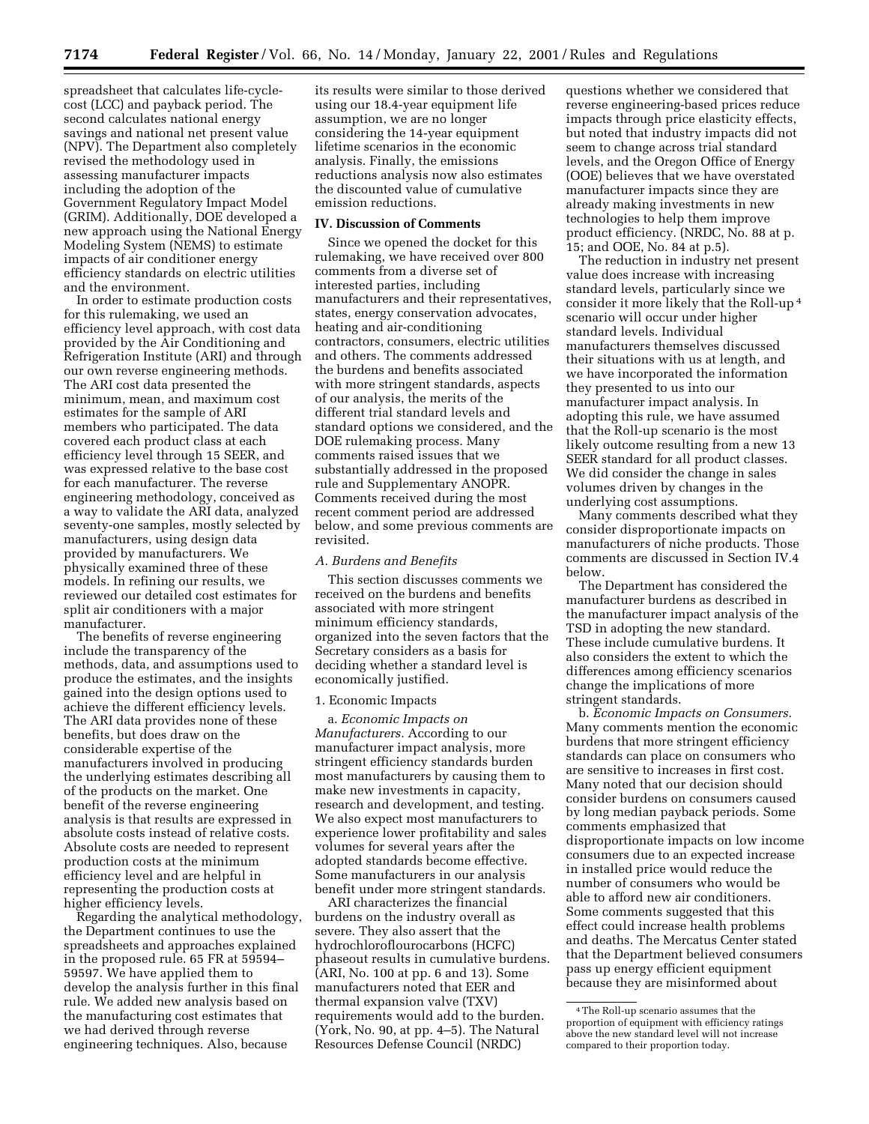spreadsheet that calculates life-cyclecost (LCC) and payback period. The second calculates national energy savings and national net present value (NPV). The Department also completely revised the methodology used in assessing manufacturer impacts including the adoption of the Government Regulatory Impact Model (GRIM). Additionally, DOE developed a new approach using the National Energy Modeling System (NEMS) to estimate impacts of air conditioner energy efficiency standards on electric utilities and the environment.

In order to estimate production costs for this rulemaking, we used an efficiency level approach, with cost data provided by the Air Conditioning and Refrigeration Institute (ARI) and through our own reverse engineering methods. The ARI cost data presented the minimum, mean, and maximum cost estimates for the sample of ARI members who participated. The data covered each product class at each efficiency level through 15 SEER, and was expressed relative to the base cost for each manufacturer. The reverse engineering methodology, conceived as a way to validate the ARI data, analyzed seventy-one samples, mostly selected by manufacturers, using design data provided by manufacturers. We physically examined three of these models. In refining our results, we reviewed our detailed cost estimates for split air conditioners with a major manufacturer.

The benefits of reverse engineering include the transparency of the methods, data, and assumptions used to produce the estimates, and the insights gained into the design options used to achieve the different efficiency levels. The ARI data provides none of these benefits, but does draw on the considerable expertise of the manufacturers involved in producing the underlying estimates describing all of the products on the market. One benefit of the reverse engineering analysis is that results are expressed in absolute costs instead of relative costs. Absolute costs are needed to represent production costs at the minimum efficiency level and are helpful in representing the production costs at higher efficiency levels.

Regarding the analytical methodology, the Department continues to use the spreadsheets and approaches explained in the proposed rule. 65 FR at 59594– 59597. We have applied them to develop the analysis further in this final rule. We added new analysis based on the manufacturing cost estimates that we had derived through reverse engineering techniques. Also, because

its results were similar to those derived using our 18.4-year equipment life assumption, we are no longer considering the 14-year equipment lifetime scenarios in the economic analysis. Finally, the emissions reductions analysis now also estimates the discounted value of cumulative emission reductions.

# **IV. Discussion of Comments**

Since we opened the docket for this rulemaking, we have received over 800 comments from a diverse set of interested parties, including manufacturers and their representatives, states, energy conservation advocates, heating and air-conditioning contractors, consumers, electric utilities and others. The comments addressed the burdens and benefits associated with more stringent standards, aspects of our analysis, the merits of the different trial standard levels and standard options we considered, and the DOE rulemaking process. Many comments raised issues that we substantially addressed in the proposed rule and Supplementary ANOPR. Comments received during the most recent comment period are addressed below, and some previous comments are revisited.

#### *A. Burdens and Benefits*

This section discusses comments we received on the burdens and benefits associated with more stringent minimum efficiency standards, organized into the seven factors that the Secretary considers as a basis for deciding whether a standard level is economically justified.

#### 1. Economic Impacts

a. *Economic Impacts on Manufacturers.* According to our manufacturer impact analysis, more stringent efficiency standards burden most manufacturers by causing them to make new investments in capacity, research and development, and testing. We also expect most manufacturers to experience lower profitability and sales volumes for several years after the adopted standards become effective. Some manufacturers in our analysis benefit under more stringent standards.

ARI characterizes the financial burdens on the industry overall as severe. They also assert that the hydrochloroflourocarbons (HCFC) phaseout results in cumulative burdens. (ARI, No. 100 at pp. 6 and 13). Some manufacturers noted that EER and thermal expansion valve (TXV) requirements would add to the burden. (York, No. 90, at pp. 4–5). The Natural Resources Defense Council (NRDC)

questions whether we considered that reverse engineering-based prices reduce impacts through price elasticity effects, but noted that industry impacts did not seem to change across trial standard levels, and the Oregon Office of Energy (OOE) believes that we have overstated manufacturer impacts since they are already making investments in new technologies to help them improve product efficiency. (NRDC, No. 88 at p. 15; and OOE, No. 84 at p.5).

The reduction in industry net present value does increase with increasing standard levels, particularly since we consider it more likely that the Roll-up 4 scenario will occur under higher standard levels. Individual manufacturers themselves discussed their situations with us at length, and we have incorporated the information they presented to us into our manufacturer impact analysis. In adopting this rule, we have assumed that the Roll-up scenario is the most likely outcome resulting from a new 13 SEER standard for all product classes. We did consider the change in sales volumes driven by changes in the underlying cost assumptions.

Many comments described what they consider disproportionate impacts on manufacturers of niche products. Those comments are discussed in Section IV.4 below.

The Department has considered the manufacturer burdens as described in the manufacturer impact analysis of the TSD in adopting the new standard. These include cumulative burdens. It also considers the extent to which the differences among efficiency scenarios change the implications of more stringent standards.

b. *Economic Impacts on Consumers.* Many comments mention the economic burdens that more stringent efficiency standards can place on consumers who are sensitive to increases in first cost. Many noted that our decision should consider burdens on consumers caused by long median payback periods. Some comments emphasized that disproportionate impacts on low income consumers due to an expected increase in installed price would reduce the number of consumers who would be able to afford new air conditioners. Some comments suggested that this effect could increase health problems and deaths. The Mercatus Center stated that the Department believed consumers pass up energy efficient equipment because they are misinformed about

<sup>4</sup>The Roll-up scenario assumes that the proportion of equipment with efficiency ratings above the new standard level will not increase compared to their proportion today.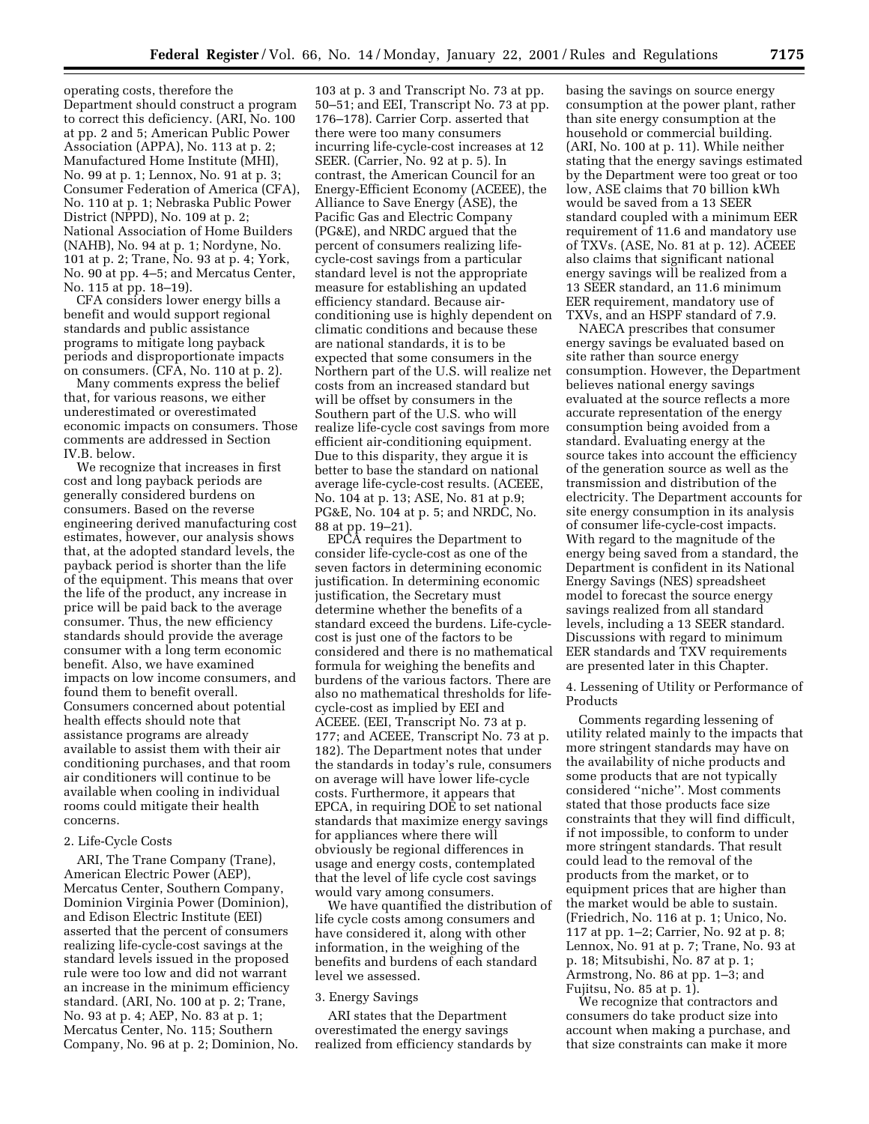operating costs, therefore the Department should construct a program to correct this deficiency. (ARI, No. 100 at pp. 2 and 5; American Public Power Association (APPA), No. 113 at p. 2; Manufactured Home Institute (MHI), No. 99 at p. 1; Lennox, No. 91 at p. 3; Consumer Federation of America (CFA), No. 110 at p. 1; Nebraska Public Power District (NPPD), No. 109 at p. 2; National Association of Home Builders (NAHB), No. 94 at p. 1; Nordyne, No. 101 at p. 2; Trane, No. 93 at p. 4; York, No. 90 at pp. 4–5; and Mercatus Center, No. 115 at pp. 18–19).

CFA considers lower energy bills a benefit and would support regional standards and public assistance programs to mitigate long payback periods and disproportionate impacts on consumers. (CFA, No. 110 at p. 2).

Many comments express the belief that, for various reasons, we either underestimated or overestimated economic impacts on consumers. Those comments are addressed in Section IV.B. below.

We recognize that increases in first cost and long payback periods are generally considered burdens on consumers. Based on the reverse engineering derived manufacturing cost estimates, however, our analysis shows that, at the adopted standard levels, the payback period is shorter than the life of the equipment. This means that over the life of the product, any increase in price will be paid back to the average consumer. Thus, the new efficiency standards should provide the average consumer with a long term economic benefit. Also, we have examined impacts on low income consumers, and found them to benefit overall. Consumers concerned about potential health effects should note that assistance programs are already available to assist them with their air conditioning purchases, and that room air conditioners will continue to be available when cooling in individual rooms could mitigate their health concerns.

#### 2. Life-Cycle Costs

ARI, The Trane Company (Trane), American Electric Power (AEP), Mercatus Center, Southern Company, Dominion Virginia Power (Dominion), and Edison Electric Institute (EEI) asserted that the percent of consumers realizing life-cycle-cost savings at the standard levels issued in the proposed rule were too low and did not warrant an increase in the minimum efficiency standard. (ARI, No. 100 at p. 2; Trane, No. 93 at p. 4; AEP, No. 83 at p. 1; Mercatus Center, No. 115; Southern Company, No. 96 at p. 2; Dominion, No.

103 at p. 3 and Transcript No. 73 at pp. 50–51; and EEI, Transcript No. 73 at pp. 176–178). Carrier Corp. asserted that there were too many consumers incurring life-cycle-cost increases at 12 SEER. (Carrier, No. 92 at p. 5). In contrast, the American Council for an Energy-Efficient Economy (ACEEE), the Alliance to Save Energy (ASE), the Pacific Gas and Electric Company (PG&E), and NRDC argued that the percent of consumers realizing lifecycle-cost savings from a particular standard level is not the appropriate measure for establishing an updated efficiency standard. Because airconditioning use is highly dependent on climatic conditions and because these are national standards, it is to be expected that some consumers in the Northern part of the U.S. will realize net costs from an increased standard but will be offset by consumers in the Southern part of the U.S. who will realize life-cycle cost savings from more efficient air-conditioning equipment. Due to this disparity, they argue it is better to base the standard on national average life-cycle-cost results. (ACEEE, No. 104 at p. 13; ASE, No. 81 at p.9; PG&E, No. 104 at p. 5; and NRDC, No. 88 at pp. 19–21).

EPCA requires the Department to consider life-cycle-cost as one of the seven factors in determining economic justification. In determining economic justification, the Secretary must determine whether the benefits of a standard exceed the burdens. Life-cyclecost is just one of the factors to be considered and there is no mathematical formula for weighing the benefits and burdens of the various factors. There are also no mathematical thresholds for lifecycle-cost as implied by EEI and ACEEE. (EEI, Transcript No. 73 at p. 177; and ACEEE, Transcript No. 73 at p. 182). The Department notes that under the standards in today's rule, consumers on average will have lower life-cycle costs. Furthermore, it appears that EPCA, in requiring DOE to set national standards that maximize energy savings for appliances where there will obviously be regional differences in usage and energy costs, contemplated that the level of life cycle cost savings would vary among consumers.

We have quantified the distribution of life cycle costs among consumers and have considered it, along with other information, in the weighing of the benefits and burdens of each standard level we assessed.

#### 3. Energy Savings

ARI states that the Department overestimated the energy savings realized from efficiency standards by basing the savings on source energy consumption at the power plant, rather than site energy consumption at the household or commercial building. (ARI, No. 100 at p. 11). While neither stating that the energy savings estimated by the Department were too great or too low, ASE claims that 70 billion kWh would be saved from a 13 SEER standard coupled with a minimum EER requirement of 11.6 and mandatory use of TXVs. (ASE, No. 81 at p. 12). ACEEE also claims that significant national energy savings will be realized from a 13 SEER standard, an 11.6 minimum EER requirement, mandatory use of TXVs, and an HSPF standard of 7.9.

NAECA prescribes that consumer energy savings be evaluated based on site rather than source energy consumption. However, the Department believes national energy savings evaluated at the source reflects a more accurate representation of the energy consumption being avoided from a standard. Evaluating energy at the source takes into account the efficiency of the generation source as well as the transmission and distribution of the electricity. The Department accounts for site energy consumption in its analysis of consumer life-cycle-cost impacts. With regard to the magnitude of the energy being saved from a standard, the Department is confident in its National Energy Savings (NES) spreadsheet model to forecast the source energy savings realized from all standard levels, including a 13 SEER standard. Discussions with regard to minimum EER standards and TXV requirements are presented later in this Chapter.

4. Lessening of Utility or Performance of Products

Comments regarding lessening of utility related mainly to the impacts that more stringent standards may have on the availability of niche products and some products that are not typically considered ''niche''. Most comments stated that those products face size constraints that they will find difficult, if not impossible, to conform to under more stringent standards. That result could lead to the removal of the products from the market, or to equipment prices that are higher than the market would be able to sustain. (Friedrich, No. 116 at p. 1; Unico, No. 117 at pp. 1–2; Carrier, No. 92 at p. 8; Lennox, No. 91 at p. 7; Trane, No. 93 at p. 18; Mitsubishi, No. 87 at p. 1; Armstrong, No. 86 at pp. 1–3; and Fujitsu, No. 85 at p. 1).

We recognize that contractors and consumers do take product size into account when making a purchase, and that size constraints can make it more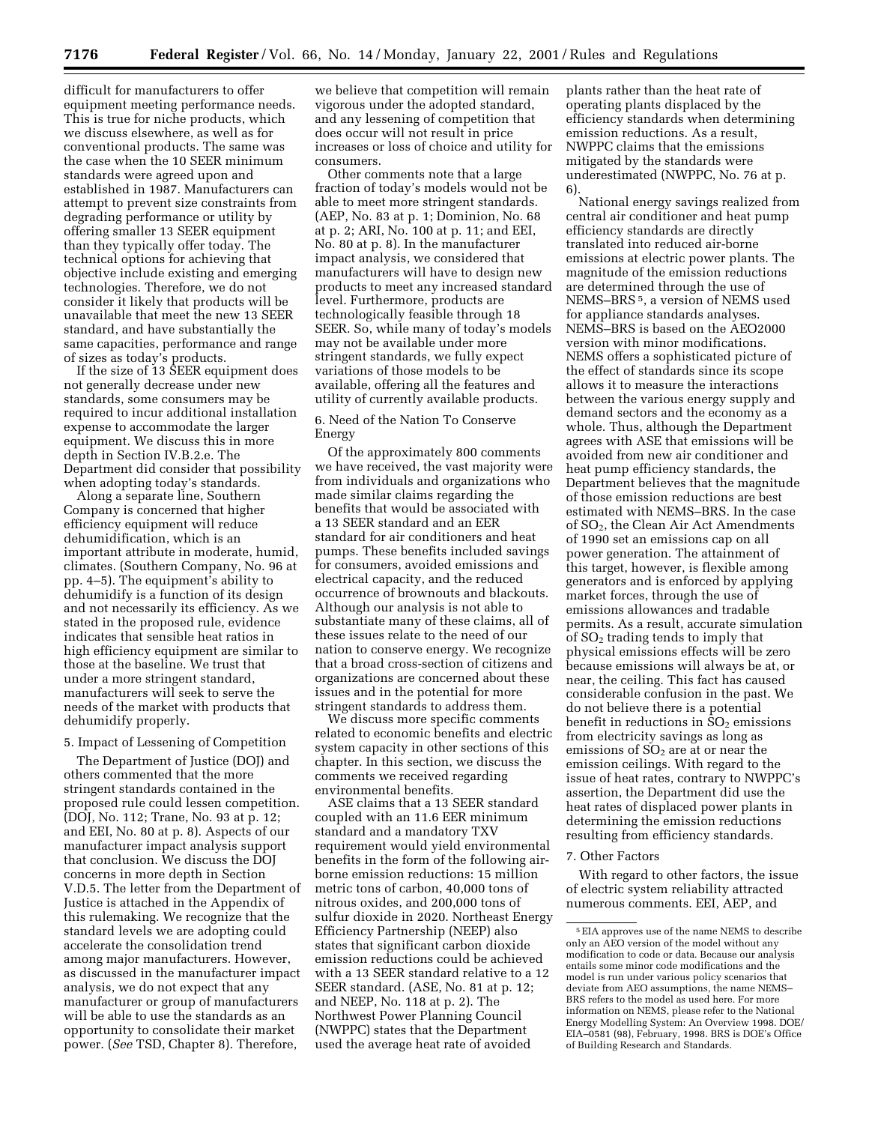difficult for manufacturers to offer equipment meeting performance needs. This is true for niche products, which we discuss elsewhere, as well as for conventional products. The same was the case when the 10 SEER minimum standards were agreed upon and established in 1987. Manufacturers can attempt to prevent size constraints from degrading performance or utility by offering smaller 13 SEER equipment than they typically offer today. The technical options for achieving that objective include existing and emerging technologies. Therefore, we do not consider it likely that products will be unavailable that meet the new 13 SEER standard, and have substantially the same capacities, performance and range of sizes as today's products.

If the size of 13 SEER equipment does not generally decrease under new standards, some consumers may be required to incur additional installation expense to accommodate the larger equipment. We discuss this in more depth in Section IV.B.2.e. The Department did consider that possibility when adopting today's standards.

Along a separate line, Southern Company is concerned that higher efficiency equipment will reduce dehumidification, which is an important attribute in moderate, humid, climates. (Southern Company, No. 96 at pp. 4–5). The equipment's ability to dehumidify is a function of its design and not necessarily its efficiency. As we stated in the proposed rule, evidence indicates that sensible heat ratios in high efficiency equipment are similar to those at the baseline. We trust that under a more stringent standard, manufacturers will seek to serve the needs of the market with products that dehumidify properly.

#### 5. Impact of Lessening of Competition

The Department of Justice (DOI) and others commented that the more stringent standards contained in the proposed rule could lessen competition. (DOJ, No. 112; Trane, No. 93 at p. 12; and EEI, No. 80 at p. 8). Aspects of our manufacturer impact analysis support that conclusion. We discuss the DOJ concerns in more depth in Section V.D.5. The letter from the Department of Justice is attached in the Appendix of this rulemaking. We recognize that the standard levels we are adopting could accelerate the consolidation trend among major manufacturers. However, as discussed in the manufacturer impact analysis, we do not expect that any manufacturer or group of manufacturers will be able to use the standards as an opportunity to consolidate their market power. (*See* TSD, Chapter 8). Therefore,

we believe that competition will remain vigorous under the adopted standard, and any lessening of competition that does occur will not result in price increases or loss of choice and utility for consumers.

Other comments note that a large fraction of today's models would not be able to meet more stringent standards. (AEP, No. 83 at p. 1; Dominion, No. 68 at p. 2; ARI, No. 100 at p. 11; and EEI, No. 80 at p. 8). In the manufacturer impact analysis, we considered that manufacturers will have to design new products to meet any increased standard level. Furthermore, products are technologically feasible through 18 SEER. So, while many of today's models may not be available under more stringent standards, we fully expect variations of those models to be available, offering all the features and utility of currently available products.

# 6. Need of the Nation To Conserve Energy

Of the approximately 800 comments we have received, the vast majority were from individuals and organizations who made similar claims regarding the benefits that would be associated with a 13 SEER standard and an EER standard for air conditioners and heat pumps. These benefits included savings for consumers, avoided emissions and electrical capacity, and the reduced occurrence of brownouts and blackouts. Although our analysis is not able to substantiate many of these claims, all of these issues relate to the need of our nation to conserve energy. We recognize that a broad cross-section of citizens and organizations are concerned about these issues and in the potential for more stringent standards to address them.

We discuss more specific comments related to economic benefits and electric system capacity in other sections of this chapter. In this section, we discuss the comments we received regarding environmental benefits.

ASE claims that a 13 SEER standard coupled with an 11.6 EER minimum standard and a mandatory TXV requirement would yield environmental benefits in the form of the following airborne emission reductions: 15 million metric tons of carbon, 40,000 tons of nitrous oxides, and 200,000 tons of sulfur dioxide in 2020. Northeast Energy Efficiency Partnership (NEEP) also states that significant carbon dioxide emission reductions could be achieved with a 13 SEER standard relative to a 12 SEER standard. (ASE, No. 81 at p. 12; and NEEP, No. 118 at p. 2). The Northwest Power Planning Council (NWPPC) states that the Department used the average heat rate of avoided

plants rather than the heat rate of operating plants displaced by the efficiency standards when determining emission reductions. As a result, NWPPC claims that the emissions mitigated by the standards were underestimated (NWPPC, No. 76 at p. 6).

National energy savings realized from central air conditioner and heat pump efficiency standards are directly translated into reduced air-borne emissions at electric power plants. The magnitude of the emission reductions are determined through the use of NEMS–BRS 5, a version of NEMS used for appliance standards analyses. NEMS–BRS is based on the AEO2000 version with minor modifications. NEMS offers a sophisticated picture of the effect of standards since its scope allows it to measure the interactions between the various energy supply and demand sectors and the economy as a whole. Thus, although the Department agrees with ASE that emissions will be avoided from new air conditioner and heat pump efficiency standards, the Department believes that the magnitude of those emission reductions are best estimated with NEMS–BRS. In the case of  $SO<sub>2</sub>$ , the Clean Air Act Amendments of 1990 set an emissions cap on all power generation. The attainment of this target, however, is flexible among generators and is enforced by applying market forces, through the use of emissions allowances and tradable permits. As a result, accurate simulation of  $SO<sub>2</sub>$  trading tends to imply that physical emissions effects will be zero because emissions will always be at, or near, the ceiling. This fact has caused considerable confusion in the past. We do not believe there is a potential benefit in reductions in  $SO<sub>2</sub>$  emissions from electricity savings as long as emissions of  $SO<sub>2</sub>$  are at or near the emission ceilings. With regard to the issue of heat rates, contrary to NWPPC's assertion, the Department did use the heat rates of displaced power plants in determining the emission reductions resulting from efficiency standards.

## 7. Other Factors

With regard to other factors, the issue of electric system reliability attracted numerous comments. EEI, AEP, and

<sup>5</sup>EIA approves use of the name NEMS to describe only an AEO version of the model without any modification to code or data. Because our analysis entails some minor code modifications and the model is run under various policy scenarios that deviate from AEO assumptions, the name NEMS– BRS refers to the model as used here. For more information on NEMS, please refer to the National Energy Modelling System: An Overview 1998. DOE/ EIA–0581 (98), February, 1998. BRS is DOE's Office of Building Research and Standards.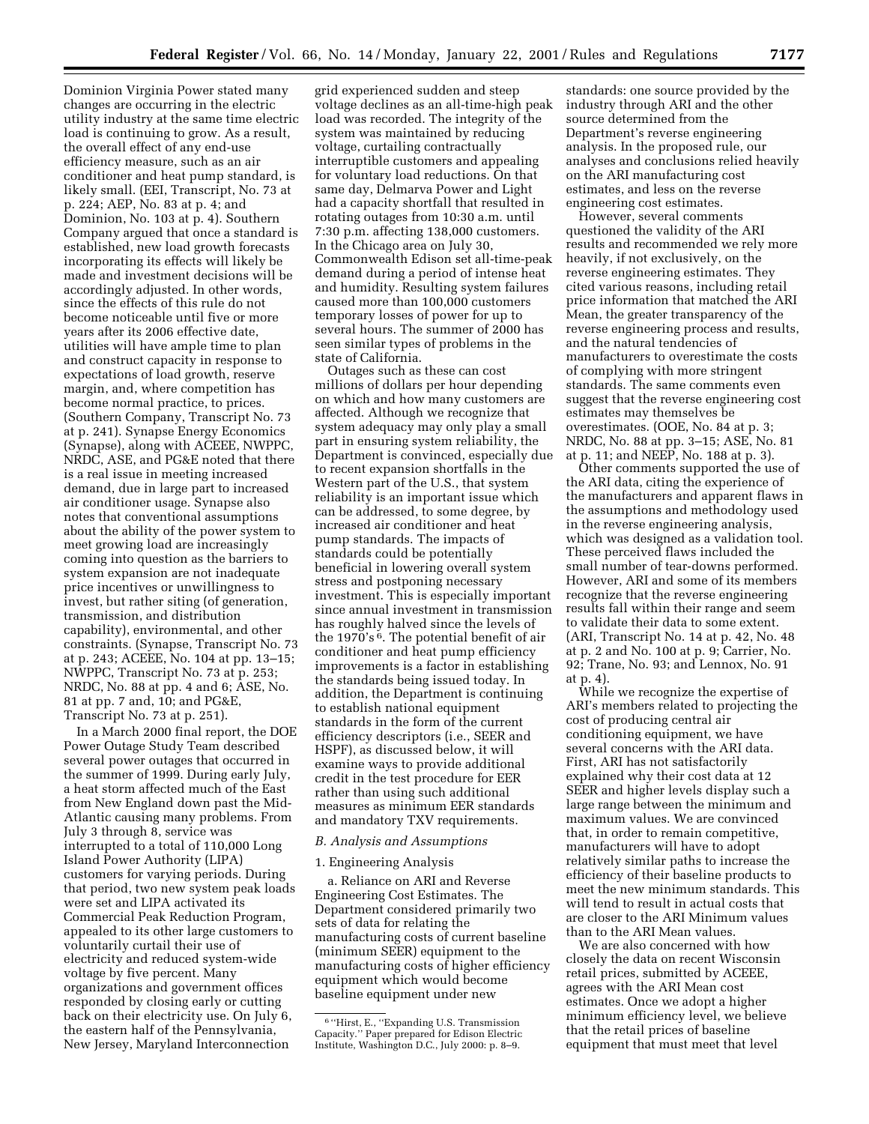Dominion Virginia Power stated many changes are occurring in the electric utility industry at the same time electric load is continuing to grow. As a result, the overall effect of any end-use efficiency measure, such as an air conditioner and heat pump standard, is likely small. (EEI, Transcript, No. 73 at p. 224; AEP, No. 83 at p. 4; and Dominion, No. 103 at p. 4). Southern Company argued that once a standard is established, new load growth forecasts incorporating its effects will likely be made and investment decisions will be accordingly adjusted. In other words, since the effects of this rule do not become noticeable until five or more years after its 2006 effective date, utilities will have ample time to plan and construct capacity in response to expectations of load growth, reserve margin, and, where competition has become normal practice, to prices. (Southern Company, Transcript No. 73 at p. 241). Synapse Energy Economics (Synapse), along with ACEEE, NWPPC, NRDC, ASE, and PG&E noted that there is a real issue in meeting increased demand, due in large part to increased air conditioner usage. Synapse also notes that conventional assumptions about the ability of the power system to meet growing load are increasingly coming into question as the barriers to system expansion are not inadequate price incentives or unwillingness to invest, but rather siting (of generation, transmission, and distribution capability), environmental, and other constraints. (Synapse, Transcript No. 73 at p. 243; ACEEE, No. 104 at pp. 13–15; NWPPC, Transcript No. 73 at p. 253; NRDC, No. 88 at pp. 4 and 6; ASE, No. 81 at pp. 7 and, 10; and PG&E, Transcript No. 73 at p. 251).

In a March 2000 final report, the DOE Power Outage Study Team described several power outages that occurred in the summer of 1999. During early July, a heat storm affected much of the East from New England down past the Mid-Atlantic causing many problems. From July 3 through 8, service was interrupted to a total of 110,000 Long Island Power Authority (LIPA) customers for varying periods. During that period, two new system peak loads were set and LIPA activated its Commercial Peak Reduction Program, appealed to its other large customers to voluntarily curtail their use of electricity and reduced system-wide voltage by five percent. Many organizations and government offices responded by closing early or cutting back on their electricity use. On July 6, the eastern half of the Pennsylvania, New Jersey, Maryland Interconnection

grid experienced sudden and steep voltage declines as an all-time-high peak load was recorded. The integrity of the system was maintained by reducing voltage, curtailing contractually interruptible customers and appealing for voluntary load reductions. On that same day, Delmarva Power and Light had a capacity shortfall that resulted in rotating outages from 10:30 a.m. until 7:30 p.m. affecting 138,000 customers. In the Chicago area on July 30, Commonwealth Edison set all-time-peak demand during a period of intense heat and humidity. Resulting system failures caused more than 100,000 customers temporary losses of power for up to several hours. The summer of 2000 has seen similar types of problems in the state of California.

Outages such as these can cost millions of dollars per hour depending on which and how many customers are affected. Although we recognize that system adequacy may only play a small part in ensuring system reliability, the Department is convinced, especially due to recent expansion shortfalls in the Western part of the U.S., that system reliability is an important issue which can be addressed, to some degree, by increased air conditioner and heat pump standards. The impacts of standards could be potentially beneficial in lowering overall system stress and postponing necessary investment. This is especially important since annual investment in transmission has roughly halved since the levels of the 1970's  $6$ . The potential benefit of air conditioner and heat pump efficiency improvements is a factor in establishing the standards being issued today. In addition, the Department is continuing to establish national equipment standards in the form of the current efficiency descriptors (i.e., SEER and HSPF), as discussed below, it will examine ways to provide additional credit in the test procedure for EER rather than using such additional measures as minimum EER standards and mandatory TXV requirements.

#### *B. Analysis and Assumptions*

#### 1. Engineering Analysis

a. Reliance on ARI and Reverse Engineering Cost Estimates. The Department considered primarily two sets of data for relating the manufacturing costs of current baseline (minimum SEER) equipment to the manufacturing costs of higher efficiency equipment which would become baseline equipment under new

standards: one source provided by the industry through ARI and the other source determined from the Department's reverse engineering analysis. In the proposed rule, our analyses and conclusions relied heavily on the ARI manufacturing cost estimates, and less on the reverse engineering cost estimates.

However, several comments questioned the validity of the ARI results and recommended we rely more heavily, if not exclusively, on the reverse engineering estimates. They cited various reasons, including retail price information that matched the ARI Mean, the greater transparency of the reverse engineering process and results, and the natural tendencies of manufacturers to overestimate the costs of complying with more stringent standards. The same comments even suggest that the reverse engineering cost estimates may themselves be overestimates. (OOE, No. 84 at p. 3; NRDC, No. 88 at pp. 3–15; ASE, No. 81 at p. 11; and NEEP, No. 188 at p. 3).

Other comments supported the use of the ARI data, citing the experience of the manufacturers and apparent flaws in the assumptions and methodology used in the reverse engineering analysis, which was designed as a validation tool. These perceived flaws included the small number of tear-downs performed. However, ARI and some of its members recognize that the reverse engineering results fall within their range and seem to validate their data to some extent. (ARI, Transcript No. 14 at p. 42, No. 48 at p. 2 and No. 100 at p. 9; Carrier, No. 92; Trane, No. 93; and Lennox, No. 91 at p. 4).

While we recognize the expertise of ARI's members related to projecting the cost of producing central air conditioning equipment, we have several concerns with the ARI data. First, ARI has not satisfactorily explained why their cost data at 12 SEER and higher levels display such a large range between the minimum and maximum values. We are convinced that, in order to remain competitive, manufacturers will have to adopt relatively similar paths to increase the efficiency of their baseline products to meet the new minimum standards. This will tend to result in actual costs that are closer to the ARI Minimum values than to the ARI Mean values.

We are also concerned with how closely the data on recent Wisconsin retail prices, submitted by ACEEE, agrees with the ARI Mean cost estimates. Once we adopt a higher minimum efficiency level, we believe that the retail prices of baseline equipment that must meet that level

<sup>6</sup> ''Hirst, E., ''Expanding U.S. Transmission Capacity.'' Paper prepared for Edison Electric Institute, Washington D.C., July 2000: p. 8–9.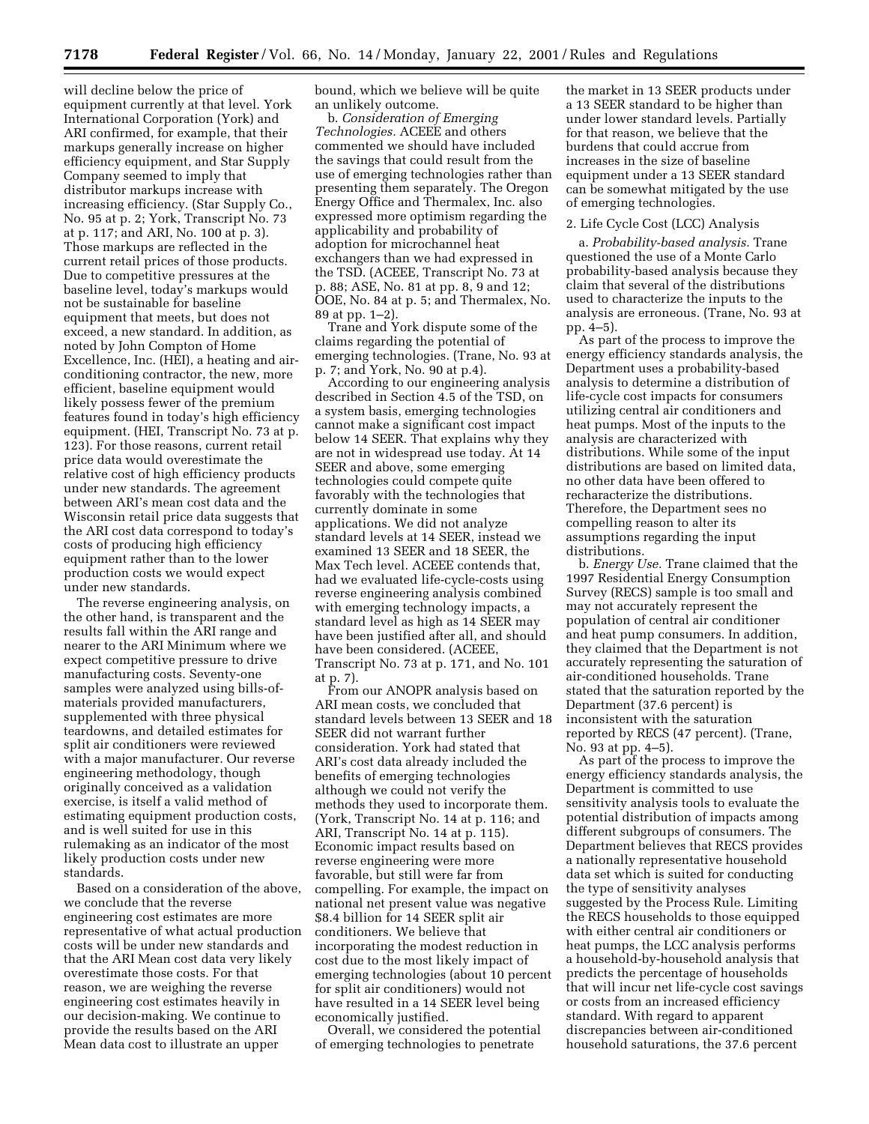will decline below the price of equipment currently at that level. York International Corporation (York) and ARI confirmed, for example, that their markups generally increase on higher efficiency equipment, and Star Supply Company seemed to imply that distributor markups increase with increasing efficiency. (Star Supply Co., No. 95 at p. 2; York, Transcript No. 73 at p. 117; and ARI, No. 100 at p. 3). Those markups are reflected in the current retail prices of those products. Due to competitive pressures at the baseline level, today's markups would not be sustainable for baseline equipment that meets, but does not exceed, a new standard. In addition, as noted by John Compton of Home Excellence, Inc. (HEI), a heating and airconditioning contractor, the new, more efficient, baseline equipment would likely possess fewer of the premium features found in today's high efficiency equipment. (HEI, Transcript No. 73 at p. 123). For those reasons, current retail price data would overestimate the relative cost of high efficiency products under new standards. The agreement between ARI's mean cost data and the Wisconsin retail price data suggests that the ARI cost data correspond to today's costs of producing high efficiency equipment rather than to the lower production costs we would expect under new standards.

The reverse engineering analysis, on the other hand, is transparent and the results fall within the ARI range and nearer to the ARI Minimum where we expect competitive pressure to drive manufacturing costs. Seventy-one samples were analyzed using bills-ofmaterials provided manufacturers, supplemented with three physical teardowns, and detailed estimates for split air conditioners were reviewed with a major manufacturer. Our reverse engineering methodology, though originally conceived as a validation exercise, is itself a valid method of estimating equipment production costs, and is well suited for use in this rulemaking as an indicator of the most likely production costs under new standards.

Based on a consideration of the above, we conclude that the reverse engineering cost estimates are more representative of what actual production costs will be under new standards and that the ARI Mean cost data very likely overestimate those costs. For that reason, we are weighing the reverse engineering cost estimates heavily in our decision-making. We continue to provide the results based on the ARI Mean data cost to illustrate an upper

bound, which we believe will be quite an unlikely outcome.

b. *Consideration of Emerging Technologies.* ACEEE and others commented we should have included the savings that could result from the use of emerging technologies rather than presenting them separately. The Oregon Energy Office and Thermalex, Inc. also expressed more optimism regarding the applicability and probability of adoption for microchannel heat exchangers than we had expressed in the TSD. (ACEEE, Transcript No. 73 at p. 88; ASE, No. 81 at pp. 8, 9 and 12; OOE, No. 84 at p. 5; and Thermalex, No. 89 at pp. 1–2).

Trane and York dispute some of the claims regarding the potential of emerging technologies. (Trane, No. 93 at p. 7; and York, No. 90 at p.4).

According to our engineering analysis described in Section 4.5 of the TSD, on a system basis, emerging technologies cannot make a significant cost impact below 14 SEER. That explains why they are not in widespread use today. At 14 SEER and above, some emerging technologies could compete quite favorably with the technologies that currently dominate in some applications. We did not analyze standard levels at 14 SEER, instead we examined 13 SEER and 18 SEER, the Max Tech level. ACEEE contends that, had we evaluated life-cycle-costs using reverse engineering analysis combined with emerging technology impacts, a standard level as high as 14 SEER may have been justified after all, and should have been considered. (ACEEE, Transcript No. 73 at p. 171, and No. 101 at p. 7).

From our ANOPR analysis based on ARI mean costs, we concluded that standard levels between 13 SEER and 18 SEER did not warrant further consideration. York had stated that ARI's cost data already included the benefits of emerging technologies although we could not verify the methods they used to incorporate them. (York, Transcript No. 14 at p. 116; and ARI, Transcript No. 14 at p. 115). Economic impact results based on reverse engineering were more favorable, but still were far from compelling. For example, the impact on national net present value was negative \$8.4 billion for 14 SEER split air conditioners. We believe that incorporating the modest reduction in cost due to the most likely impact of emerging technologies (about 10 percent for split air conditioners) would not have resulted in a 14 SEER level being economically justified.

Overall, we considered the potential of emerging technologies to penetrate

the market in 13 SEER products under a 13 SEER standard to be higher than under lower standard levels. Partially for that reason, we believe that the burdens that could accrue from increases in the size of baseline equipment under a 13 SEER standard can be somewhat mitigated by the use of emerging technologies.

#### 2. Life Cycle Cost (LCC) Analysis

a. *Probability-based analysis.* Trane questioned the use of a Monte Carlo probability-based analysis because they claim that several of the distributions used to characterize the inputs to the analysis are erroneous. (Trane, No. 93 at pp. 4–5).

As part of the process to improve the energy efficiency standards analysis, the Department uses a probability-based analysis to determine a distribution of life-cycle cost impacts for consumers utilizing central air conditioners and heat pumps. Most of the inputs to the analysis are characterized with distributions. While some of the input distributions are based on limited data, no other data have been offered to recharacterize the distributions. Therefore, the Department sees no compelling reason to alter its assumptions regarding the input distributions.

b. *Energy Use.* Trane claimed that the 1997 Residential Energy Consumption Survey (RECS) sample is too small and may not accurately represent the population of central air conditioner and heat pump consumers. In addition, they claimed that the Department is not accurately representing the saturation of air-conditioned households. Trane stated that the saturation reported by the Department (37.6 percent) is inconsistent with the saturation reported by RECS (47 percent). (Trane, No. 93 at pp. 4–5).

As part of the process to improve the energy efficiency standards analysis, the Department is committed to use sensitivity analysis tools to evaluate the potential distribution of impacts among different subgroups of consumers. The Department believes that RECS provides a nationally representative household data set which is suited for conducting the type of sensitivity analyses suggested by the Process Rule. Limiting the RECS households to those equipped with either central air conditioners or heat pumps, the LCC analysis performs a household-by-household analysis that predicts the percentage of households that will incur net life-cycle cost savings or costs from an increased efficiency standard. With regard to apparent discrepancies between air-conditioned household saturations, the 37.6 percent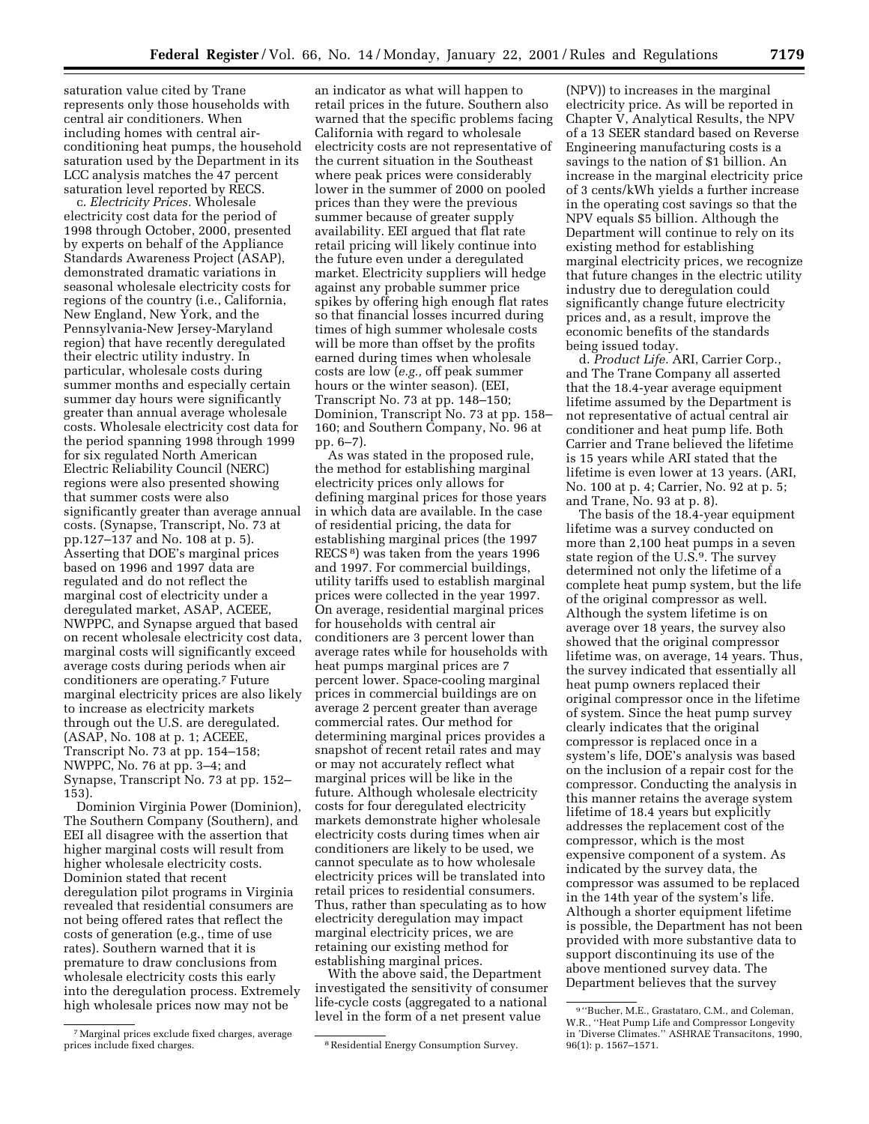saturation value cited by Trane represents only those households with central air conditioners. When including homes with central airconditioning heat pumps, the household saturation used by the Department in its LCC analysis matches the 47 percent saturation level reported by RECS.

c. *Electricity Prices.* Wholesale electricity cost data for the period of 1998 through October, 2000, presented by experts on behalf of the Appliance Standards Awareness Project (ASAP), demonstrated dramatic variations in seasonal wholesale electricity costs for regions of the country (i.e., California, New England, New York, and the Pennsylvania-New Jersey-Maryland region) that have recently deregulated their electric utility industry. In particular, wholesale costs during summer months and especially certain summer day hours were significantly greater than annual average wholesale costs. Wholesale electricity cost data for the period spanning 1998 through 1999 for six regulated North American Electric Reliability Council (NERC) regions were also presented showing that summer costs were also significantly greater than average annual costs. (Synapse, Transcript, No. 73 at pp.127–137 and No. 108 at p. 5). Asserting that DOE's marginal prices based on 1996 and 1997 data are regulated and do not reflect the marginal cost of electricity under a deregulated market, ASAP, ACEEE, NWPPC, and Synapse argued that based on recent wholesale electricity cost data, marginal costs will significantly exceed average costs during periods when air conditioners are operating.7 Future marginal electricity prices are also likely to increase as electricity markets through out the U.S. are deregulated. (ASAP, No. 108 at p. 1; ACEEE, Transcript No. 73 at pp. 154–158; NWPPC, No. 76 at pp. 3–4; and Synapse, Transcript No. 73 at pp. 152– 153).

Dominion Virginia Power (Dominion), The Southern Company (Southern), and EEI all disagree with the assertion that higher marginal costs will result from higher wholesale electricity costs. Dominion stated that recent deregulation pilot programs in Virginia revealed that residential consumers are not being offered rates that reflect the costs of generation (e.g., time of use rates). Southern warned that it is premature to draw conclusions from wholesale electricity costs this early into the deregulation process. Extremely high wholesale prices now may not be

an indicator as what will happen to retail prices in the future. Southern also warned that the specific problems facing California with regard to wholesale electricity costs are not representative of the current situation in the Southeast where peak prices were considerably lower in the summer of 2000 on pooled prices than they were the previous summer because of greater supply availability. EEI argued that flat rate retail pricing will likely continue into the future even under a deregulated market. Electricity suppliers will hedge against any probable summer price spikes by offering high enough flat rates so that financial losses incurred during times of high summer wholesale costs will be more than offset by the profits earned during times when wholesale costs are low (*e.g.,* off peak summer hours or the winter season). (EEI, Transcript No. 73 at pp. 148–150; Dominion, Transcript No. 73 at pp. 158– 160; and Southern Company, No. 96 at pp. 6–7).

As was stated in the proposed rule, the method for establishing marginal electricity prices only allows for defining marginal prices for those years in which data are available. In the case of residential pricing, the data for establishing marginal prices (the 1997 RECS 8) was taken from the years 1996 and 1997. For commercial buildings, utility tariffs used to establish marginal prices were collected in the year 1997. On average, residential marginal prices for households with central air conditioners are 3 percent lower than average rates while for households with heat pumps marginal prices are 7 percent lower. Space-cooling marginal prices in commercial buildings are on average 2 percent greater than average commercial rates. Our method for determining marginal prices provides a snapshot of recent retail rates and may or may not accurately reflect what marginal prices will be like in the future. Although wholesale electricity costs for four deregulated electricity markets demonstrate higher wholesale electricity costs during times when air conditioners are likely to be used, we cannot speculate as to how wholesale electricity prices will be translated into retail prices to residential consumers. Thus, rather than speculating as to how electricity deregulation may impact marginal electricity prices, we are retaining our existing method for establishing marginal prices.

With the above said, the Department investigated the sensitivity of consumer life-cycle costs (aggregated to a national level in the form of a net present value

(NPV)) to increases in the marginal electricity price. As will be reported in Chapter V, Analytical Results, the NPV of a 13 SEER standard based on Reverse Engineering manufacturing costs is a savings to the nation of \$1 billion. An increase in the marginal electricity price of 3 cents/kWh yields a further increase in the operating cost savings so that the NPV equals \$5 billion. Although the Department will continue to rely on its existing method for establishing marginal electricity prices, we recognize that future changes in the electric utility industry due to deregulation could significantly change future electricity prices and, as a result, improve the economic benefits of the standards being issued today.

d. *Product Life.* ARI, Carrier Corp., and The Trane Company all asserted that the 18.4-year average equipment lifetime assumed by the Department is not representative of actual central air conditioner and heat pump life. Both Carrier and Trane believed the lifetime is 15 years while ARI stated that the lifetime is even lower at 13 years. (ARI, No. 100 at p. 4; Carrier, No. 92 at p. 5; and Trane, No. 93 at p. 8).

The basis of the 18.4-year equipment lifetime was a survey conducted on more than 2,100 heat pumps in a seven state region of the U.S.9. The survey determined not only the lifetime of a complete heat pump system, but the life of the original compressor as well. Although the system lifetime is on average over 18 years, the survey also showed that the original compressor lifetime was, on average, 14 years. Thus, the survey indicated that essentially all heat pump owners replaced their original compressor once in the lifetime of system. Since the heat pump survey clearly indicates that the original compressor is replaced once in a system's life, DOE's analysis was based on the inclusion of a repair cost for the compressor. Conducting the analysis in this manner retains the average system lifetime of 18.4 years but explicitly addresses the replacement cost of the compressor, which is the most expensive component of a system. As indicated by the survey data, the compressor was assumed to be replaced in the 14th year of the system's life. Although a shorter equipment lifetime is possible, the Department has not been provided with more substantive data to support discontinuing its use of the above mentioned survey data. The Department believes that the survey

<sup>7</sup>Marginal prices exclude fixed charges, average

<sup>&</sup>lt;sup>8</sup> Residential Energy Consumption Survey.

<sup>9</sup> ''Bucher, M.E., Grastataro, C.M., and Coleman, W.R., ''Heat Pump Life and Compressor Longevity in 'Diverse Climates.'' ASHRAE Transacitons, 1990, 96(1): p. 1567–1571.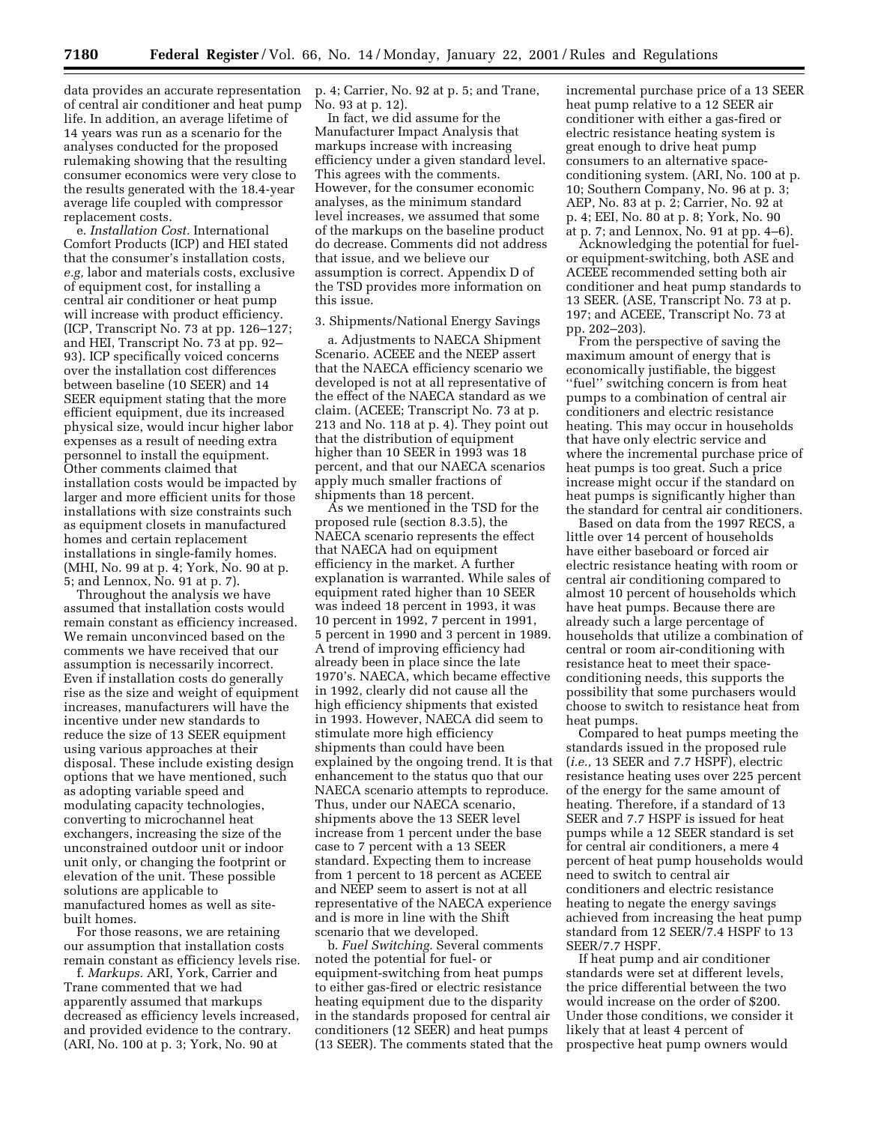data provides an accurate representation of central air conditioner and heat pump life. In addition, an average lifetime of 14 years was run as a scenario for the analyses conducted for the proposed rulemaking showing that the resulting consumer economics were very close to the results generated with the 18.4-year average life coupled with compressor replacement costs.

e. *Installation Cost.* International Comfort Products (ICP) and HEI stated that the consumer's installation costs, *e.g,* labor and materials costs, exclusive of equipment cost, for installing a central air conditioner or heat pump will increase with product efficiency. (ICP, Transcript No. 73 at pp. 126–127; and HEI, Transcript No. 73 at pp. 92– 93). ICP specifically voiced concerns over the installation cost differences between baseline (10 SEER) and 14 SEER equipment stating that the more efficient equipment, due its increased physical size, would incur higher labor expenses as a result of needing extra personnel to install the equipment. Other comments claimed that installation costs would be impacted by larger and more efficient units for those installations with size constraints such as equipment closets in manufactured homes and certain replacement installations in single-family homes. (MHI, No. 99 at p. 4; York, No. 90 at p. 5; and Lennox, No. 91 at p. 7).

Throughout the analysis we have assumed that installation costs would remain constant as efficiency increased. We remain unconvinced based on the comments we have received that our assumption is necessarily incorrect. Even if installation costs do generally rise as the size and weight of equipment increases, manufacturers will have the incentive under new standards to reduce the size of 13 SEER equipment using various approaches at their disposal. These include existing design options that we have mentioned, such as adopting variable speed and modulating capacity technologies, converting to microchannel heat exchangers, increasing the size of the unconstrained outdoor unit or indoor unit only, or changing the footprint or elevation of the unit. These possible solutions are applicable to manufactured homes as well as sitebuilt homes.

For those reasons, we are retaining our assumption that installation costs remain constant as efficiency levels rise.

f. *Markups.* ARI, York, Carrier and Trane commented that we had apparently assumed that markups decreased as efficiency levels increased, and provided evidence to the contrary. (ARI, No. 100 at p. 3; York, No. 90 at

p. 4; Carrier, No. 92 at p. 5; and Trane, No. 93 at p. 12).

In fact, we did assume for the Manufacturer Impact Analysis that markups increase with increasing efficiency under a given standard level. This agrees with the comments. However, for the consumer economic analyses, as the minimum standard level increases, we assumed that some of the markups on the baseline product do decrease. Comments did not address that issue, and we believe our assumption is correct. Appendix D of the TSD provides more information on this issue.

#### 3. Shipments/National Energy Savings

a. Adjustments to NAECA Shipment Scenario. ACEEE and the NEEP assert that the NAECA efficiency scenario we developed is not at all representative of the effect of the NAECA standard as we claim. (ACEEE; Transcript No. 73 at p. 213 and No. 118 at p. 4). They point out that the distribution of equipment higher than 10 SEER in 1993 was 18 percent, and that our NAECA scenarios apply much smaller fractions of shipments than 18 percent.

As we mentioned in the TSD for the proposed rule (section 8.3.5), the NAECA scenario represents the effect that NAECA had on equipment efficiency in the market. A further explanation is warranted. While sales of equipment rated higher than 10 SEER was indeed 18 percent in 1993, it was 10 percent in 1992, 7 percent in 1991, 5 percent in 1990 and 3 percent in 1989. A trend of improving efficiency had already been in place since the late 1970's. NAECA, which became effective in 1992, clearly did not cause all the high efficiency shipments that existed in 1993. However, NAECA did seem to stimulate more high efficiency shipments than could have been explained by the ongoing trend. It is that enhancement to the status quo that our NAECA scenario attempts to reproduce. Thus, under our NAECA scenario, shipments above the 13 SEER level increase from 1 percent under the base case to 7 percent with a 13 SEER standard. Expecting them to increase from 1 percent to 18 percent as ACEEE and NEEP seem to assert is not at all representative of the NAECA experience and is more in line with the Shift scenario that we developed.

b. *Fuel Switching.* Several comments noted the potential for fuel- or equipment-switching from heat pumps to either gas-fired or electric resistance heating equipment due to the disparity in the standards proposed for central air conditioners (12 SEER) and heat pumps (13 SEER). The comments stated that the incremental purchase price of a 13 SEER heat pump relative to a 12 SEER air conditioner with either a gas-fired or electric resistance heating system is great enough to drive heat pump consumers to an alternative spaceconditioning system. (ARI, No. 100 at p. 10; Southern Company, No. 96 at p. 3; AEP, No. 83 at p. 2; Carrier, No. 92 at p. 4; EEI, No. 80 at p. 8; York, No. 90 at p. 7; and Lennox, No. 91 at pp. 4–6).

Acknowledging the potential for fuelor equipment-switching, both ASE and ACEEE recommended setting both air conditioner and heat pump standards to 13 SEER. (ASE, Transcript No. 73 at p. 197; and ACEEE, Transcript No. 73 at pp. 202–203).

From the perspective of saving the maximum amount of energy that is economically justifiable, the biggest ''fuel'' switching concern is from heat pumps to a combination of central air conditioners and electric resistance heating. This may occur in households that have only electric service and where the incremental purchase price of heat pumps is too great. Such a price increase might occur if the standard on heat pumps is significantly higher than the standard for central air conditioners.

Based on data from the 1997 RECS, a little over 14 percent of households have either baseboard or forced air electric resistance heating with room or central air conditioning compared to almost 10 percent of households which have heat pumps. Because there are already such a large percentage of households that utilize a combination of central or room air-conditioning with resistance heat to meet their spaceconditioning needs, this supports the possibility that some purchasers would choose to switch to resistance heat from heat pumps.

Compared to heat pumps meeting the standards issued in the proposed rule (*i.e.,* 13 SEER and 7.7 HSPF), electric resistance heating uses over 225 percent of the energy for the same amount of heating. Therefore, if a standard of 13 SEER and 7.7 HSPF is issued for heat pumps while a 12 SEER standard is set for central air conditioners, a mere 4 percent of heat pump households would need to switch to central air conditioners and electric resistance heating to negate the energy savings achieved from increasing the heat pump standard from 12 SEER/7.4 HSPF to 13 SEER/7.7 HSPF.

If heat pump and air conditioner standards were set at different levels, the price differential between the two would increase on the order of \$200. Under those conditions, we consider it likely that at least 4 percent of prospective heat pump owners would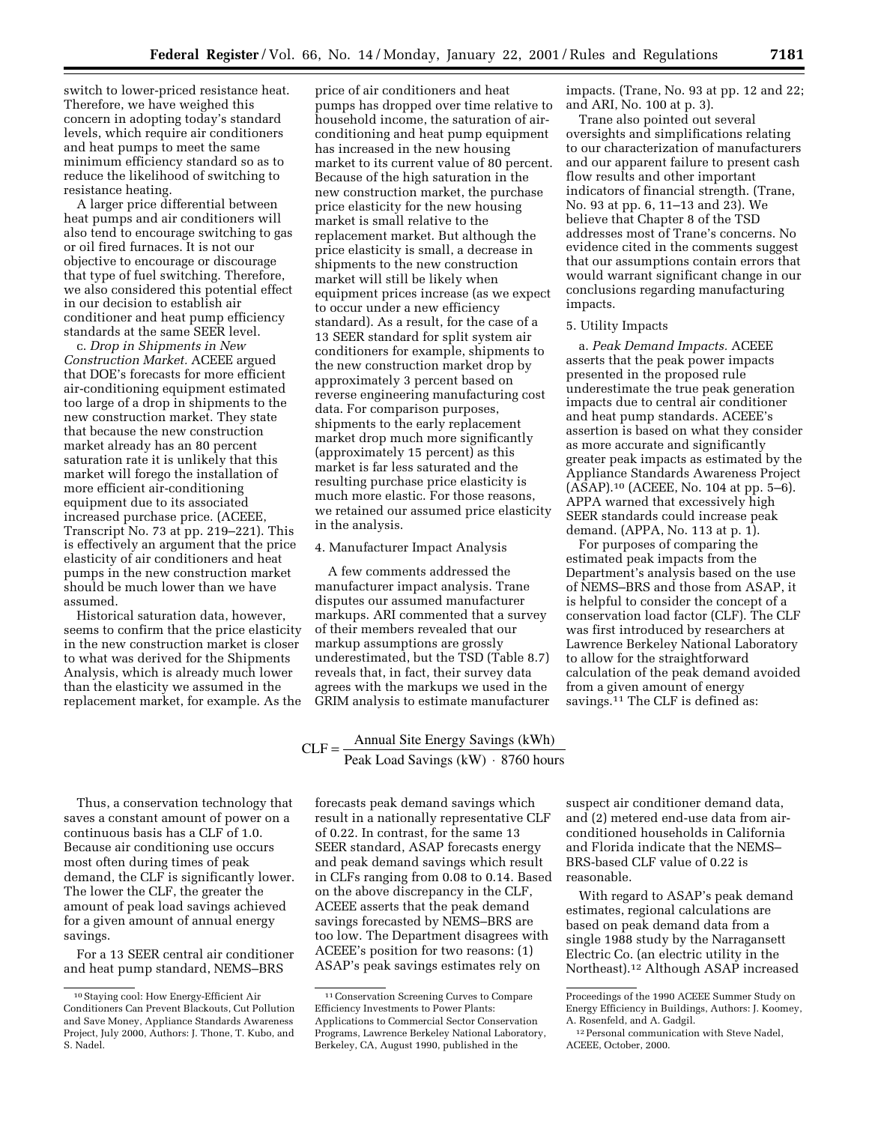switch to lower-priced resistance heat. Therefore, we have weighed this concern in adopting today's standard levels, which require air conditioners and heat pumps to meet the same minimum efficiency standard so as to reduce the likelihood of switching to resistance heating.

A larger price differential between heat pumps and air conditioners will also tend to encourage switching to gas or oil fired furnaces. It is not our objective to encourage or discourage that type of fuel switching. Therefore, we also considered this potential effect in our decision to establish air conditioner and heat pump efficiency standards at the same SEER level.

c. *Drop in Shipments in New Construction Market.* ACEEE argued that DOE's forecasts for more efficient air-conditioning equipment estimated too large of a drop in shipments to the new construction market. They state that because the new construction market already has an 80 percent saturation rate it is unlikely that this market will forego the installation of more efficient air-conditioning equipment due to its associated increased purchase price. (ACEEE, Transcript No. 73 at pp. 219–221). This is effectively an argument that the price elasticity of air conditioners and heat pumps in the new construction market should be much lower than we have assumed.

Historical saturation data, however, seems to confirm that the price elasticity in the new construction market is closer to what was derived for the Shipments Analysis, which is already much lower than the elasticity we assumed in the replacement market, for example. As the

price of air conditioners and heat pumps has dropped over time relative to household income, the saturation of airconditioning and heat pump equipment has increased in the new housing market to its current value of 80 percent. Because of the high saturation in the new construction market, the purchase price elasticity for the new housing market is small relative to the replacement market. But although the price elasticity is small, a decrease in shipments to the new construction market will still be likely when equipment prices increase (as we expect to occur under a new efficiency standard). As a result, for the case of a 13 SEER standard for split system air conditioners for example, shipments to the new construction market drop by approximately 3 percent based on reverse engineering manufacturing cost data. For comparison purposes, shipments to the early replacement market drop much more significantly (approximately 15 percent) as this market is far less saturated and the resulting purchase price elasticity is much more elastic. For those reasons, we retained our assumed price elasticity in the analysis.

## 4. Manufacturer Impact Analysis

A few comments addressed the manufacturer impact analysis. Trane disputes our assumed manufacturer markups. ARI commented that a survey of their members revealed that our markup assumptions are grossly underestimated, but the TSD (Table 8.7) reveals that, in fact, their survey data agrees with the markups we used in the GRIM analysis to estimate manufacturer

# $CLF = \frac{Annual Site Energy Savings (kWh)}{Peak Load Savings (kWh) \cdot 8760 hour}$ Savings  $(kW) \cdot 8760$  hours

Thus, a conservation technology that saves a constant amount of power on a continuous basis has a CLF of 1.0. Because air conditioning use occurs most often during times of peak demand, the CLF is significantly lower. The lower the CLF, the greater the amount of peak load savings achieved for a given amount of annual energy savings.

For a 13 SEER central air conditioner and heat pump standard, NEMS–BRS

forecasts peak demand savings which result in a nationally representative CLF of 0.22. In contrast, for the same 13 SEER standard, ASAP forecasts energy and peak demand savings which result in CLFs ranging from 0.08 to 0.14. Based on the above discrepancy in the CLF, ACEEE asserts that the peak demand savings forecasted by NEMS–BRS are too low. The Department disagrees with ACEEE's position for two reasons: (1) ASAP's peak savings estimates rely on

impacts. (Trane, No. 93 at pp. 12 and 22; and ARI, No. 100 at p. 3).

Trane also pointed out several oversights and simplifications relating to our characterization of manufacturers and our apparent failure to present cash flow results and other important indicators of financial strength. (Trane, No. 93 at pp. 6, 11–13 and 23). We believe that Chapter 8 of the TSD addresses most of Trane's concerns. No evidence cited in the comments suggest that our assumptions contain errors that would warrant significant change in our conclusions regarding manufacturing impacts.

# 5. Utility Impacts

a. *Peak Demand Impacts.* ACEEE asserts that the peak power impacts presented in the proposed rule underestimate the true peak generation impacts due to central air conditioner and heat pump standards. ACEEE's assertion is based on what they consider as more accurate and significantly greater peak impacts as estimated by the Appliance Standards Awareness Project (ASAP).10 (ACEEE, No. 104 at pp. 5–6). APPA warned that excessively high SEER standards could increase peak demand. (APPA, No. 113 at p. 1).

For purposes of comparing the estimated peak impacts from the Department's analysis based on the use of NEMS–BRS and those from ASAP, it is helpful to consider the concept of a conservation load factor (CLF). The CLF was first introduced by researchers at Lawrence Berkeley National Laboratory to allow for the straightforward calculation of the peak demand avoided from a given amount of energy savings.11 The CLF is defined as:

suspect air conditioner demand data, and (2) metered end-use data from airconditioned households in California and Florida indicate that the NEMS– BRS-based CLF value of 0.22 is reasonable.

With regard to ASAP's peak demand estimates, regional calculations are based on peak demand data from a single 1988 study by the Narragansett Electric Co. (an electric utility in the Northeast).12 Although ASAP increased

<sup>10</sup>Staying cool: How Energy-Efficient Air Conditioners Can Prevent Blackouts, Cut Pollution and Save Money, Appliance Standards Awareness Project, July 2000, Authors: J. Thone, T. Kubo, and S. Nadel.

<sup>11</sup>Conservation Screening Curves to Compare Efficiency Investments to Power Plants: Applications to Commercial Sector Conservation Programs, Lawrence Berkeley National Laboratory, Berkeley, CA, August 1990, published in the

Proceedings of the 1990 ACEEE Summer Study on Energy Efficiency in Buildings, Authors: J. Koomey, A. Rosenfeld, and A. Gadgil.

<sup>&</sup>lt;sup>12</sup> Personal communication with Steve Nadel, ACEEE, October, 2000.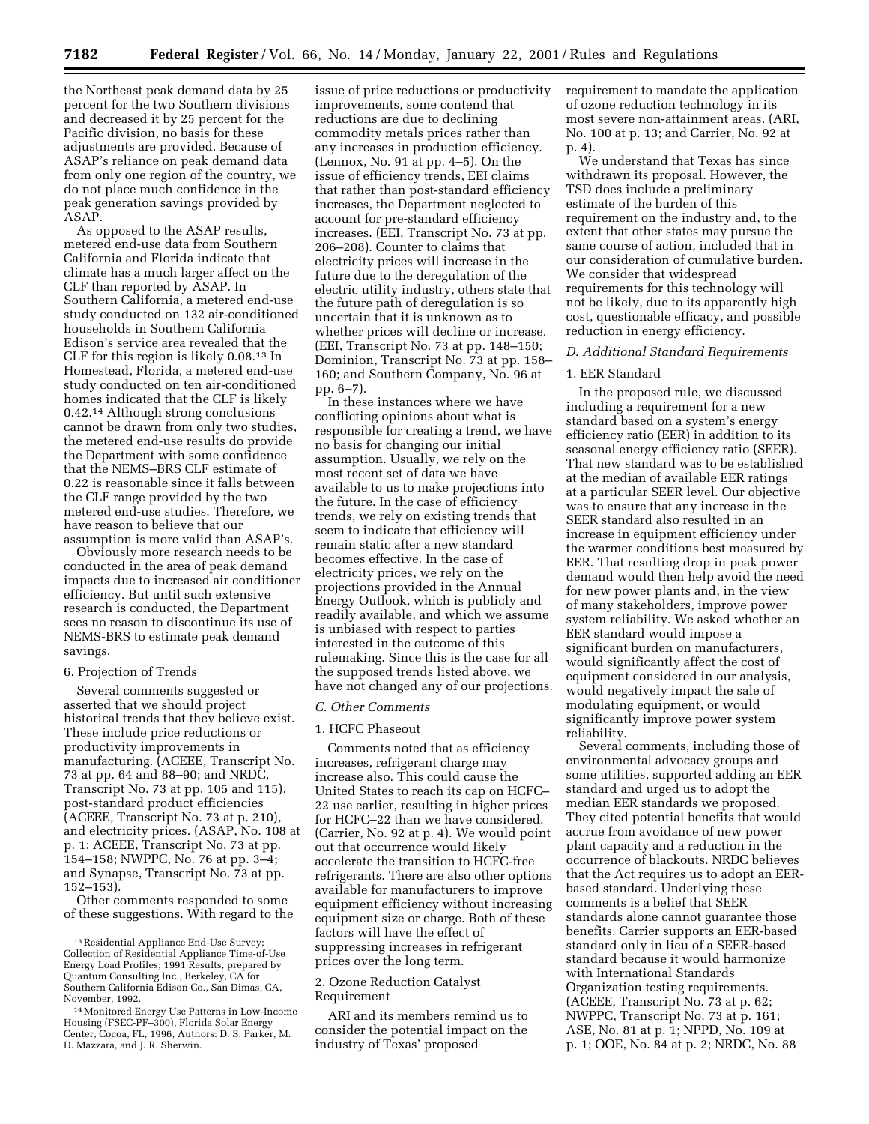the Northeast peak demand data by 25 percent for the two Southern divisions and decreased it by 25 percent for the Pacific division, no basis for these adjustments are provided. Because of ASAP's reliance on peak demand data from only one region of the country, we do not place much confidence in the peak generation savings provided by ASAP.

As opposed to the ASAP results, metered end-use data from Southern California and Florida indicate that climate has a much larger affect on the CLF than reported by ASAP. In Southern California, a metered end-use study conducted on 132 air-conditioned households in Southern California Edison's service area revealed that the CLF for this region is likely 0.08.13 In Homestead, Florida, a metered end-use study conducted on ten air-conditioned homes indicated that the CLF is likely 0.42.14 Although strong conclusions cannot be drawn from only two studies, the metered end-use results do provide the Department with some confidence that the NEMS–BRS CLF estimate of 0.22 is reasonable since it falls between the CLF range provided by the two metered end-use studies. Therefore, we have reason to believe that our assumption is more valid than ASAP's.

Obviously more research needs to be conducted in the area of peak demand impacts due to increased air conditioner efficiency. But until such extensive research is conducted, the Department sees no reason to discontinue its use of NEMS-BRS to estimate peak demand savings.

#### 6. Projection of Trends

Several comments suggested or asserted that we should project historical trends that they believe exist. These include price reductions or productivity improvements in manufacturing. (ACEEE, Transcript No. 73 at pp. 64 and 88–90; and NRDC, Transcript No. 73 at pp. 105 and 115), post-standard product efficiencies (ACEEE, Transcript No. 73 at p. 210), and electricity prices. (ASAP, No. 108 at p. 1; ACEEE, Transcript No. 73 at pp. 154–158; NWPPC, No. 76 at pp. 3–4; and Synapse, Transcript No. 73 at pp. 152–153).

Other comments responded to some of these suggestions. With regard to the

issue of price reductions or productivity improvements, some contend that reductions are due to declining commodity metals prices rather than any increases in production efficiency. (Lennox, No. 91 at pp. 4–5). On the issue of efficiency trends, EEI claims that rather than post-standard efficiency increases, the Department neglected to account for pre-standard efficiency increases. (EEI, Transcript No. 73 at pp. 206–208). Counter to claims that electricity prices will increase in the future due to the deregulation of the electric utility industry, others state that the future path of deregulation is so uncertain that it is unknown as to whether prices will decline or increase. (EEI, Transcript No. 73 at pp. 148–150; Dominion, Transcript No. 73 at pp. 158– 160; and Southern Company, No. 96 at pp. 6–7).

In these instances where we have conflicting opinions about what is responsible for creating a trend, we have no basis for changing our initial assumption. Usually, we rely on the most recent set of data we have available to us to make projections into the future. In the case of efficiency trends, we rely on existing trends that seem to indicate that efficiency will remain static after a new standard becomes effective. In the case of electricity prices, we rely on the projections provided in the Annual Energy Outlook, which is publicly and readily available, and which we assume is unbiased with respect to parties interested in the outcome of this rulemaking. Since this is the case for all the supposed trends listed above, we have not changed any of our projections.

#### *C. Other Comments*

#### 1. HCFC Phaseout

Comments noted that as efficiency increases, refrigerant charge may increase also. This could cause the United States to reach its cap on HCFC– 22 use earlier, resulting in higher prices for HCFC–22 than we have considered. (Carrier, No. 92 at p. 4). We would point out that occurrence would likely accelerate the transition to HCFC-free refrigerants. There are also other options available for manufacturers to improve equipment efficiency without increasing equipment size or charge. Both of these factors will have the effect of suppressing increases in refrigerant prices over the long term.

# 2. Ozone Reduction Catalyst Requirement

ARI and its members remind us to consider the potential impact on the industry of Texas' proposed

requirement to mandate the application of ozone reduction technology in its most severe non-attainment areas. (ARI, No. 100 at p. 13; and Carrier, No. 92 at p. 4).

We understand that Texas has since withdrawn its proposal. However, the TSD does include a preliminary estimate of the burden of this requirement on the industry and, to the extent that other states may pursue the same course of action, included that in our consideration of cumulative burden. We consider that widespread requirements for this technology will not be likely, due to its apparently high cost, questionable efficacy, and possible reduction in energy efficiency.

# *D. Additional Standard Requirements*

#### 1. EER Standard

In the proposed rule, we discussed including a requirement for a new standard based on a system's energy efficiency ratio (EER) in addition to its seasonal energy efficiency ratio (SEER). That new standard was to be established at the median of available EER ratings at a particular SEER level. Our objective was to ensure that any increase in the SEER standard also resulted in an increase in equipment efficiency under the warmer conditions best measured by EER. That resulting drop in peak power demand would then help avoid the need for new power plants and, in the view of many stakeholders, improve power system reliability. We asked whether an EER standard would impose a significant burden on manufacturers, would significantly affect the cost of equipment considered in our analysis, would negatively impact the sale of modulating equipment, or would significantly improve power system reliability.

Several comments, including those of environmental advocacy groups and some utilities, supported adding an EER standard and urged us to adopt the median EER standards we proposed. They cited potential benefits that would accrue from avoidance of new power plant capacity and a reduction in the occurrence of blackouts. NRDC believes that the Act requires us to adopt an EERbased standard. Underlying these comments is a belief that SEER standards alone cannot guarantee those benefits. Carrier supports an EER-based standard only in lieu of a SEER-based standard because it would harmonize with International Standards Organization testing requirements. (ACEEE, Transcript No. 73 at p. 62; NWPPC, Transcript No. 73 at p. 161; ASE, No. 81 at p. 1; NPPD, No. 109 at p. 1; OOE, No. 84 at p. 2; NRDC, No. 88

<sup>13</sup>Residential Appliance End-Use Survey; Collection of Residential Appliance Time-of-Use Energy Load Profiles; 1991 Results, prepared by Quantum Consulting Inc., Berkeley, CA for Southern California Edison Co., San Dimas, CA, November, 1992.

<sup>14</sup>Monitored Energy Use Patterns in Low-Income Housing (FSEC-PF–300), Florida Solar Energy Center, Cocoa, FL, 1996, Authors: D. S. Parker, M. D. Mazzara, and J. R. Sherwin.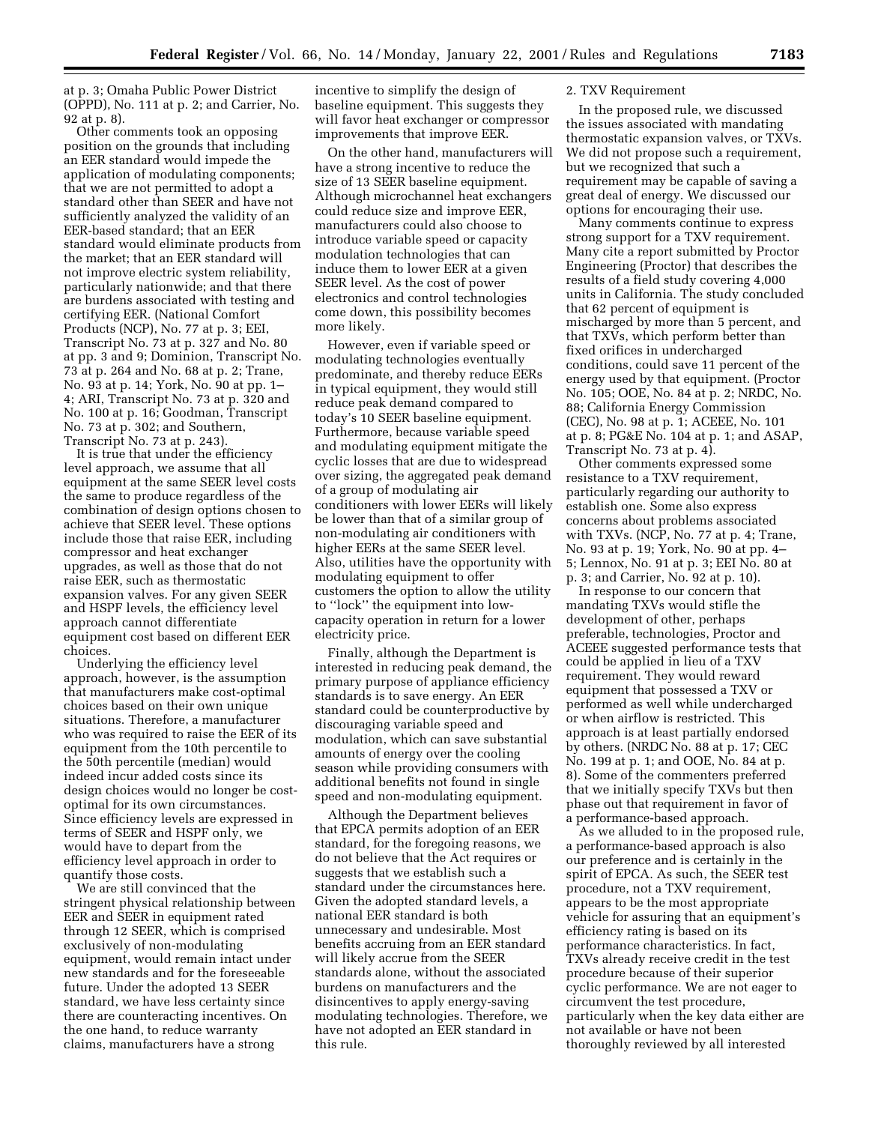at p. 3; Omaha Public Power District (OPPD), No. 111 at p. 2; and Carrier, No. 92 at p. 8).

Other comments took an opposing position on the grounds that including an EER standard would impede the application of modulating components; that we are not permitted to adopt a standard other than SEER and have not sufficiently analyzed the validity of an EER-based standard; that an EER standard would eliminate products from the market; that an EER standard will not improve electric system reliability, particularly nationwide; and that there are burdens associated with testing and certifying EER. (National Comfort Products (NCP), No. 77 at p. 3; EEI, Transcript No. 73 at p. 327 and No. 80 at pp. 3 and 9; Dominion, Transcript No. 73 at p. 264 and No. 68 at p. 2; Trane, No. 93 at p. 14; York, No. 90 at pp. 1– 4; ARI, Transcript No. 73 at p. 320 and No. 100 at p. 16; Goodman, Transcript No. 73 at p. 302; and Southern, Transcript No. 73 at p. 243).

It is true that under the efficiency level approach, we assume that all equipment at the same SEER level costs the same to produce regardless of the combination of design options chosen to achieve that SEER level. These options include those that raise EER, including compressor and heat exchanger upgrades, as well as those that do not raise EER, such as thermostatic expansion valves. For any given SEER and HSPF levels, the efficiency level approach cannot differentiate equipment cost based on different EER choices.

Underlying the efficiency level approach, however, is the assumption that manufacturers make cost-optimal choices based on their own unique situations. Therefore, a manufacturer who was required to raise the EER of its equipment from the 10th percentile to the 50th percentile (median) would indeed incur added costs since its design choices would no longer be costoptimal for its own circumstances. Since efficiency levels are expressed in terms of SEER and HSPF only, we would have to depart from the efficiency level approach in order to quantify those costs.

We are still convinced that the stringent physical relationship between EER and SEER in equipment rated through 12 SEER, which is comprised exclusively of non-modulating equipment, would remain intact under new standards and for the foreseeable future. Under the adopted 13 SEER standard, we have less certainty since there are counteracting incentives. On the one hand, to reduce warranty claims, manufacturers have a strong

incentive to simplify the design of baseline equipment. This suggests they will favor heat exchanger or compressor improvements that improve EER.

On the other hand, manufacturers will have a strong incentive to reduce the size of 13 SEER baseline equipment. Although microchannel heat exchangers could reduce size and improve EER, manufacturers could also choose to introduce variable speed or capacity modulation technologies that can induce them to lower EER at a given SEER level. As the cost of power electronics and control technologies come down, this possibility becomes more likely.

However, even if variable speed or modulating technologies eventually predominate, and thereby reduce EERs in typical equipment, they would still reduce peak demand compared to today's 10 SEER baseline equipment. Furthermore, because variable speed and modulating equipment mitigate the cyclic losses that are due to widespread over sizing, the aggregated peak demand of a group of modulating air conditioners with lower EERs will likely be lower than that of a similar group of non-modulating air conditioners with higher EERs at the same SEER level. Also, utilities have the opportunity with modulating equipment to offer customers the option to allow the utility to ''lock'' the equipment into lowcapacity operation in return for a lower electricity price.

Finally, although the Department is interested in reducing peak demand, the primary purpose of appliance efficiency standards is to save energy. An EER standard could be counterproductive by discouraging variable speed and modulation, which can save substantial amounts of energy over the cooling season while providing consumers with additional benefits not found in single speed and non-modulating equipment.

Although the Department believes that EPCA permits adoption of an EER standard, for the foregoing reasons, we do not believe that the Act requires or suggests that we establish such a standard under the circumstances here. Given the adopted standard levels, a national EER standard is both unnecessary and undesirable. Most benefits accruing from an EER standard will likely accrue from the SEER standards alone, without the associated burdens on manufacturers and the disincentives to apply energy-saving modulating technologies. Therefore, we have not adopted an EER standard in this rule.

#### 2. TXV Requirement

In the proposed rule, we discussed the issues associated with mandating thermostatic expansion valves, or TXVs. We did not propose such a requirement, but we recognized that such a requirement may be capable of saving a great deal of energy. We discussed our options for encouraging their use.

Many comments continue to express strong support for a TXV requirement. Many cite a report submitted by Proctor Engineering (Proctor) that describes the results of a field study covering 4,000 units in California. The study concluded that 62 percent of equipment is mischarged by more than 5 percent, and that TXVs, which perform better than fixed orifices in undercharged conditions, could save 11 percent of the energy used by that equipment. (Proctor No. 105; OOE, No. 84 at p. 2; NRDC, No. 88; California Energy Commission (CEC), No. 98 at p. 1; ACEEE, No. 101 at p. 8; PG&E No. 104 at p. 1; and ASAP, Transcript No. 73 at p. 4).

Other comments expressed some resistance to a TXV requirement, particularly regarding our authority to establish one. Some also express concerns about problems associated with TXVs. (NCP, No. 77 at p. 4; Trane, No. 93 at p. 19; York, No. 90 at pp. 4– 5; Lennox, No. 91 at p. 3; EEI No. 80 at p. 3; and Carrier, No. 92 at p. 10).

In response to our concern that mandating TXVs would stifle the development of other, perhaps preferable, technologies, Proctor and ACEEE suggested performance tests that could be applied in lieu of a TXV requirement. They would reward equipment that possessed a TXV or performed as well while undercharged or when airflow is restricted. This approach is at least partially endorsed by others. (NRDC No. 88 at p. 17; CEC No. 199 at p. 1; and OOE, No. 84 at p. 8). Some of the commenters preferred that we initially specify TXVs but then phase out that requirement in favor of a performance-based approach.

As we alluded to in the proposed rule, a performance-based approach is also our preference and is certainly in the spirit of EPCA. As such, the SEER test procedure, not a TXV requirement, appears to be the most appropriate vehicle for assuring that an equipment's efficiency rating is based on its performance characteristics. In fact, TXVs already receive credit in the test procedure because of their superior cyclic performance. We are not eager to circumvent the test procedure, particularly when the key data either are not available or have not been thoroughly reviewed by all interested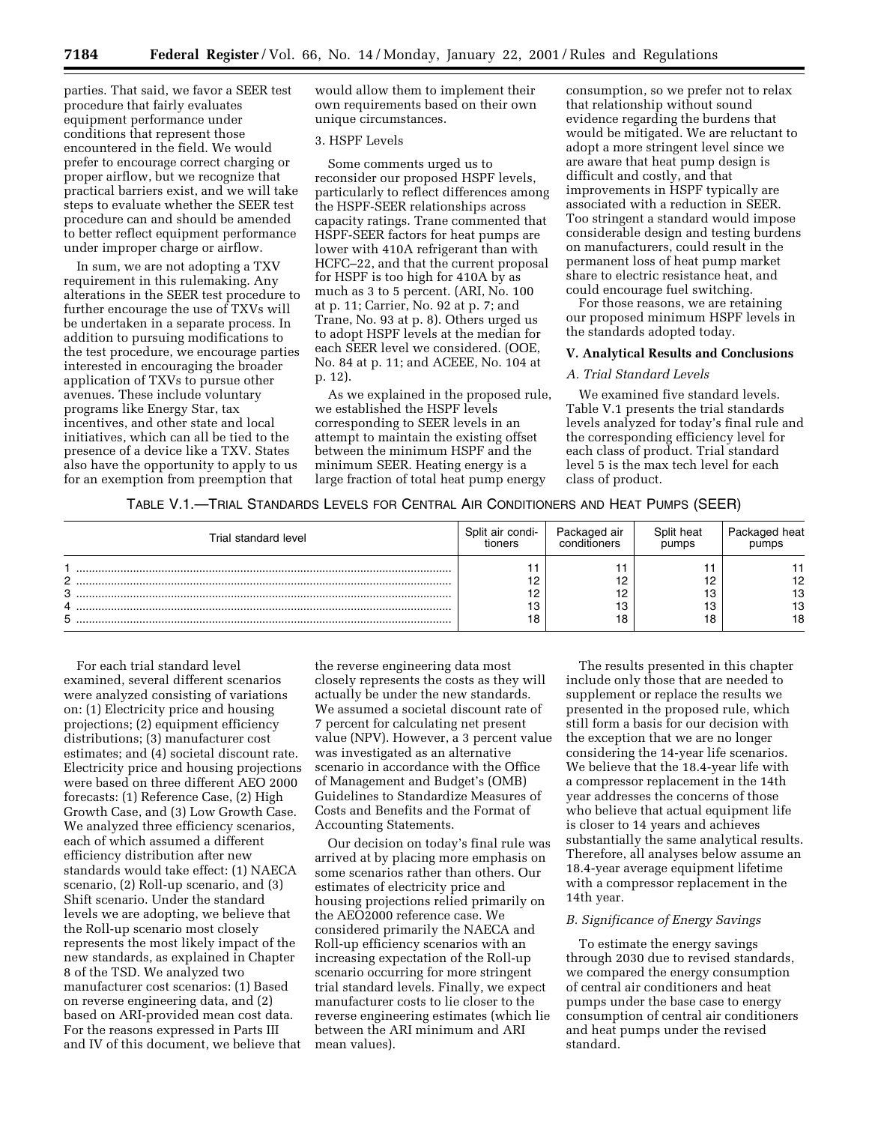parties. That said, we favor a SEER test procedure that fairly evaluates equipment performance under conditions that represent those encountered in the field. We would prefer to encourage correct charging or proper airflow, but we recognize that practical barriers exist, and we will take steps to evaluate whether the SEER test procedure can and should be amended to better reflect equipment performance under improper charge or airflow.

In sum, we are not adopting a TXV requirement in this rulemaking. Any alterations in the SEER test procedure to further encourage the use of TXVs will be undertaken in a separate process. In addition to pursuing modifications to the test procedure, we encourage parties interested in encouraging the broader application of TXVs to pursue other avenues. These include voluntary programs like Energy Star, tax incentives, and other state and local initiatives, which can all be tied to the presence of a device like a TXV. States also have the opportunity to apply to us for an exemption from preemption that

would allow them to implement their own requirements based on their own unique circumstances.

# 3. HSPF Levels

Some comments urged us to reconsider our proposed HSPF levels, particularly to reflect differences among the HSPF-SEER relationships across capacity ratings. Trane commented that HSPF-SEER factors for heat pumps are lower with 410A refrigerant than with HCFC–22, and that the current proposal for HSPF is too high for 410A by as much as 3 to 5 percent. (ARI, No. 100 at p. 11; Carrier, No. 92 at p. 7; and Trane, No. 93 at p. 8). Others urged us to adopt HSPF levels at the median for each SEER level we considered. (OOE, No. 84 at p. 11; and ACEEE, No. 104 at p. 12).

As we explained in the proposed rule, we established the HSPF levels corresponding to SEER levels in an attempt to maintain the existing offset between the minimum HSPF and the minimum SEER. Heating energy is a large fraction of total heat pump energy

consumption, so we prefer not to relax that relationship without sound evidence regarding the burdens that would be mitigated. We are reluctant to adopt a more stringent level since we are aware that heat pump design is difficult and costly, and that improvements in HSPF typically are associated with a reduction in SEER. Too stringent a standard would impose considerable design and testing burdens on manufacturers, could result in the permanent loss of heat pump market share to electric resistance heat, and could encourage fuel switching.

For those reasons, we are retaining our proposed minimum HSPF levels in the standards adopted today.

#### **V. Analytical Results and Conclusions**

#### *A. Trial Standard Levels*

We examined five standard levels. Table V.1 presents the trial standards levels analyzed for today's final rule and the corresponding efficiency level for each class of product. Trial standard level 5 is the max tech level for each class of product.

# TABLE V.1.—TRIAL STANDARDS LEVELS FOR CENTRAL AIR CONDITIONERS AND HEAT PUMPS (SEER)

| Trial standard level  | Split air condi-<br>tioners | Packaged air<br>ditioners | Split heat<br>pumps | heat           |
|-----------------------|-----------------------------|---------------------------|---------------------|----------------|
| C<br>Q<br>υ<br>4<br>5 |                             | 12<br>╺<br>12<br>13<br>18 | 18                  | 13<br>13<br>18 |

For each trial standard level examined, several different scenarios were analyzed consisting of variations on: (1) Electricity price and housing projections; (2) equipment efficiency distributions; (3) manufacturer cost estimates; and (4) societal discount rate. Electricity price and housing projections were based on three different AEO 2000 forecasts: (1) Reference Case, (2) High Growth Case, and (3) Low Growth Case. We analyzed three efficiency scenarios, each of which assumed a different efficiency distribution after new standards would take effect: (1) NAECA scenario, (2) Roll-up scenario, and (3) Shift scenario. Under the standard levels we are adopting, we believe that the Roll-up scenario most closely represents the most likely impact of the new standards, as explained in Chapter 8 of the TSD. We analyzed two manufacturer cost scenarios: (1) Based on reverse engineering data, and (2) based on ARI-provided mean cost data. For the reasons expressed in Parts III and IV of this document, we believe that

the reverse engineering data most closely represents the costs as they will actually be under the new standards. We assumed a societal discount rate of 7 percent for calculating net present value (NPV). However, a 3 percent value was investigated as an alternative scenario in accordance with the Office of Management and Budget's (OMB) Guidelines to Standardize Measures of Costs and Benefits and the Format of Accounting Statements.

Our decision on today's final rule was arrived at by placing more emphasis on some scenarios rather than others. Our estimates of electricity price and housing projections relied primarily on the AEO2000 reference case. We considered primarily the NAECA and Roll-up efficiency scenarios with an increasing expectation of the Roll-up scenario occurring for more stringent trial standard levels. Finally, we expect manufacturer costs to lie closer to the reverse engineering estimates (which lie between the ARI minimum and ARI mean values).

The results presented in this chapter include only those that are needed to supplement or replace the results we presented in the proposed rule, which still form a basis for our decision with the exception that we are no longer considering the 14-year life scenarios. We believe that the 18.4-year life with a compressor replacement in the 14th year addresses the concerns of those who believe that actual equipment life is closer to 14 years and achieves substantially the same analytical results. Therefore, all analyses below assume an 18.4-year average equipment lifetime with a compressor replacement in the 14th year.

#### *B. Significance of Energy Savings*

To estimate the energy savings through 2030 due to revised standards, we compared the energy consumption of central air conditioners and heat pumps under the base case to energy consumption of central air conditioners and heat pumps under the revised standard.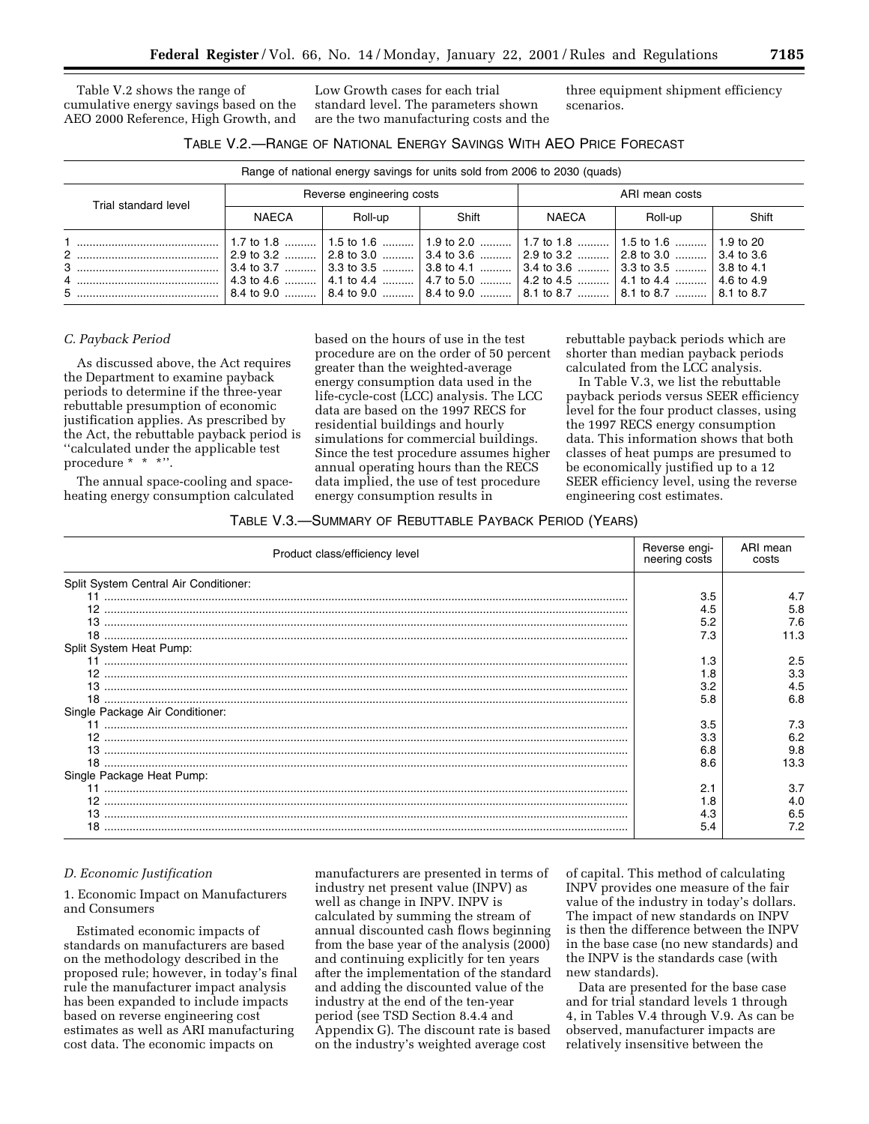Table V.2 shows the range of cumulative energy savings based on the AEO 2000 Reference, High Growth, and

Low Growth cases for each trial standard level. The parameters shown are the two manufacturing costs and the three equipment shipment efficiency scenarios.

| TABLE V.2.-- RANGE OF NATIONAL ENERGY SAVINGS WITH AEO PRICE FORECAST |
|-----------------------------------------------------------------------|
|-----------------------------------------------------------------------|

| Range of national energy savings for units sold from 2006 to 2030 (quads) |                                                                                                                                                                                                                                                                                                                                                                                                                                                                                                                                          |                                                                                                     |       |                |         |       |
|---------------------------------------------------------------------------|------------------------------------------------------------------------------------------------------------------------------------------------------------------------------------------------------------------------------------------------------------------------------------------------------------------------------------------------------------------------------------------------------------------------------------------------------------------------------------------------------------------------------------------|-----------------------------------------------------------------------------------------------------|-------|----------------|---------|-------|
| Trial standard level                                                      | Reverse engineering costs                                                                                                                                                                                                                                                                                                                                                                                                                                                                                                                |                                                                                                     |       | ARI mean costs |         |       |
|                                                                           | NAECA                                                                                                                                                                                                                                                                                                                                                                                                                                                                                                                                    | Roll-up                                                                                             | Shift | NAECA          | Roll-up | Shift |
|                                                                           | $\mid$ 2.9 to 3.2 ……… $\mid$ 2.8 to 3.0 ……… $\mid$ 3.4 to 3.6 ……… $\mid$ 2.9 to 3.2 ……… $\mid$ 2.8 to 3.0 ……… $\mid$ 3.4 to 3.6<br>$\mid$ 3.4 to 3.7 ……… $\mid$ 3.3 to 3.5 ……… $\mid$ 3.8 to 4.1 ……… $\mid$ 3.4 to 3.6 ……… $\mid$ 3.3 to 3.5 ……… $\mid$ 3.8 to 4.1<br>$\mid$ 4.3 to 4.6 ……… $\mid$ 4.1 to 4.4 ……… $\mid$ 4.7 to 5.0 ……… $\mid$ 4.2 to 4.5 ……… $\mid$ 4.1 to 4.4 ……… $\mid$ 4.6 to 4.9<br>$\mid$ 8.4 to 9.0 ……… $\mid$ 8.4 to 9.0 ……… $\mid$ 8.4 to 9.0 ……… $\mid$ 8.1 to 8.7 ……… $\mid$ 8.1 to 8.7 ……… $\mid$ 8.1 to 8.7 | 1.7 to 1.8 ……….   1.5 to 1.6 ……….   1.9 to 2.0 ……….   1.7 to 1.8 ……….   1.5 to 1.6 ……….   1.9 to 20 |       |                |         |       |

#### *C. Payback Period*

As discussed above, the Act requires the Department to examine payback periods to determine if the three-year rebuttable presumption of economic justification applies. As prescribed by the Act, the rebuttable payback period is ''calculated under the applicable test procedure \* \* \*''.

The annual space-cooling and spaceheating energy consumption calculated based on the hours of use in the test procedure are on the order of 50 percent greater than the weighted-average energy consumption data used in the life-cycle-cost (LCC) analysis. The LCC data are based on the 1997 RECS for residential buildings and hourly simulations for commercial buildings. Since the test procedure assumes higher annual operating hours than the RECS data implied, the use of test procedure energy consumption results in

rebuttable payback periods which are shorter than median payback periods calculated from the LCC analysis.

In Table V.3, we list the rebuttable payback periods versus SEER efficiency level for the four product classes, using the 1997 RECS energy consumption data. This information shows that both classes of heat pumps are presumed to be economically justified up to a 12 SEER efficiency level, using the reverse engineering cost estimates.

# TABLE V.3.—SUMMARY OF REBUTTABLE PAYBACK PERIOD (YEARS)

| Product class/efficiency level        | Reverse engi-<br>neering costs | ARI mean<br>costs |
|---------------------------------------|--------------------------------|-------------------|
| Split System Central Air Conditioner: |                                |                   |
|                                       | 3.5                            | 4.7               |
|                                       | 4.5                            | 5.8               |
|                                       | 5.2                            | 7.6               |
| 18                                    | 7.3                            | 11.3              |
| Split System Heat Pump:               |                                |                   |
|                                       | 1.3                            | 2.5               |
| 12.                                   | 1.8                            | 3.3               |
|                                       | 3.2                            |                   |
|                                       | 5.8                            | 6.8               |
| Single Package Air Conditioner:       |                                |                   |
|                                       | 3.5                            | 7.3               |
|                                       | 3.3                            | 6.2               |
|                                       | 6.8                            | 9.8               |
|                                       | 8.6                            | 13.3              |
| Single Package Heat Pump:             |                                |                   |
|                                       | 2.1                            | 3.7               |
| 12.                                   | 1.8                            | 4.0               |
|                                       | 4.3                            | 6.5               |
| 18                                    | 5.4                            | 7.2               |
|                                       |                                |                   |

#### *D. Economic Justification*

1. Economic Impact on Manufacturers and Consumers

Estimated economic impacts of standards on manufacturers are based on the methodology described in the proposed rule; however, in today's final rule the manufacturer impact analysis has been expanded to include impacts based on reverse engineering cost estimates as well as ARI manufacturing cost data. The economic impacts on

manufacturers are presented in terms of industry net present value (INPV) as well as change in INPV. INPV is calculated by summing the stream of annual discounted cash flows beginning from the base year of the analysis (2000) and continuing explicitly for ten years after the implementation of the standard and adding the discounted value of the industry at the end of the ten-year period (see TSD Section 8.4.4 and Appendix G). The discount rate is based on the industry's weighted average cost

of capital. This method of calculating INPV provides one measure of the fair value of the industry in today's dollars. The impact of new standards on INPV is then the difference between the INPV in the base case (no new standards) and the INPV is the standards case (with new standards).

Data are presented for the base case and for trial standard levels 1 through 4, in Tables V.4 through V.9. As can be observed, manufacturer impacts are relatively insensitive between the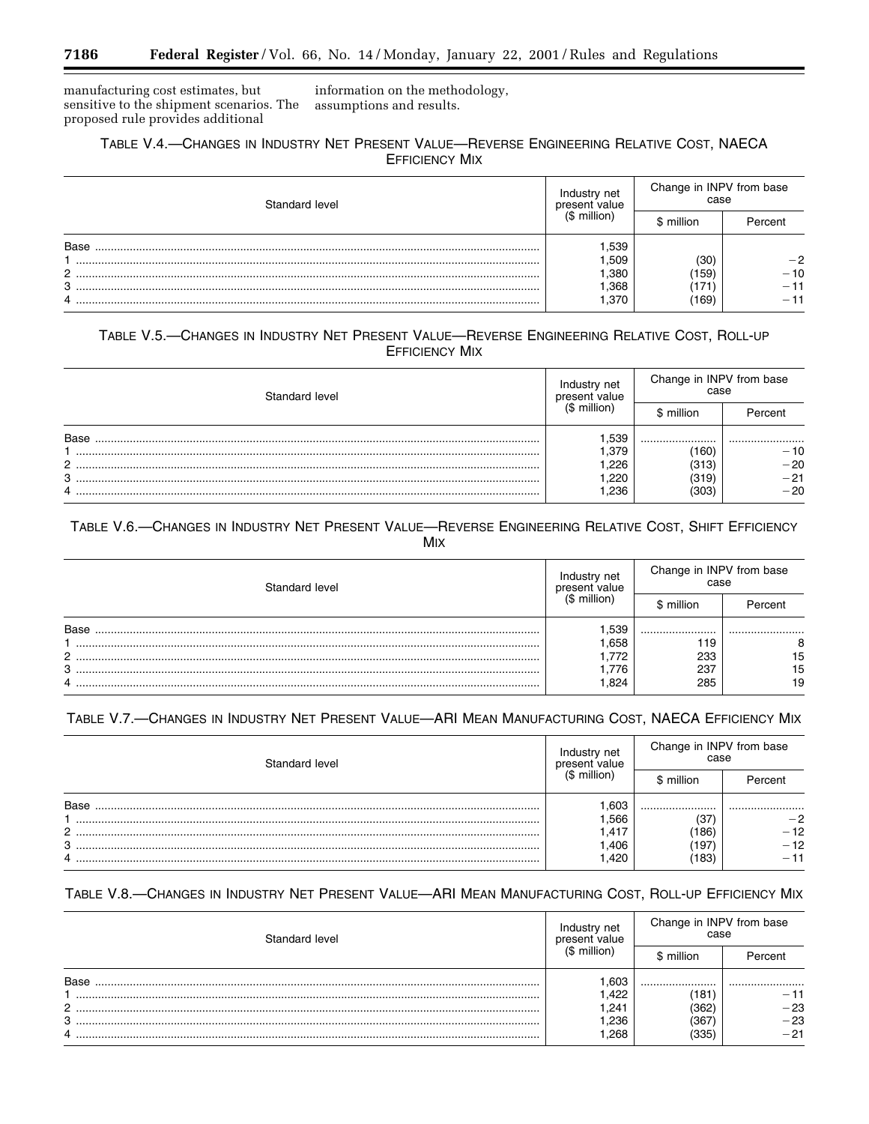manufacturing cost estimates, but sensitive to the shipment scenarios. The proposed rule provides additional

information on the methodology, assumptions and results.

# TABLE V.4.-CHANGES IN INDUSTRY NET PRESENT VALUE-REVERSE ENGINEERING RELATIVE COST, NAECA **EFFICIENCY MIX**

| Standard level | Industry net<br>present value | Change in INPV from base<br>case |         |
|----------------|-------------------------------|----------------------------------|---------|
|                | $(S$ million)                 | \$ million                       | Percent |
| Base           | .539                          |                                  |         |
|                | .509                          | (30)                             | $-2$    |
| っ              | ,380                          | 159                              | $-10$   |
| 3              | .368                          | .171`                            | 11      |
| 4              | ,370                          | $^{\prime}$ 169)                 |         |

# TABLE V.5.-CHANGES IN INDUSTRY NET PRESENT VALUE-REVERSE ENGINEERING RELATIVE COST, ROLL-UP **EFFICIENCY MIX**

| Standard level | Industry net<br>present value | Change in INPV from base<br>case |         |
|----------------|-------------------------------|----------------------------------|---------|
|                | $($$ million)                 | million                          | Percent |
| Base           | .539                          |                                  |         |
|                | .379                          | $^{\prime}160)$                  | $-10$   |
| 2              | .226                          | (313)                            | $-20$   |
| 3              | ,220                          | (319)                            | $-21$   |
| 4              | .236                          | (303)                            | $-20$   |

# TABLE V.6.-CHANGES IN INDUSTRY NET PRESENT VALUE-REVERSE ENGINEERING RELATIVE COST, SHIFT EFFICIENCY **MIX**

| Standard level | Industry net<br>present value | Change in INPV from base<br>case |         |  |
|----------------|-------------------------------|----------------------------------|---------|--|
|                | (\$ million)                  | \$ million                       | Percent |  |
| <b>Base</b>    | .539                          |                                  |         |  |
|                | .658                          | 119                              |         |  |
| 2              | . .772                        | 233                              | 15      |  |
| 3              | . 776                         | 237                              | 15      |  |
| 4              | .824                          | 285                              | 19      |  |

# TABLE V.7.-CHANGES IN INDUSTRY NET PRESENT VALUE-ARI MEAN MANUFACTURING COST, NAECA EFFICIENCY MIX

| Standard level | net<br>present value | Change in INPV from base<br>case |         |
|----------------|----------------------|----------------------------------|---------|
|                | $(S$ million)        | \$ million                       | Percent |
| Base           | .603                 |                                  |         |
|                | .566                 | (37)                             | -2      |
| $\overline{2}$ | .417                 | 186                              | $-12$   |
| 3              | ,406                 | 197                              | $-12$   |
| 4              | .420                 | 183                              | $-11$   |

# TABLE V.8.-CHANGES IN INDUSTRY NET PRESENT VALUE-ARI MEAN MANUFACTURING COST, ROLL-UP EFFICIENCY MIX

| Standard level | Industry net<br>present value |              | Change in INPV from base<br>case<br>\$ million<br>Percent |  |
|----------------|-------------------------------|--------------|-----------------------------------------------------------|--|
|                | $(S$ million)                 |              |                                                           |  |
| <b>Base</b>    | .603<br>.422                  | <br>181      | <br>$-11$                                                 |  |
| っ              | .241                          | 362          | $-23$                                                     |  |
| 3<br>4         | ,236<br>.268                  | 367,<br>(335 | $-23$<br>$-21$                                            |  |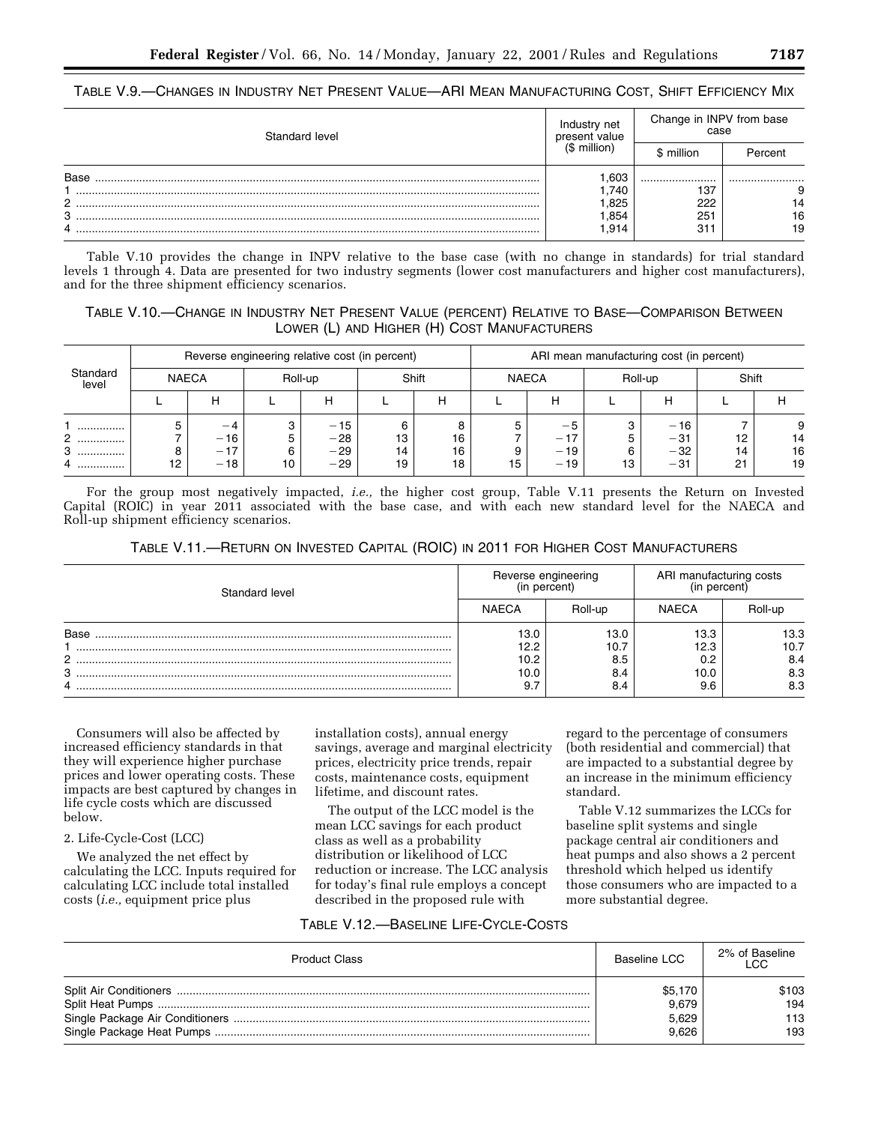| TABLE V.9.—CHANGES IN INDUSTRY NET PRESENT VALUE—ARI MEAN MANUFACTURING COST, SHIFT EFFICIENCY MIX |
|----------------------------------------------------------------------------------------------------|
|----------------------------------------------------------------------------------------------------|

| Standard level | net<br>Industry<br>present value | Change in INPV from base<br>case |         |
|----------------|----------------------------------|----------------------------------|---------|
|                | $(S$ million)                    | - million                        | Percent |
| <b>Base</b>    | .603                             |                                  |         |
|                | .740                             | 137                              |         |
| C              | .825                             | 222                              | 14      |
| 3              | .854                             | 251                              | 16      |
|                | .914                             | 31                               | 19      |

Table V.10 provides the change in INPV relative to the base case (with no change in standards) for trial standard levels 1 through 4. Data are presented for two industry segments (lower cost manufacturers and higher cost manufacturers), and for the three shipment efficiency scenarios.

# TABLE V.10.—CHANGE IN INDUSTRY NET PRESENT VALUE (PERCENT) RELATIVE TO BASE—COMPARISON BETWEEN LOWER (L) AND HIGHER (H) COST MANUFACTURERS

| Reverse engineering relative cost (in percent) |              |                               |    | ARI mean manufacturing cost (in percent) |                     |                     |         |                         |              |                                  |                |                |
|------------------------------------------------|--------------|-------------------------------|----|------------------------------------------|---------------------|---------------------|---------|-------------------------|--------------|----------------------------------|----------------|----------------|
| Standard<br>level                              | <b>NAECA</b> |                               |    | Roll-up                                  |                     | Shift               |         | <b>NAECA</b>            |              | Roll-up                          | Shift          |                |
|                                                |              |                               |    | Н                                        |                     | н                   |         | н                       |              |                                  |                |                |
| <br>2<br>.<br>3<br><br>                        | 8<br>12      | -4<br>$-16$<br>$-17$<br>$-18$ | 10 | $-15$<br>$-28$<br>$-29$<br>$-29$         | 6<br>13<br>14<br>19 | 8<br>16<br>16<br>18 | 5<br>15 | $-17$<br>$-19$<br>$-19$ | c<br>6<br>13 | $-16$<br>$-31$<br>$-32$<br>$-31$ | 12<br>14<br>21 | 14<br>16<br>19 |

For the group most negatively impacted, *i.e.,* the higher cost group, Table V.11 presents the Return on Invested Capital (ROIC) in year 2011 associated with the base case, and with each new standard level for the NAECA and Roll-up shipment efficiency scenarios.

TABLE V.11.—RETURN ON INVESTED CAPITAL (ROIC) IN 2011 FOR HIGHER COST MANUFACTURERS

| Standard level | Reverse engineering<br>(in percent) |         | ARI manufacturing costs<br>(in percent |         |  |
|----------------|-------------------------------------|---------|----------------------------------------|---------|--|
|                | <b>NAECA</b>                        | Roll-up | <b>NAECA</b>                           | Roll-up |  |
| Base           | 13.0                                | 13.0    | 13.3                                   | 13.3    |  |
|                | 12.2                                | 10.7    | 12.3                                   | 10.7    |  |
| C              | 10.2                                | 8.5     | 0.2                                    | 8.4     |  |
| з              | 10.0                                | 8.4     | 10.0                                   | 8.3     |  |
|                | 9.7                                 | 8.4     | 9.6                                    | 8.3     |  |

Consumers will also be affected by increased efficiency standards in that they will experience higher purchase prices and lower operating costs. These impacts are best captured by changes in life cycle costs which are discussed below.

2. Life-Cycle-Cost (LCC)

We analyzed the net effect by calculating the LCC. Inputs required for calculating LCC include total installed costs (*i.e.,* equipment price plus

installation costs), annual energy savings, average and marginal electricity prices, electricity price trends, repair costs, maintenance costs, equipment lifetime, and discount rates.

The output of the LCC model is the mean LCC savings for each product class as well as a probability distribution or likelihood of LCC reduction or increase. The LCC analysis for today's final rule employs a concept described in the proposed rule with

regard to the percentage of consumers (both residential and commercial) that are impacted to a substantial degree by an increase in the minimum efficiency standard.

Table V.12 summarizes the LCCs for baseline split systems and single package central air conditioners and heat pumps and also shows a 2 percent threshold which helped us identify those consumers who are impacted to a more substantial degree.

# TABLE V.12.—BASELINE LIFE-CYCLE-COSTS

| <b>Product Class</b> | Baseline LCC | 2% of Baseline<br><b>LCC</b> |
|----------------------|--------------|------------------------------|
|                      | \$5,170      | \$103                        |
|                      | 9.679        | 194                          |
|                      | 5.629        | 113                          |
|                      | 9.626        | 193                          |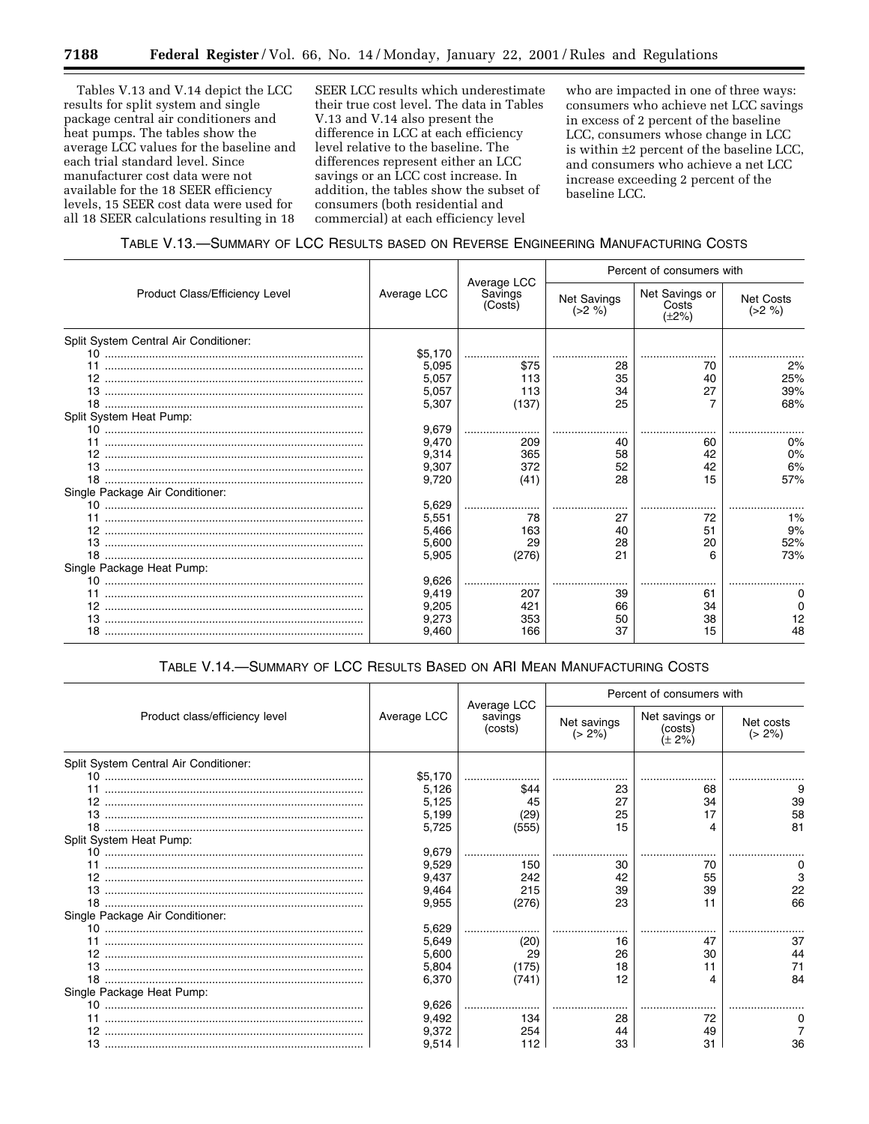Tables V.13 and V.14 depict the LCC results for split system and single package central air conditioners and heat pumps. The tables show the average LCC values for the baseline and each trial standard level. Since manufacturer cost data were not available for the 18 SEER efficiency levels, 15 SEER cost data were used for all 18 SEER calculations resulting in 18

SEER LCC results which underestimate their true cost level. The data in Tables V.13 and V.14 also present the difference in LCC at each efficiency level relative to the baseline. The differences represent either an LCC savings or an LCC cost increase. In addition, the tables show the subset of consumers (both residential and commercial) at each efficiency level

who are impacted in one of three ways: consumers who achieve net LCC savings in excess of 2 percent of the baseline LCC, consumers whose change in LCC is within ±2 percent of the baseline LCC, and consumers who achieve a net LCC increase exceeding 2 percent of the baseline LCC.

# TABLE V.13.—SUMMARY OF LCC RESULTS BASED ON REVERSE ENGINEERING MANUFACTURING COSTS

|                                       |             |                                   |                                | Percent of consumers with              |                              |  |  |
|---------------------------------------|-------------|-----------------------------------|--------------------------------|----------------------------------------|------------------------------|--|--|
| Product Class/Efficiency Level        | Average LCC | Average LCC<br>Savings<br>(Costs) | <b>Net Savings</b><br>$(>2\%)$ | Net Savings or<br>Costs<br>$(\pm 2\%)$ | <b>Net Costs</b><br>$(>2\%)$ |  |  |
| Split System Central Air Conditioner: |             |                                   |                                |                                        |                              |  |  |
|                                       | \$5,170     |                                   |                                |                                        |                              |  |  |
|                                       | 5,095       | \$75                              | 28                             | 70                                     | 2%                           |  |  |
|                                       | 5,057       | 113                               | 35                             | 40                                     | 25%                          |  |  |
|                                       | 5,057       | 113                               | 34                             | 27                                     | 39%                          |  |  |
|                                       | 5,307       | (137)                             | 25                             |                                        | 68%                          |  |  |
| Split System Heat Pump:               |             |                                   |                                |                                        |                              |  |  |
|                                       | 9,679       |                                   |                                |                                        |                              |  |  |
|                                       | 9,470       | 209                               | 40                             | 60                                     | 0%                           |  |  |
|                                       | 9,314       | 365                               | 58                             | 42                                     | 0%                           |  |  |
|                                       | 9,307       | 372                               | 52                             | 42                                     | 6%                           |  |  |
|                                       | 9,720       | (41)                              | 28                             | 15                                     | 57%                          |  |  |
| Single Package Air Conditioner:       |             |                                   |                                |                                        |                              |  |  |
|                                       | 5,629       |                                   |                                |                                        |                              |  |  |
|                                       | 5,551       | 78                                | 27                             | 72                                     | 1%                           |  |  |
|                                       | 5,466       | 163                               | 40                             | 51                                     | 9%                           |  |  |
|                                       | 5,600       | 29                                | 28                             | 20                                     | 52%                          |  |  |
|                                       | 5,905       | (276)                             | 21                             | 6                                      | 73%                          |  |  |
| Single Package Heat Pump:             |             |                                   |                                |                                        |                              |  |  |
|                                       | 9,626       |                                   |                                |                                        |                              |  |  |
|                                       | 9,419       | 207                               | 39                             | 61                                     |                              |  |  |
|                                       | 9,205       | 421                               | 66                             | 34                                     |                              |  |  |
|                                       | 9,273       | 353                               | 50                             | 38                                     |                              |  |  |
|                                       | 9,460       | 166                               | 37                             | 15                                     |                              |  |  |

# TABLE V.14.—SUMMARY OF LCC RESULTS BASED ON ARI MEAN MANUFACTURING COSTS

|                                       |             |                                   |                          | Percent of consumers with           |                        |
|---------------------------------------|-------------|-----------------------------------|--------------------------|-------------------------------------|------------------------|
| Product class/efficiency level        | Average LCC | Average LCC<br>savings<br>(costs) | Net savings<br>$(> 2\%)$ | Net savings or<br>(costs)<br>(± 2%) | Net costs<br>$(> 2\%)$ |
| Split System Central Air Conditioner: |             |                                   |                          |                                     |                        |
|                                       | \$5,170     |                                   |                          |                                     |                        |
|                                       | 5,126       | \$44                              | 23                       | 68                                  |                        |
| 12.                                   | 5,125       | 45                                | 27                       | 34                                  | 39                     |
|                                       | 5,199       | (29)                              | 25                       |                                     | 58                     |
|                                       | 5,725       | (555)                             | 15                       |                                     | 81                     |
| Split System Heat Pump:               |             |                                   |                          |                                     |                        |
|                                       | 9,679       |                                   |                          |                                     |                        |
|                                       | 9,529       | 150                               | 30                       | 70                                  |                        |
| 12                                    | 9,437       | 242                               | 42                       | 55                                  |                        |
|                                       | 9,464       | 215                               | 39                       | 39                                  |                        |
| 18.                                   | 9,955       | (276)                             | 23                       |                                     | 66                     |
| Single Package Air Conditioner:       |             |                                   |                          |                                     |                        |
|                                       | 5,629       |                                   |                          |                                     |                        |
|                                       | 5,649       | (20)                              | 16                       | 47                                  | 37                     |
| 12                                    | 5,600       | 29                                | 26                       | 30                                  |                        |
| 13.                                   | 5,804       | (175)                             | 18                       |                                     |                        |
|                                       | 6,370       | (741)                             | 12                       |                                     | 84                     |
| Single Package Heat Pump:             |             |                                   |                          |                                     |                        |
|                                       | 9,626       |                                   |                          |                                     |                        |
|                                       | 9,492       | 134                               | 28                       | 72                                  |                        |
|                                       | 9,372       | 254                               | 44                       | 49                                  |                        |
|                                       | 9,514       |                                   | 33                       | 31                                  |                        |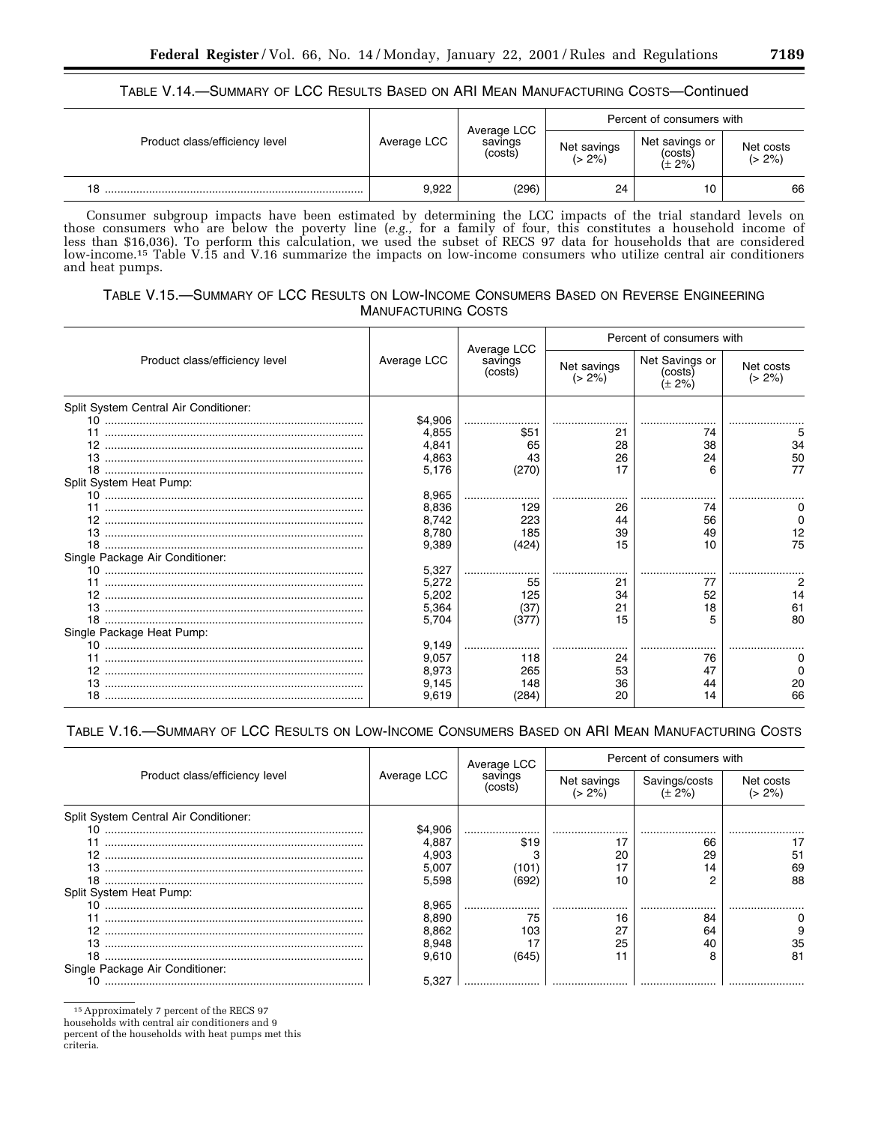# TABLE V.14.—SUMMARY OF LCC RESULTS BASED ON ARI MEAN MANUFACTURING COSTS—Continued

|                                |             | Average LCC        |                          |                                                                                                       |    |  |
|--------------------------------|-------------|--------------------|--------------------------|-------------------------------------------------------------------------------------------------------|----|--|
| Product class/efficiency level | Average LCC | savings<br>(costs) | Net savings<br>$(> 2\%)$ | Percent of consumers with<br>Net savings or<br>Net costs<br>(costs)<br>$(> 2\%)$<br>$(\pm 2\%)$<br>10 |    |  |
| 18                             | 9,922       | (296)              | 24                       |                                                                                                       | 66 |  |

Consumer subgroup impacts have been estimated by determining the LCC impacts of the trial standard levels on those consumers who are below the poverty line (*e.g.,* for a family of four, this constitutes a household income of less than \$16,036). To perform this calculation, we used the subset of RECS 97 data for households that are considered low-income.15 Table V.15 and V.16 summarize the impacts on low-income consumers who utilize central air conditioners and heat pumps.

# TABLE V.15.—SUMMARY OF LCC RESULTS ON LOW-INCOME CONSUMERS BASED ON REVERSE ENGINEERING MANUFACTURING COSTS

|                                       |             |                                   |                          | Percent of consumers with           |                        |
|---------------------------------------|-------------|-----------------------------------|--------------------------|-------------------------------------|------------------------|
| Product class/efficiency level        | Average LCC | Average LCC<br>savings<br>(costs) | Net savings<br>$(> 2\%)$ | Net Savings or<br>(costs)<br>(+ 2%) | Net costs<br>$(> 2\%)$ |
| Split System Central Air Conditioner: |             |                                   |                          |                                     |                        |
|                                       | \$4,906     |                                   |                          |                                     |                        |
| 11                                    | 4,855       | \$51                              | 21                       | 74                                  |                        |
|                                       | 4,841       | 65                                | 28                       | 38                                  |                        |
|                                       | 4,863       | 43                                | 26                       | 24                                  | 50                     |
|                                       | 5,176       | (270)                             | 17                       |                                     |                        |
| Split System Heat Pump:               |             |                                   |                          |                                     |                        |
|                                       | 8,965       |                                   |                          |                                     |                        |
|                                       | 8,836       | 129                               | 26                       | 74                                  |                        |
|                                       | 8,742       | 223                               | 44                       | 56                                  |                        |
|                                       | 8,780       | 185                               | 39                       | 49                                  |                        |
|                                       | 9,389       | (424)                             | 15                       | 10                                  | 75                     |
| Single Package Air Conditioner:       |             |                                   |                          |                                     |                        |
|                                       | 5,327       |                                   |                          |                                     |                        |
|                                       | 5,272       | 55                                | 21                       | 77                                  |                        |
|                                       | 5,202       | 125                               | 34                       | 52                                  |                        |
|                                       | 5,364       | (37)                              |                          | 18                                  |                        |
|                                       | 5,704       | (377                              | 15                       |                                     | 80                     |
| Single Package Heat Pump:             |             |                                   |                          |                                     |                        |
|                                       | 9.149       |                                   |                          |                                     |                        |
| 12                                    | 9,057       | 118                               | 24                       | 76<br>47                            |                        |
|                                       | 8,973       | 265                               | 53                       |                                     |                        |
|                                       | 9.145       | 148                               | 36                       | 44                                  | 20                     |
|                                       | 9,619       | (284)                             | 20                       |                                     | 66                     |

# TABLE V.16.—SUMMARY OF LCC RESULTS ON LOW-INCOME CONSUMERS BASED ON ARI MEAN MANUFACTURING COSTS

|                                       |             | Average LCC        | Percent of consumers with |                             |                    |  |
|---------------------------------------|-------------|--------------------|---------------------------|-----------------------------|--------------------|--|
| Product class/efficiency level        | Average LCC | savings<br>(costs) | Net savings<br>- 2%)      | Savings/costs<br>$(+\,2\%)$ | Net costs<br>- 2%) |  |
| Split System Central Air Conditioner: |             |                    |                           |                             |                    |  |
|                                       | \$4,906     |                    |                           |                             |                    |  |
|                                       | 4.887       | \$19               |                           | 66                          |                    |  |
| 12 <sup>12</sup>                      | 4,903       |                    | 20                        | 29                          | 51                 |  |
|                                       | 5,007       |                    |                           | 4                           |                    |  |
|                                       | 5,598       | '692               | 10                        |                             | 88                 |  |
| Split System Heat Pump:               |             |                    |                           |                             |                    |  |
|                                       | 8,965       |                    |                           |                             |                    |  |
|                                       | 8,890       | 75                 | 16                        | 84                          |                    |  |
|                                       | 8,862       | 103                | 27                        | 64                          |                    |  |
| 13.                                   | 8,948       |                    | 25                        | 40                          |                    |  |
|                                       | 9.610       | (645)              |                           |                             | 81                 |  |
| Single Package Air Conditioner:       |             |                    |                           |                             |                    |  |
|                                       | 5.327       |                    |                           |                             |                    |  |

15Approximately 7 percent of the RECS 97

households with central air conditioners and 9

percent of the households with heat pumps met this criteria.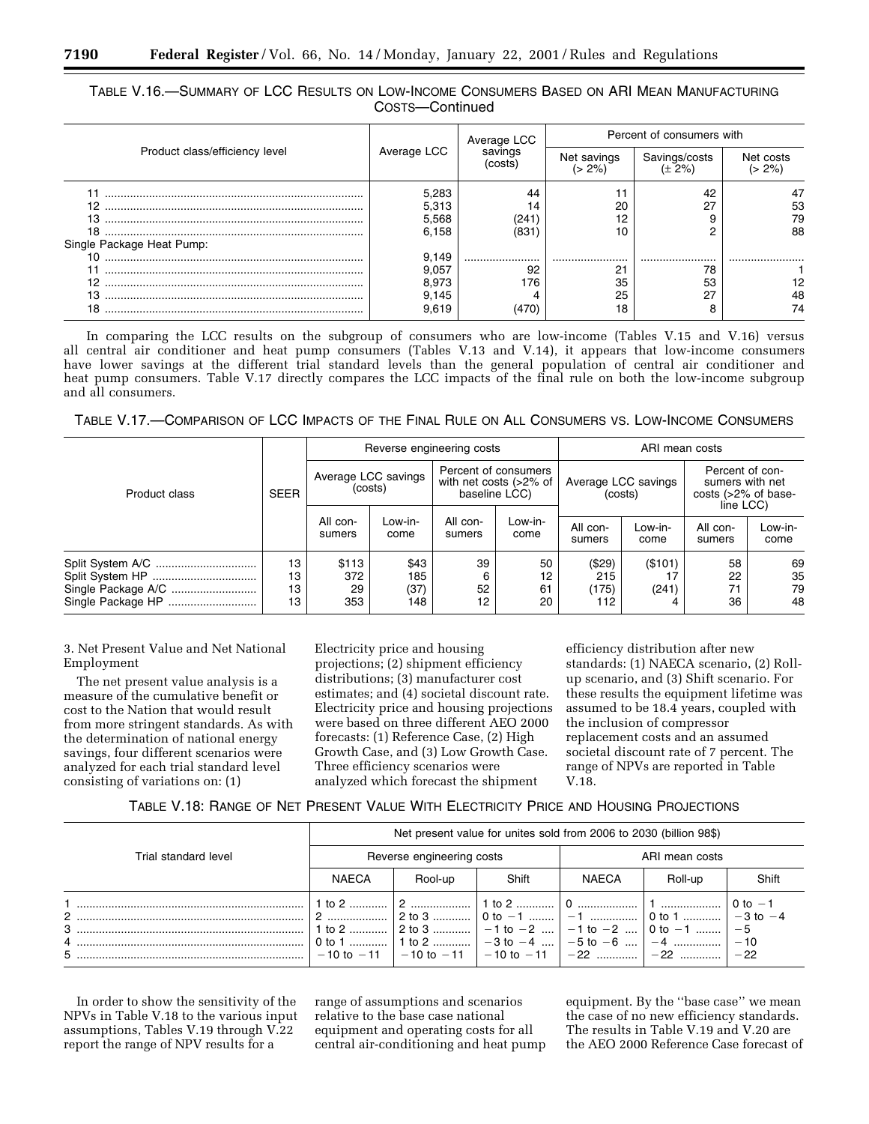|                                |             | Average LCC        |             | Percent of consumers with  |                    |  |
|--------------------------------|-------------|--------------------|-------------|----------------------------|--------------------|--|
| Product class/efficiency level | Average LCC | savings<br>(costs) | Net savings | Savings/costs<br>$(+ 2\%)$ | Net costs<br>$2\%$ |  |
|                                | 5,283       | 44                 |             | 42                         |                    |  |
| ?                              | 5,313       |                    | 20          | דמ                         | 53                 |  |
| 13                             | 5,568       | 241                | 12          |                            | 79                 |  |
| 18                             | 6,158       | '831               |             |                            | 88                 |  |
| Single Package Heat Pump:      |             |                    |             |                            |                    |  |
| 10                             | 9,149       |                    |             |                            |                    |  |
|                                | 9.057       | 92                 | 21          | 78                         |                    |  |
|                                | 8.973       | 176                | 35          | 53                         |                    |  |
| 13                             | 9.145       |                    | 25          | 27                         | 48                 |  |
| 18                             | 9.619       |                    | 18          |                            | 4                  |  |

# TABLE V.16.—SUMMARY OF LCC RESULTS ON LOW-INCOME CONSUMERS BASED ON ARI MEAN MANUFACTURING COSTS—Continued

In comparing the LCC results on the subgroup of consumers who are low-income (Tables V.15 and V.16) versus all central air conditioner and heat pump consumers (Tables V.13 and V.14), it appears that low-income consumers have lower savings at the different trial standard levels than the general population of central air conditioner and heat pump consumers. Table V.17 directly compares the LCC impacts of the final rule on both the low-income subgroup and all consumers.

TABLE V.17.—COMPARISON OF LCC IMPACTS OF THE FINAL RULE ON ALL CONSUMERS VS. LOW-INCOME CONSUMERS

| Product class     |                      |                                |                            | Reverse engineering costs                                       |                      | ARI mean costs                 |                  |                                                                        |                      |
|-------------------|----------------------|--------------------------------|----------------------------|-----------------------------------------------------------------|----------------------|--------------------------------|------------------|------------------------------------------------------------------------|----------------------|
|                   | <b>SEER</b>          | Average LCC savings<br>(costs) |                            | Percent of consumers<br>with net costs (>2% of<br>baseline LCC) |                      | Average LCC savings<br>(costs) |                  | Percent of con-<br>sumers with net<br>costs (>2% of base-<br>line LCC) |                      |
|                   |                      | All con-<br>sumers             | Low-in-<br>come            | All con-<br>sumers                                              | Low-in-<br>come      | All con-<br>sumers             | Low-in-<br>come  | All con-<br>sumers                                                     | Low-in-<br>come      |
| Single Package HP | 13<br>13<br>13<br>13 | \$113<br>372<br>29<br>353      | \$43<br>185<br>(37)<br>148 | 39<br>6<br>52<br>12                                             | 50<br>12<br>61<br>20 | (\$29)<br>215<br>(175)<br>112  | (\$101)<br>(241) | 58<br>22<br>71<br>36                                                   | 69<br>35<br>79<br>48 |

3. Net Present Value and Net National Employment

The net present value analysis is a measure of the cumulative benefit or cost to the Nation that would result from more stringent standards. As with the determination of national energy savings, four different scenarios were analyzed for each trial standard level consisting of variations on: (1)

Electricity price and housing projections; (2) shipment efficiency distributions; (3) manufacturer cost estimates; and (4) societal discount rate. Electricity price and housing projections were based on three different AEO 2000 forecasts: (1) Reference Case, (2) High Growth Case, and (3) Low Growth Case. Three efficiency scenarios were analyzed which forecast the shipment

efficiency distribution after new standards: (1) NAECA scenario, (2) Rollup scenario, and (3) Shift scenario. For these results the equipment lifetime was assumed to be 18.4 years, coupled with the inclusion of compressor replacement costs and an assumed societal discount rate of 7 percent. The range of NPVs are reported in Table V.18.

# TABLE V.18: RANGE OF NET PRESENT VALUE WITH ELECTRICITY PRICE AND HOUSING PROJECTIONS

|                           | Net present value for unites sold from 2006 to 2030 (billion 98\$) |                                                                                                                  |       |                |         |                                                    |  |
|---------------------------|--------------------------------------------------------------------|------------------------------------------------------------------------------------------------------------------|-------|----------------|---------|----------------------------------------------------|--|
| Trial standard level      | Reverse engineering costs                                          |                                                                                                                  |       | ARI mean costs |         |                                                    |  |
|                           | <b>NAECA</b>                                                       | Rool-up                                                                                                          | Shift | NAECA          | Roll-up | Shift                                              |  |
| $\mathcal{P}$<br>$3$<br>5 |                                                                    | 1 to 2    2 to 3    -1 to -2    -1 to -2    0 to -1   <br>0 to 1    1 to 2    $-3$ to $-4$   $-5$ to $-6$   $-4$ |       | l 0 ………………   1 |         | $\cdot$ 0 to $-1$<br>$-3$ to $-4$<br>$-5$<br>$-10$ |  |

In order to show the sensitivity of the NPVs in Table V.18 to the various input assumptions, Tables V.19 through V.22 report the range of NPV results for a

range of assumptions and scenarios relative to the base case national equipment and operating costs for all central air-conditioning and heat pump equipment. By the ''base case'' we mean the case of no new efficiency standards. The results in Table V.19 and V.20 are the AEO 2000 Reference Case forecast of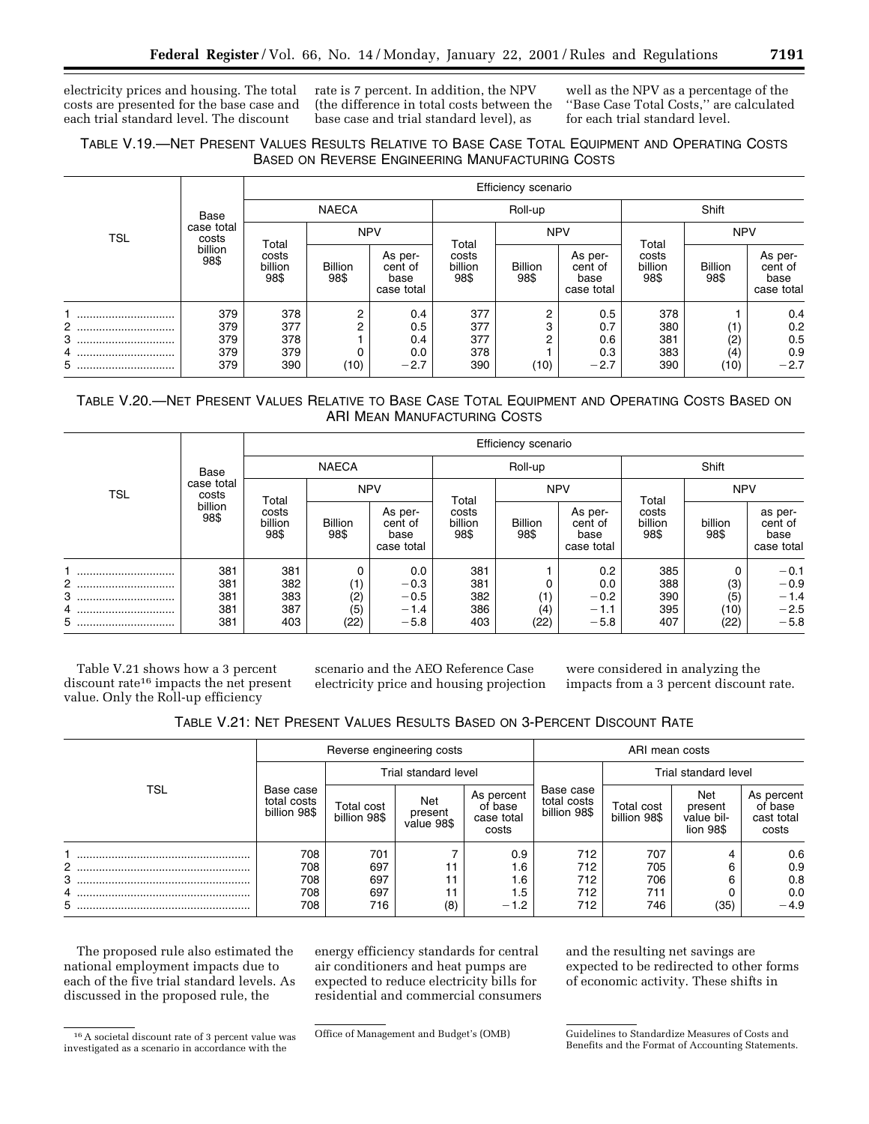electricity prices and housing. The total costs are presented for the base case and each trial standard level. The discount

rate is 7 percent. In addition, the NPV (the difference in total costs between the base case and trial standard level), as

well as the NPV as a percentage of the ''Base Case Total Costs,'' are calculated for each trial standard level.

# TABLE V.19.—NET PRESENT VALUES RESULTS RELATIVE TO BASE CASE TOTAL EQUIPMENT AND OPERATING COSTS BASED ON REVERSE ENGINEERING MANUFACTURING COSTS

|            |                     |                          |                        |                                          |                          | Efficiency scenario    |                                          |                          |                        |                                          |
|------------|---------------------|--------------------------|------------------------|------------------------------------------|--------------------------|------------------------|------------------------------------------|--------------------------|------------------------|------------------------------------------|
| <b>TSL</b> | Base                | <b>NAECA</b>             |                        | Roll-up                                  |                          |                        | Shift                                    |                          |                        |                                          |
|            | case total<br>costs | Total                    | <b>NPV</b>             |                                          | Total                    | <b>NPV</b>             |                                          | Total                    | <b>NPV</b>             |                                          |
|            | billion<br>98\$     | costs<br>billion<br>98\$ | <b>Billion</b><br>98\$ | As per-<br>cent of<br>base<br>case total | costs<br>billion<br>98\$ | <b>Billion</b><br>98\$ | As per-<br>cent of<br>base<br>case total | costs<br>billion<br>98\$ | <b>Billion</b><br>98\$ | As per-<br>cent of<br>base<br>case total |
|            | 379                 | 378                      | 2                      | 0.4                                      | 377                      | 2                      | 0.5                                      | 378                      |                        | 0.4                                      |
| $2$<br>    | 379                 | 377                      | 2                      | 0.5                                      | 377                      | 3                      | 0.7                                      | 380                      | (1)                    | 0.2                                      |
| 3          | 379                 | 378                      |                        | 0.4                                      | 377                      | 2                      | 0.6                                      | 381                      | (2)                    | 0.5                                      |
| 4          | 379                 | 379                      |                        | 0.0                                      | 378                      |                        | 0.3                                      | 383                      | (4)                    | 0.9                                      |
| 5          | 379                 | 390                      | (10)                   | $-2.7$                                   | 390                      | (10)                   | $-2.7$                                   | 390                      | (10)                   | $-2.7$                                   |

# TABLE V.20.—NET PRESENT VALUES RELATIVE TO BASE CASE TOTAL EQUIPMENT AND OPERATING COSTS BASED ON ARI MEAN MANUFACTURING COSTS

|            |                                        | Efficiency scenario      |                        |                                          |                          |                        |                                          |                          |                 |                                          |
|------------|----------------------------------------|--------------------------|------------------------|------------------------------------------|--------------------------|------------------------|------------------------------------------|--------------------------|-----------------|------------------------------------------|
| <b>TSL</b> | Base                                   | <b>NAECA</b>             |                        | Roll-up                                  |                          |                        | Shift                                    |                          |                 |                                          |
|            | case total<br>costs<br>billion<br>98\$ | Total                    | <b>NPV</b>             |                                          | Total                    | <b>NPV</b>             |                                          | Total                    | <b>NPV</b>      |                                          |
|            |                                        | costs<br>billion<br>98\$ | <b>Billion</b><br>98\$ | As per-<br>cent of<br>base<br>case total | costs<br>billion<br>98\$ | <b>Billion</b><br>98\$ | As per-<br>cent of<br>base<br>case total | costs<br>billion<br>98\$ | billion<br>98\$ | as per-<br>cent of<br>base<br>case total |
|            | 381                                    | 381                      |                        | 0.0                                      | 381                      |                        | 0.2                                      | 385                      | 0               | $-0.1$                                   |
| 2          | 381                                    | 382                      | (1)                    | $-0.3$                                   | 381                      |                        | 0.0                                      | 388                      | (3)             | $-0.9$                                   |
| 3          | 381                                    | 383                      | (2)                    | $-0.5$                                   | 382                      | (1)                    | $-0.2$                                   | 390                      | (5)             | $-1.4$<br>$-2.5$                         |
| 4          | 381                                    | 387                      | (5)                    | $-1.4$                                   | 386                      | (4)                    | $-1.1$                                   | 395                      | (10)            |                                          |
| 5          | 381                                    | 403                      | (22)                   | $-5.8$                                   | 403                      | (22)                   | $-5.8$                                   | 407                      | (22)            | $-5.8$                                   |

Table V.21 shows how a 3 percent discount rate<sup>16</sup> impacts the net present value. Only the Roll-up efficiency

scenario and the AEO Reference Case electricity price and housing projection

were considered in analyzing the impacts from a 3 percent discount rate.

|                |                                                                                                                                                                                                                                                                                                                                                                                       |                            |                                           |                                              | ARI mean costs |                      |      |        |  |
|----------------|---------------------------------------------------------------------------------------------------------------------------------------------------------------------------------------------------------------------------------------------------------------------------------------------------------------------------------------------------------------------------------------|----------------------------|-------------------------------------------|----------------------------------------------|----------------|----------------------|------|--------|--|
|                |                                                                                                                                                                                                                                                                                                                                                                                       |                            |                                           |                                              |                | Trial standard level |      |        |  |
| TSL            | Reverse engineering costs<br>Trial standard level<br>Base case<br>Base case<br>As percent<br>Net<br>total costs<br>total costs<br>Total cost<br>of base<br>billion 98\$<br>billion 98\$<br>present<br>billion 98\$<br>case total<br>value 98\$<br>costs<br>708<br>712<br>701<br>0.9<br>697<br>708<br>712<br>∶ 6. <sub>ا</sub><br>697<br>712<br>708<br>1.6<br>697<br>708<br>712<br>1.5 | Total cost<br>billion 98\$ | Net<br>present<br>value bil-<br>lion 98\$ | As percent<br>of base<br>cast total<br>costs |                |                      |      |        |  |
|                |                                                                                                                                                                                                                                                                                                                                                                                       |                            |                                           |                                              |                | 707                  |      | 0.6    |  |
| $\overline{2}$ |                                                                                                                                                                                                                                                                                                                                                                                       |                            |                                           |                                              |                | 705                  |      | 0.9    |  |
| 3              |                                                                                                                                                                                                                                                                                                                                                                                       |                            |                                           |                                              |                | 706                  |      | 0.8    |  |
| 4              |                                                                                                                                                                                                                                                                                                                                                                                       |                            |                                           |                                              |                | 711                  |      | 0.0    |  |
| 5              | 708                                                                                                                                                                                                                                                                                                                                                                                   | 716                        | (8)                                       | $-1.2$                                       | 712            | 746                  | (35) | $-4.9$ |  |

The proposed rule also estimated the national employment impacts due to each of the five trial standard levels. As discussed in the proposed rule, the

energy efficiency standards for central air conditioners and heat pumps are expected to reduce electricity bills for residential and commercial consumers and the resulting net savings are expected to be redirected to other forms of economic activity. These shifts in

<sup>16</sup>A societal discount rate of 3 percent value was investigated as a scenario in accordance with the

Office of Management and Budget's (OMB) Guidelines to Standardize Measures of Costs and Benefits and the Format of Accounting Statements.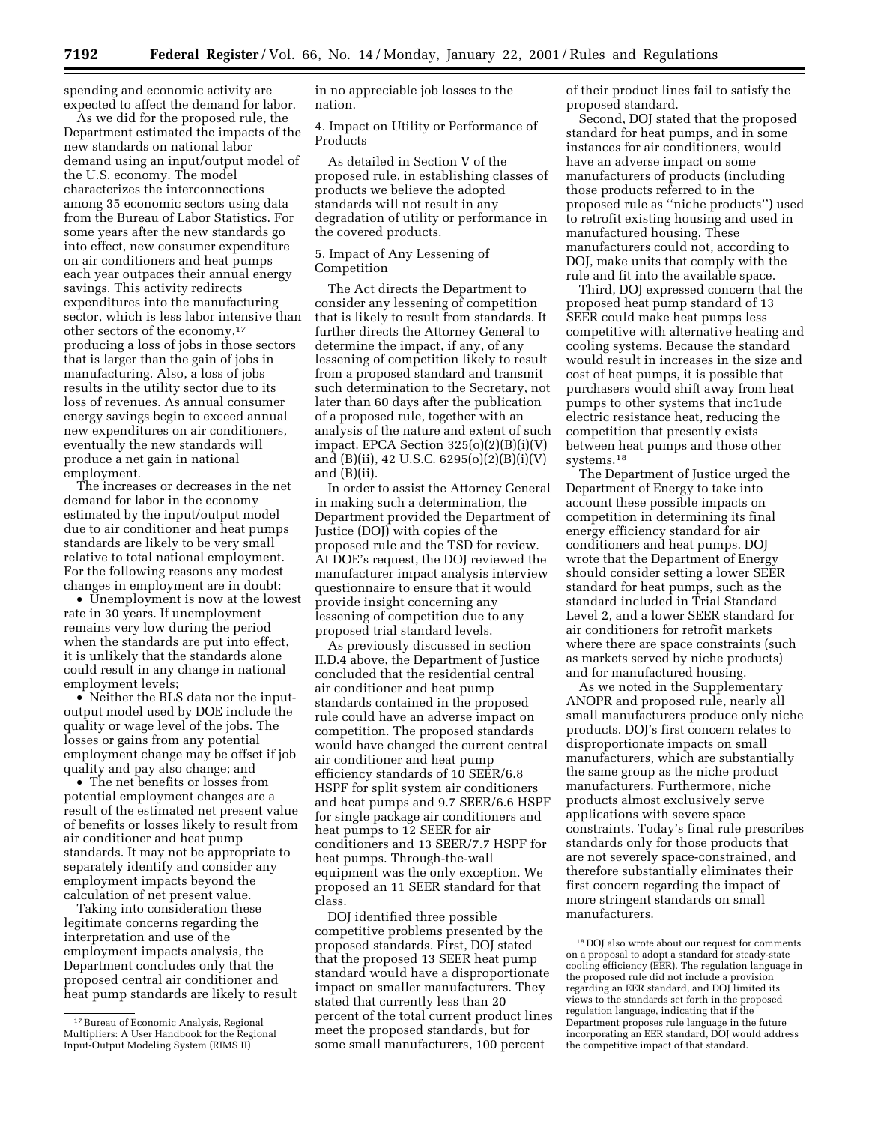spending and economic activity are expected to affect the demand for labor.

As we did for the proposed rule, the Department estimated the impacts of the new standards on national labor demand using an input/output model of the U.S. economy. The model characterizes the interconnections among 35 economic sectors using data from the Bureau of Labor Statistics. For some years after the new standards go into effect, new consumer expenditure on air conditioners and heat pumps each year outpaces their annual energy savings. This activity redirects expenditures into the manufacturing sector, which is less labor intensive than other sectors of the economy,17 producing a loss of jobs in those sectors that is larger than the gain of jobs in manufacturing. Also, a loss of jobs results in the utility sector due to its loss of revenues. As annual consumer energy savings begin to exceed annual new expenditures on air conditioners, eventually the new standards will produce a net gain in national employment.

The increases or decreases in the net demand for labor in the economy estimated by the input/output model due to air conditioner and heat pumps standards are likely to be very small relative to total national employment. For the following reasons any modest changes in employment are in doubt:

• Unemployment is now at the lowest rate in 30 years. If unemployment remains very low during the period when the standards are put into effect, it is unlikely that the standards alone could result in any change in national employment levels;

• Neither the BLS data nor the inputoutput model used by DOE include the quality or wage level of the jobs. The losses or gains from any potential employment change may be offset if job quality and pay also change; and

• The net benefits or losses from potential employment changes are a result of the estimated net present value of benefits or losses likely to result from air conditioner and heat pump standards. It may not be appropriate to separately identify and consider any employment impacts beyond the calculation of net present value.

Taking into consideration these legitimate concerns regarding the interpretation and use of the employment impacts analysis, the Department concludes only that the proposed central air conditioner and heat pump standards are likely to result in no appreciable job losses to the nation.

4. Impact on Utility or Performance of Products

As detailed in Section V of the proposed rule, in establishing classes of products we believe the adopted standards will not result in any degradation of utility or performance in the covered products.

## 5. Impact of Any Lessening of Competition

The Act directs the Department to consider any lessening of competition that is likely to result from standards. It further directs the Attorney General to determine the impact, if any, of any lessening of competition likely to result from a proposed standard and transmit such determination to the Secretary, not later than 60 days after the publication of a proposed rule, together with an analysis of the nature and extent of such impact. EPCA Section  $325(o)(2)(B)(i)(V)$ and (B)(ii), 42 U.S.C. 6295(o)(2)(B)(i)(V) and (B)(ii).

In order to assist the Attorney General in making such a determination, the Department provided the Department of Justice (DOJ) with copies of the proposed rule and the TSD for review. At DOE's request, the DOJ reviewed the manufacturer impact analysis interview questionnaire to ensure that it would provide insight concerning any lessening of competition due to any proposed trial standard levels.

As previously discussed in section II.D.4 above, the Department of Justice concluded that the residential central air conditioner and heat pump standards contained in the proposed rule could have an adverse impact on competition. The proposed standards would have changed the current central air conditioner and heat pump efficiency standards of 10 SEER/6.8 HSPF for split system air conditioners and heat pumps and 9.7 SEER/6.6 HSPF for single package air conditioners and heat pumps to 12 SEER for air conditioners and 13 SEER/7.7 HSPF for heat pumps. Through-the-wall equipment was the only exception. We proposed an 11 SEER standard for that class.

DOJ identified three possible competitive problems presented by the proposed standards. First, DOJ stated that the proposed 13 SEER heat pump standard would have a disproportionate impact on smaller manufacturers. They stated that currently less than 20 percent of the total current product lines meet the proposed standards, but for some small manufacturers, 100 percent

of their product lines fail to satisfy the proposed standard.

Second, DOJ stated that the proposed standard for heat pumps, and in some instances for air conditioners, would have an adverse impact on some manufacturers of products (including those products referred to in the proposed rule as ''niche products'') used to retrofit existing housing and used in manufactured housing. These manufacturers could not, according to DOJ, make units that comply with the rule and fit into the available space.

Third, DOJ expressed concern that the proposed heat pump standard of 13 SEER could make heat pumps less competitive with alternative heating and cooling systems. Because the standard would result in increases in the size and cost of heat pumps, it is possible that purchasers would shift away from heat pumps to other systems that inc1ude electric resistance heat, reducing the competition that presently exists between heat pumps and those other systems.18

The Department of Justice urged the Department of Energy to take into account these possible impacts on competition in determining its final energy efficiency standard for air conditioners and heat pumps. DOJ wrote that the Department of Energy should consider setting a lower SEER standard for heat pumps, such as the standard included in Trial Standard Level 2, and a lower SEER standard for air conditioners for retrofit markets where there are space constraints (such as markets served by niche products) and for manufactured housing.

As we noted in the Supplementary ANOPR and proposed rule, nearly all small manufacturers produce only niche products. DOJ's first concern relates to disproportionate impacts on small manufacturers, which are substantially the same group as the niche product manufacturers. Furthermore, niche products almost exclusively serve applications with severe space constraints. Today's final rule prescribes standards only for those products that are not severely space-constrained, and therefore substantially eliminates their first concern regarding the impact of more stringent standards on small manufacturers.

<sup>17</sup>Bureau of Economic Analysis, Regional Multipliers: A User Handbook for the Regional Input-Output Modeling System (RIMS II)

<sup>18</sup> DOJ also wrote about our request for comments on a proposal to adopt a standard for steady-state cooling efficiency (EER). The regulation language in the proposed rule did not include a provision regarding an EER standard, and DOJ limited its views to the standards set forth in the proposed regulation language, indicating that if the Department proposes rule language in the future incorporating an EER standard, DOJ would address the competitive impact of that standard.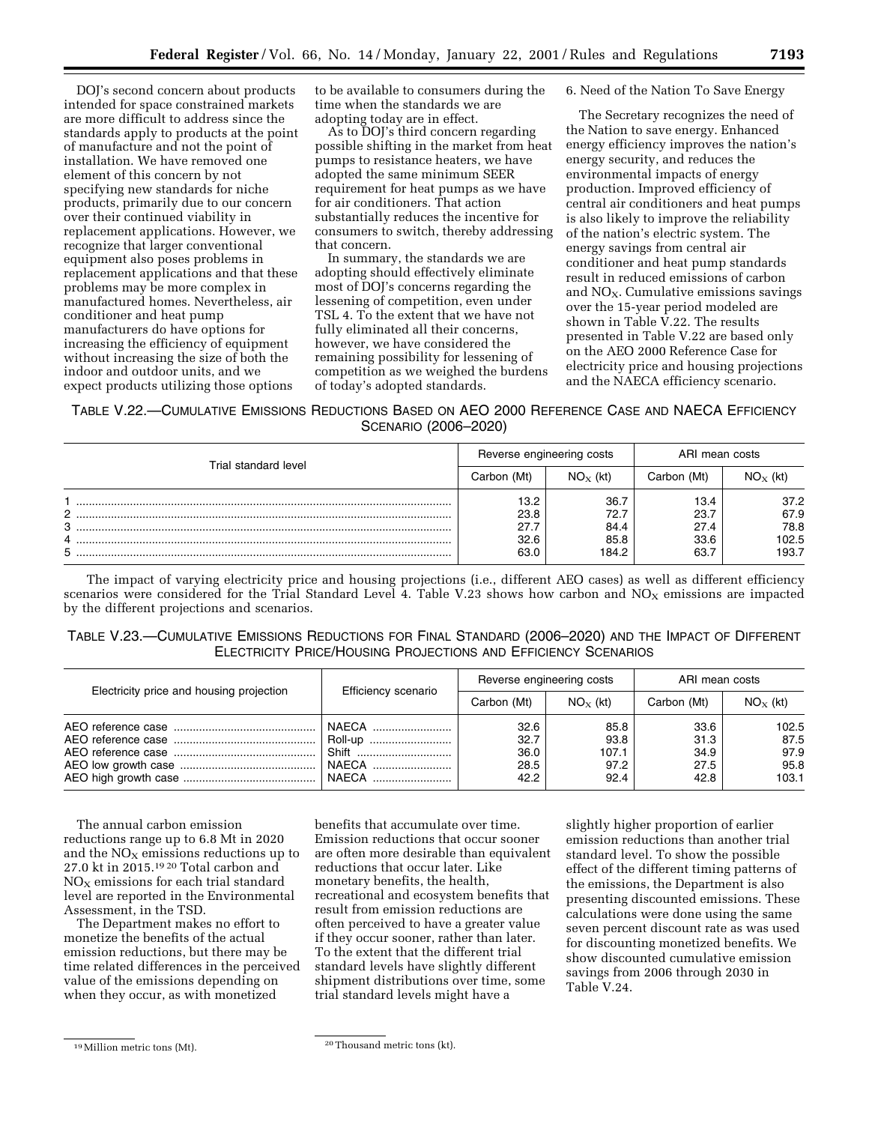DOJ's second concern about products intended for space constrained markets are more difficult to address since the standards apply to products at the point of manufacture and not the point of installation. We have removed one element of this concern by not specifying new standards for niche products, primarily due to our concern over their continued viability in replacement applications. However, we recognize that larger conventional equipment also poses problems in replacement applications and that these problems may be more complex in manufactured homes. Nevertheless, air conditioner and heat pump manufacturers do have options for increasing the efficiency of equipment without increasing the size of both the indoor and outdoor units, and we expect products utilizing those options

to be available to consumers during the time when the standards we are adopting today are in effect.

As to DOJ's third concern regarding possible shifting in the market from heat pumps to resistance heaters, we have adopted the same minimum SEER requirement for heat pumps as we have for air conditioners. That action substantially reduces the incentive for consumers to switch, thereby addressing that concern.

In summary, the standards we are adopting should effectively eliminate most of DOJ's concerns regarding the lessening of competition, even under TSL 4. To the extent that we have not fully eliminated all their concerns, however, we have considered the remaining possibility for lessening of competition as we weighed the burdens of today's adopted standards.

6. Need of the Nation To Save Energy

The Secretary recognizes the need of the Nation to save energy. Enhanced energy efficiency improves the nation's energy security, and reduces the environmental impacts of energy production. Improved efficiency of central air conditioners and heat pumps is also likely to improve the reliability of the nation's electric system. The energy savings from central air conditioner and heat pump standards result in reduced emissions of carbon and  $NO<sub>x</sub>$ . Cumulative emissions savings over the 15-year period modeled are shown in Table V.22. The results presented in Table V.22 are based only on the AEO 2000 Reference Case for electricity price and housing projections and the NAECA efficiency scenario.

TABLE V.22.—CUMULATIVE EMISSIONS REDUCTIONS BASED ON AEO 2000 REFERENCE CASE AND NAECA EFFICIENCY SCENARIO (2006–2020)

| Trial standard level | Reverse engineering costs            |                                       | ARI mean costs                       |                                        |
|----------------------|--------------------------------------|---------------------------------------|--------------------------------------|----------------------------------------|
|                      | Carbon (Mt)                          | $NO_{X}$ (kt)                         | Carbon (Mt)                          | $NOx$ (kt)                             |
| C<br>3               | 13.2<br>23.8<br>27.7<br>32.6<br>63.0 | 36.7<br>72.7<br>84.4<br>85.8<br>184.2 | 13.4<br>23.7<br>27.4<br>33.6<br>63.7 | 37.2<br>67.9<br>78.8<br>102.5<br>193.7 |

The impact of varying electricity price and housing projections (i.e., different AEO cases) as well as different efficiency scenarios were considered for the Trial Standard Level 4. Table V.23 shows how carbon and  $NO<sub>X</sub>$  emissions are impacted by the different projections and scenarios.

| TABLE V.23.-CUMULATIVE EMISSIONS REDUCTIONS FOR FINAL STANDARD (2006-2020) AND THE IMPACT OF DIFFERENT |
|--------------------------------------------------------------------------------------------------------|
| <b>ELECTRICITY PRICE/HOUSING PROJECTIONS AND EFFICIENCY SCENARIOS</b>                                  |

|                                          |                                             | Reverse engineering costs            |                                       | ARI mean costs                       |                                        |
|------------------------------------------|---------------------------------------------|--------------------------------------|---------------------------------------|--------------------------------------|----------------------------------------|
| Electricity price and housing projection | Efficiency scenario                         | Carbon (Mt)                          | $NO_{X}$ (kt)                         | Carbon (Mt)                          | $NOx$ (kt)                             |
|                                          | NAECA<br>Roll-up<br>Shift<br>NAECA<br>NAECA | 32.6<br>32.7<br>36.0<br>28.5<br>42.2 | 85.8<br>93.8<br>107.1<br>97.2<br>92.4 | 33.6<br>31.3<br>34.9<br>27.5<br>42.8 | 102.5<br>87.5<br>97.9<br>95.8<br>103.1 |

The annual carbon emission reductions range up to 6.8 Mt in 2020 and the  $NO<sub>x</sub>$  emissions reductions up to 27.0 kt in 2015.19 20 Total carbon and  $NO<sub>x</sub>$  emissions for each trial standard level are reported in the Environmental Assessment, in the TSD.

The Department makes no effort to monetize the benefits of the actual emission reductions, but there may be time related differences in the perceived value of the emissions depending on when they occur, as with monetized

benefits that accumulate over time. Emission reductions that occur sooner are often more desirable than equivalent reductions that occur later. Like monetary benefits, the health, recreational and ecosystem benefits that result from emission reductions are often perceived to have a greater value if they occur sooner, rather than later. To the extent that the different trial standard levels have slightly different shipment distributions over time, some trial standard levels might have a

slightly higher proportion of earlier emission reductions than another trial standard level. To show the possible effect of the different timing patterns of the emissions, the Department is also presenting discounted emissions. These calculations were done using the same seven percent discount rate as was used for discounting monetized benefits. We show discounted cumulative emission savings from 2006 through 2030 in Table V.24.

 $\frac{19 \text{Million metric}}{20 \text{ The total number of}}$  and  $\frac{20 \text{ The total number of}}{20 \text{ The total number of}}$ .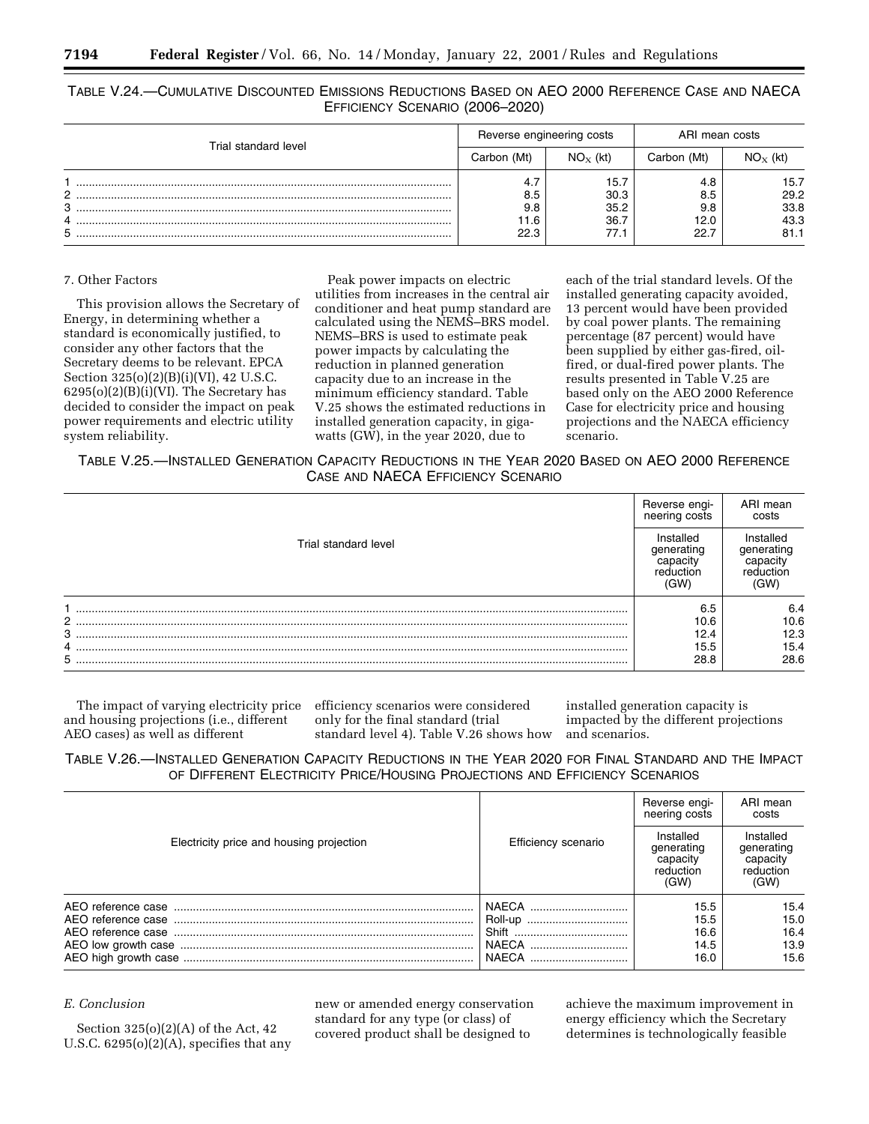|                      | Reverse engineering costs  |                                      | ARI mean costs                    |                                      |
|----------------------|----------------------------|--------------------------------------|-----------------------------------|--------------------------------------|
| Trial standard level | Carbon (Mt)                | $NO_{X}$ (kt)                        | Carbon (Mt)                       | $NOx$ (kt)                           |
| C.<br>з<br>4<br>5    | 8.5<br>9.8<br>11.6<br>22.3 | 15.7<br>30.3<br>35.2<br>36.7<br>77.1 | 4.8<br>8.5<br>9.8<br>12.0<br>22.7 | 15.7<br>29.2<br>33.8<br>43.3<br>81.1 |

TABLE V.24.—CUMULATIVE DISCOUNTED EMISSIONS REDUCTIONS BASED ON AEO 2000 REFERENCE CASE AND NAECA EFFICIENCY SCENARIO (2006–2020)

## 7. Other Factors

This provision allows the Secretary of Energy, in determining whether a standard is economically justified, to consider any other factors that the Secretary deems to be relevant. EPCA Section 325(o)(2)(B)(i)(VI), 42 U.S.C.  $6295(o)(2)(B)(i)(VI)$ . The Secretary has decided to consider the impact on peak power requirements and electric utility system reliability.

Peak power impacts on electric utilities from increases in the central air conditioner and heat pump standard are calculated using the NEMS–BRS model. NEMS–BRS is used to estimate peak power impacts by calculating the reduction in planned generation capacity due to an increase in the minimum efficiency standard. Table V.25 shows the estimated reductions in installed generation capacity, in gigawatts (GW), in the year 2020, due to

each of the trial standard levels. Of the installed generating capacity avoided, 13 percent would have been provided by coal power plants. The remaining percentage (87 percent) would have been supplied by either gas-fired, oilfired, or dual-fired power plants. The results presented in Table V.25 are based only on the AEO 2000 Reference Case for electricity price and housing projections and the NAECA efficiency scenario.

TABLE V.25.—INSTALLED GENERATION CAPACITY REDUCTIONS IN THE YEAR 2020 BASED ON AEO 2000 REFERENCE CASE AND NAECA EFFICIENCY SCENARIO

|                               | Reverse engi-<br>neering costs                           | ARI mean<br>costs                                        |
|-------------------------------|----------------------------------------------------------|----------------------------------------------------------|
| Trial standard level          | Installed<br>generating<br>capacity<br>reduction<br>(GW) | Installed<br>generating<br>capacity<br>reduction<br>(GW) |
| $\overline{2}$<br>3<br>4<br>5 | 6.5<br>10.6<br>12.4<br>15.5<br>28.8                      | 6.4<br>10.6<br>12.3<br>15.4<br>28.6                      |

The impact of varying electricity price efficiency scenarios were considered and housing projections (i.e., different AEO cases) as well as different

only for the final standard (trial standard level 4). Table V.26 shows how

installed generation capacity is impacted by the different projections and scenarios.

TABLE V.26.—INSTALLED GENERATION CAPACITY REDUCTIONS IN THE YEAR 2020 FOR FINAL STANDARD AND THE IMPACT OF DIFFERENT ELECTRICITY PRICE/HOUSING PROJECTIONS AND EFFICIENCY SCENARIOS

|                                          |                                    | Reverse engi-<br>neering costs                           | ARI mean<br>costs                                        |
|------------------------------------------|------------------------------------|----------------------------------------------------------|----------------------------------------------------------|
| Electricity price and housing projection | Efficiency scenario                | Installed<br>generating<br>capacity<br>reduction<br>(GW) | Installed<br>generating<br>capacity<br>reduction<br>(GW) |
|                                          | NAECA<br>Roll-up<br>NAECA<br>NAECA | 15.5<br>15.5<br>16.6<br>14.5<br>16.0                     | 15.4<br>15.0<br>16.4<br>13.9<br>15.6                     |

# *E. Conclusion*

Section 325(o)(2)(A) of the Act, 42 U.S.C. 6295(o)(2)(A), specifies that any new or amended energy conservation standard for any type (or class) of covered product shall be designed to

achieve the maximum improvement in energy efficiency which the Secretary determines is technologically feasible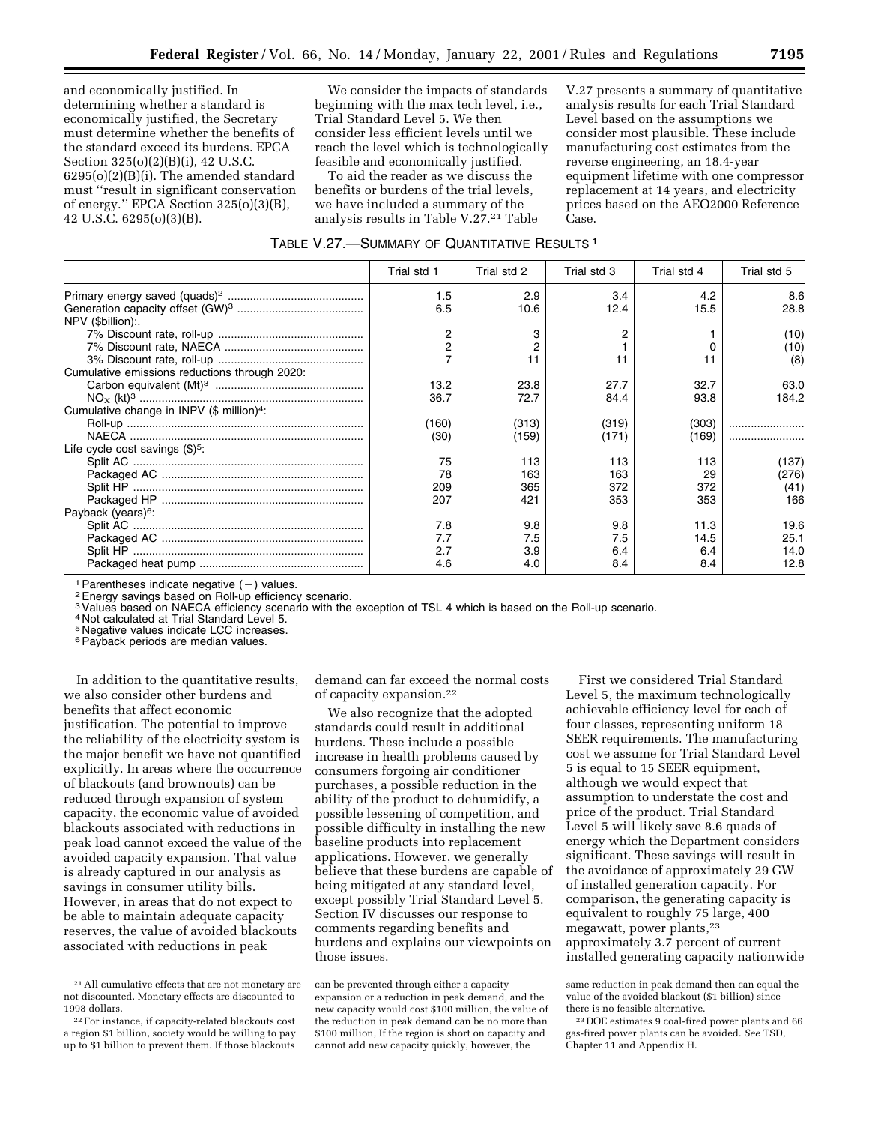and economically justified. In determining whether a standard is economically justified, the Secretary must determine whether the benefits of the standard exceed its burdens. EPCA Section 325(o)(2)(B)(i), 42 U.S.C. 6295(o)(2)(B)(i). The amended standard must ''result in significant conservation of energy.'' EPCA Section 325(o)(3)(B), 42 U.S.C. 6295(o)(3)(B).

We consider the impacts of standards beginning with the max tech level, i.e., Trial Standard Level 5. We then consider less efficient levels until we reach the level which is technologically feasible and economically justified.

To aid the reader as we discuss the benefits or burdens of the trial levels, we have included a summary of the analysis results in Table V.27.<sup>21</sup> Table

V.27 presents a summary of quantitative analysis results for each Trial Standard Level based on the assumptions we consider most plausible. These include manufacturing cost estimates from the reverse engineering, an 18.4-year equipment lifetime with one compressor replacement at 14 years, and electricity prices based on the AEO2000 Reference Case.

|  |  |  | TABLE V.27.-SUMMARY OF QUANTITATIVE RESULTS <sup>1</sup> |  |
|--|--|--|----------------------------------------------------------|--|
|--|--|--|----------------------------------------------------------|--|

|                                                       | Trial std 1 | Trial std 2 | Trial std 3 | Trial std 4 | Trial std 5 |
|-------------------------------------------------------|-------------|-------------|-------------|-------------|-------------|
|                                                       | 1.5         | 2.9         | 3.4         | 4.2         | 8.6         |
| NPV (\$billion):                                      | 6.5         | 10.6        | 12.4        | 15.5        | 28.8        |
|                                                       | 2           |             |             |             | (10)        |
|                                                       |             |             |             |             | (10)        |
|                                                       |             | 11          | 11          | 11          | (8)         |
| Cumulative emissions reductions through 2020:         |             |             |             |             |             |
|                                                       | 13.2        | 23.8        | 27.7        | 32.7        | 63.0        |
|                                                       | 36.7        | 72.7        | 84.4        | 93.8        | 184.2       |
| Cumulative change in INPV (\$ million) <sup>4</sup> : |             |             |             |             |             |
|                                                       | (160)       | (313)       | (319)       | (303)       |             |
|                                                       | (30)        | (159)       | (171)       | (169)       |             |
| Life cycle cost savings $(\$)^5$ .                    |             |             |             |             |             |
|                                                       | 75          | 113         | 113         | 113         | (137)       |
|                                                       | 78          | 163         | 163         | 29          | (276)       |
|                                                       | 209         | 365         | 372         | 372         | (41)        |
|                                                       | 207         | 421         | 353         | 353         | 166         |
| Payback (years) <sup>6</sup> :                        |             |             |             |             |             |
|                                                       | 7.8         | 9.8         | 9.8         | 11.3        | 19.6        |
|                                                       | 7.7         | 7.5         | 7.5         | 14.5        | 25.1        |
|                                                       | 2.7         | 3.9         | 6.4         | 6.4         | 14.0        |
|                                                       | 4.6         | 4.0         | 8.4         | 8.4         | 12.8        |

<sup>1</sup> Parentheses indicate negative  $(-)$  values.<br><sup>2</sup> Energy savings based on Roll-up efficiency scenario.

3Values based on NAECA efficiency scenario with the exception of TSL 4 which is based on the Roll-up scenario.

<sup>4</sup> Not calculated at Trial Standard Level 5.

5 Negative values indicate LCC increases.

<sup>6</sup> Payback periods are median values.

In addition to the quantitative results, we also consider other burdens and benefits that affect economic justification. The potential to improve the reliability of the electricity system is the major benefit we have not quantified explicitly. In areas where the occurrence of blackouts (and brownouts) can be reduced through expansion of system capacity, the economic value of avoided blackouts associated with reductions in peak load cannot exceed the value of the avoided capacity expansion. That value is already captured in our analysis as savings in consumer utility bills. However, in areas that do not expect to be able to maintain adequate capacity reserves, the value of avoided blackouts associated with reductions in peak

demand can far exceed the normal costs of capacity expansion.22

We also recognize that the adopted standards could result in additional burdens. These include a possible increase in health problems caused by consumers forgoing air conditioner purchases, a possible reduction in the ability of the product to dehumidify, a possible lessening of competition, and possible difficulty in installing the new baseline products into replacement applications. However, we generally believe that these burdens are capable of being mitigated at any standard level, except possibly Trial Standard Level 5. Section IV discusses our response to comments regarding benefits and burdens and explains our viewpoints on those issues.

First we considered Trial Standard Level 5, the maximum technologically achievable efficiency level for each of four classes, representing uniform 18 SEER requirements. The manufacturing cost we assume for Trial Standard Level 5 is equal to 15 SEER equipment, although we would expect that assumption to understate the cost and price of the product. Trial Standard Level 5 will likely save 8.6 quads of energy which the Department considers significant. These savings will result in the avoidance of approximately 29 GW of installed generation capacity. For comparison, the generating capacity is equivalent to roughly 75 large, 400 megawatt, power plants,23 approximately 3.7 percent of current installed generating capacity nationwide

<sup>21</sup>All cumulative effects that are not monetary are not discounted. Monetary effects are discounted to 1998 dollars.

<sup>22</sup>For instance, if capacity-related blackouts cost a region \$1 billion, society would be willing to pay up to \$1 billion to prevent them. If those blackouts

can be prevented through either a capacity expansion or a reduction in peak demand, and the new capacity would cost \$100 million, the value of the reduction in peak demand can be no more than \$100 million, If the region is short on capacity and cannot add new capacity quickly, however, the

same reduction in peak demand then can equal the value of the avoided blackout (\$1 billion) since there is no feasible alternative.

<sup>23</sup> DOE estimates 9 coal-fired power plants and 66 gas-fired power plants can be avoided. *See* TSD, Chapter 11 and Appendix H.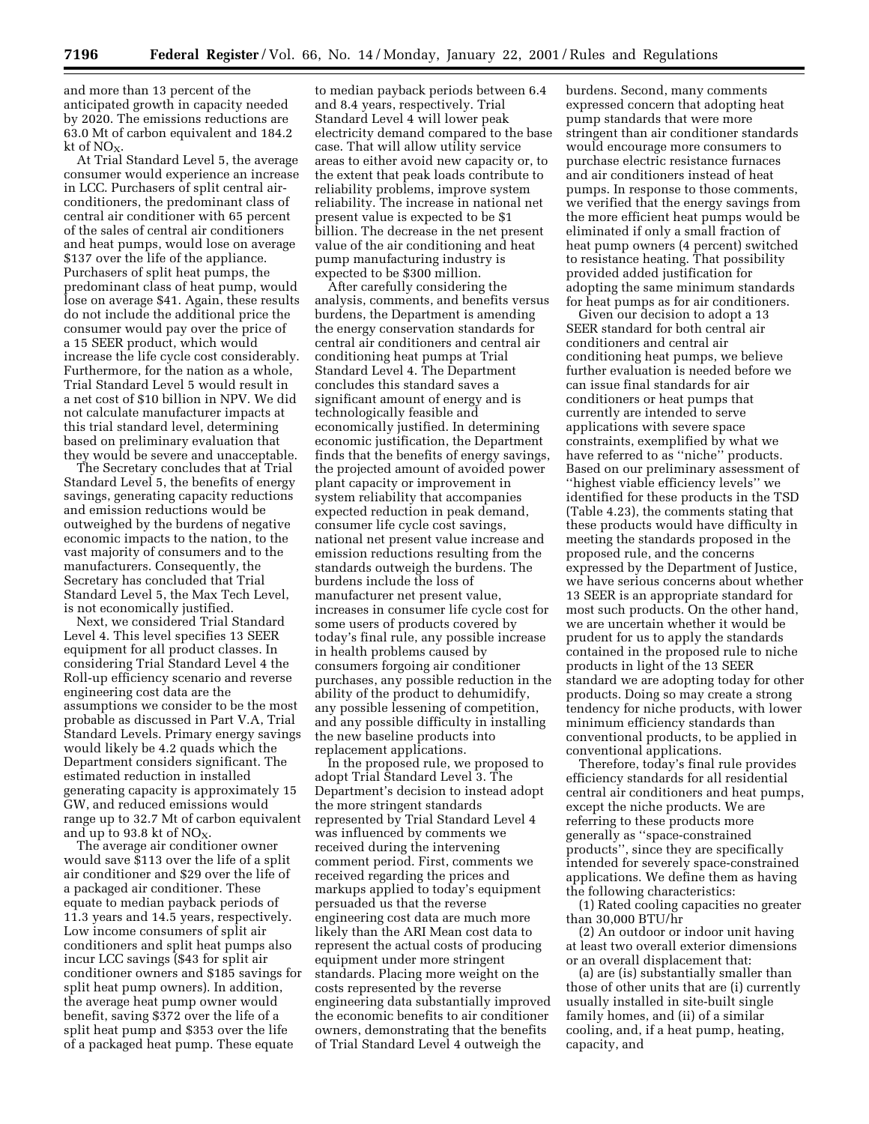and more than 13 percent of the anticipated growth in capacity needed by 2020. The emissions reductions are 63.0 Mt of carbon equivalent and 184.2 kt of  $NO<sub>x</sub>$ 

At Trial Standard Level 5, the average consumer would experience an increase in LCC. Purchasers of split central airconditioners, the predominant class of central air conditioner with 65 percent of the sales of central air conditioners and heat pumps, would lose on average \$137 over the life of the appliance. Purchasers of split heat pumps, the predominant class of heat pump, would lose on average \$41. Again, these results do not include the additional price the consumer would pay over the price of a 15 SEER product, which would increase the life cycle cost considerably. Furthermore, for the nation as a whole, Trial Standard Level 5 would result in a net cost of \$10 billion in NPV. We did not calculate manufacturer impacts at this trial standard level, determining based on preliminary evaluation that they would be severe and unacceptable.

The Secretary concludes that at Trial Standard Level 5, the benefits of energy savings, generating capacity reductions and emission reductions would be outweighed by the burdens of negative economic impacts to the nation, to the vast majority of consumers and to the manufacturers. Consequently, the Secretary has concluded that Trial Standard Level 5, the Max Tech Level, is not economically justified.

Next, we considered Trial Standard Level 4. This level specifies 13 SEER equipment for all product classes. In considering Trial Standard Level 4 the Roll-up efficiency scenario and reverse engineering cost data are the assumptions we consider to be the most probable as discussed in Part V.A, Trial Standard Levels. Primary energy savings would likely be 4.2 quads which the Department considers significant. The estimated reduction in installed generating capacity is approximately 15 GW, and reduced emissions would range up to 32.7 Mt of carbon equivalent and up to 93.8 kt of  $NO<sub>X</sub>$ .

The average air conditioner owner would save \$113 over the life of a split air conditioner and \$29 over the life of a packaged air conditioner. These equate to median payback periods of 11.3 years and 14.5 years, respectively. Low income consumers of split air conditioners and split heat pumps also incur LCC savings (\$43 for split air conditioner owners and \$185 savings for split heat pump owners). In addition, the average heat pump owner would benefit, saving \$372 over the life of a split heat pump and \$353 over the life of a packaged heat pump. These equate

to median payback periods between 6.4 and 8.4 years, respectively. Trial Standard Level 4 will lower peak electricity demand compared to the base case. That will allow utility service areas to either avoid new capacity or, to the extent that peak loads contribute to reliability problems, improve system reliability. The increase in national net present value is expected to be \$1 billion. The decrease in the net present value of the air conditioning and heat pump manufacturing industry is expected to be \$300 million.

After carefully considering the analysis, comments, and benefits versus burdens, the Department is amending the energy conservation standards for central air conditioners and central air conditioning heat pumps at Trial Standard Level 4. The Department concludes this standard saves a significant amount of energy and is technologically feasible and economically justified. In determining economic justification, the Department finds that the benefits of energy savings, the projected amount of avoided power plant capacity or improvement in system reliability that accompanies expected reduction in peak demand, consumer life cycle cost savings, national net present value increase and emission reductions resulting from the standards outweigh the burdens. The burdens include the loss of manufacturer net present value, increases in consumer life cycle cost for some users of products covered by today's final rule, any possible increase in health problems caused by consumers forgoing air conditioner purchases, any possible reduction in the ability of the product to dehumidify, any possible lessening of competition, and any possible difficulty in installing the new baseline products into replacement applications.

In the proposed rule, we proposed to adopt Trial Standard Level 3. The Department's decision to instead adopt the more stringent standards represented by Trial Standard Level 4 was influenced by comments we received during the intervening comment period. First, comments we received regarding the prices and markups applied to today's equipment persuaded us that the reverse engineering cost data are much more likely than the ARI Mean cost data to represent the actual costs of producing equipment under more stringent standards. Placing more weight on the costs represented by the reverse engineering data substantially improved the economic benefits to air conditioner owners, demonstrating that the benefits of Trial Standard Level 4 outweigh the

burdens. Second, many comments expressed concern that adopting heat pump standards that were more stringent than air conditioner standards would encourage more consumers to purchase electric resistance furnaces and air conditioners instead of heat pumps. In response to those comments, we verified that the energy savings from the more efficient heat pumps would be eliminated if only a small fraction of heat pump owners (4 percent) switched to resistance heating. That possibility provided added justification for adopting the same minimum standards for heat pumps as for air conditioners.

Given our decision to adopt a 13 SEER standard for both central air conditioners and central air conditioning heat pumps, we believe further evaluation is needed before we can issue final standards for air conditioners or heat pumps that currently are intended to serve applications with severe space constraints, exemplified by what we have referred to as ''niche'' products. Based on our preliminary assessment of ''highest viable efficiency levels'' we identified for these products in the TSD (Table 4.23), the comments stating that these products would have difficulty in meeting the standards proposed in the proposed rule, and the concerns expressed by the Department of Justice, we have serious concerns about whether 13 SEER is an appropriate standard for most such products. On the other hand, we are uncertain whether it would be prudent for us to apply the standards contained in the proposed rule to niche products in light of the 13 SEER standard we are adopting today for other products. Doing so may create a strong tendency for niche products, with lower minimum efficiency standards than conventional products, to be applied in conventional applications.

Therefore, today's final rule provides efficiency standards for all residential central air conditioners and heat pumps, except the niche products. We are referring to these products more generally as ''space-constrained products'', since they are specifically intended for severely space-constrained applications. We define them as having the following characteristics:

(1) Rated cooling capacities no greater than 30,000 BTU/hr

(2) An outdoor or indoor unit having at least two overall exterior dimensions or an overall displacement that:

(a) are (is) substantially smaller than those of other units that are (i) currently usually installed in site-built single family homes, and (ii) of a similar cooling, and, if a heat pump, heating, capacity, and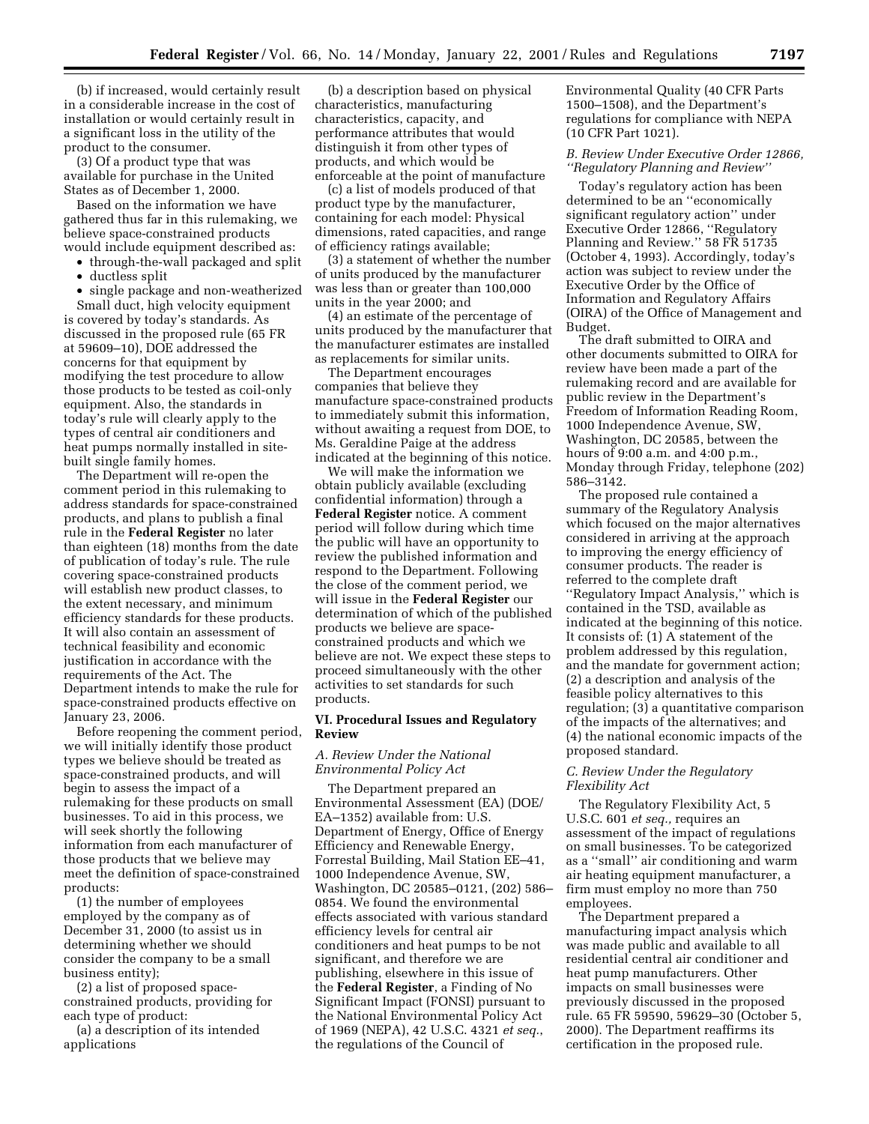(b) if increased, would certainly result in a considerable increase in the cost of installation or would certainly result in a significant loss in the utility of the product to the consumer.

(3) Of a product type that was available for purchase in the United States as of December 1, 2000.

Based on the information we have gathered thus far in this rulemaking, we believe space-constrained products would include equipment described as:

- through-the-wall packaged and split
- ductless split
- single package and non-weatherized

Small duct, high velocity equipment is covered by today's standards. As discussed in the proposed rule (65 FR at 59609–10), DOE addressed the concerns for that equipment by modifying the test procedure to allow those products to be tested as coil-only equipment. Also, the standards in today's rule will clearly apply to the types of central air conditioners and heat pumps normally installed in sitebuilt single family homes.

The Department will re-open the comment period in this rulemaking to address standards for space-constrained products, and plans to publish a final rule in the **Federal Register** no later than eighteen (18) months from the date of publication of today's rule. The rule covering space-constrained products will establish new product classes, to the extent necessary, and minimum efficiency standards for these products. It will also contain an assessment of technical feasibility and economic justification in accordance with the requirements of the Act. The Department intends to make the rule for space-constrained products effective on January 23, 2006.

Before reopening the comment period, we will initially identify those product types we believe should be treated as space-constrained products, and will begin to assess the impact of a rulemaking for these products on small businesses. To aid in this process, we will seek shortly the following information from each manufacturer of those products that we believe may meet the definition of space-constrained products:

(1) the number of employees employed by the company as of December 31, 2000 (to assist us in determining whether we should consider the company to be a small business entity);

(2) a list of proposed spaceconstrained products, providing for each type of product:

(a) a description of its intended applications

(b) a description based on physical characteristics, manufacturing characteristics, capacity, and performance attributes that would distinguish it from other types of products, and which would be enforceable at the point of manufacture

(c) a list of models produced of that product type by the manufacturer, containing for each model: Physical dimensions, rated capacities, and range of efficiency ratings available;

(3) a statement of whether the number of units produced by the manufacturer was less than or greater than 100,000 units in the year 2000; and

(4) an estimate of the percentage of units produced by the manufacturer that the manufacturer estimates are installed as replacements for similar units.

The Department encourages companies that believe they manufacture space-constrained products to immediately submit this information, without awaiting a request from DOE, to Ms. Geraldine Paige at the address indicated at the beginning of this notice.

We will make the information we obtain publicly available (excluding confidential information) through a **Federal Register** notice. A comment period will follow during which time the public will have an opportunity to review the published information and respond to the Department. Following the close of the comment period, we will issue in the **Federal Register** our determination of which of the published products we believe are spaceconstrained products and which we believe are not. We expect these steps to proceed simultaneously with the other activities to set standards for such products.

## **VI. Procedural Issues and Regulatory Review**

# *A. Review Under the National Environmental Policy Act*

The Department prepared an Environmental Assessment (EA) (DOE/ EA–1352) available from: U.S. Department of Energy, Office of Energy Efficiency and Renewable Energy, Forrestal Building, Mail Station EE–41, 1000 Independence Avenue, SW, Washington, DC 20585–0121, (202) 586– 0854. We found the environmental effects associated with various standard efficiency levels for central air conditioners and heat pumps to be not significant, and therefore we are publishing, elsewhere in this issue of the **Federal Register**, a Finding of No Significant Impact (FONSI) pursuant to the National Environmental Policy Act of 1969 (NEPA), 42 U.S.C. 4321 *et seq.*, the regulations of the Council of

Environmental Quality (40 CFR Parts 1500–1508), and the Department's regulations for compliance with NEPA (10 CFR Part 1021).

# *B. Review Under Executive Order 12866, ''Regulatory Planning and Review''*

Today's regulatory action has been determined to be an ''economically significant regulatory action'' under Executive Order 12866, ''Regulatory Planning and Review.'' 58 FR 51735 (October 4, 1993). Accordingly, today's action was subject to review under the Executive Order by the Office of Information and Regulatory Affairs (OIRA) of the Office of Management and Budget.

The draft submitted to OIRA and other documents submitted to OIRA for review have been made a part of the rulemaking record and are available for public review in the Department's Freedom of Information Reading Room, 1000 Independence Avenue, SW, Washington, DC 20585, between the hours of 9:00 a.m. and 4:00 p.m., Monday through Friday, telephone (202) 586–3142.

The proposed rule contained a summary of the Regulatory Analysis which focused on the major alternatives considered in arriving at the approach to improving the energy efficiency of consumer products. The reader is referred to the complete draft ''Regulatory Impact Analysis,'' which is contained in the TSD, available as indicated at the beginning of this notice. It consists of: (1) A statement of the problem addressed by this regulation, and the mandate for government action; (2) a description and analysis of the feasible policy alternatives to this regulation; (3) a quantitative comparison of the impacts of the alternatives; and (4) the national economic impacts of the proposed standard.

# *C. Review Under the Regulatory Flexibility Act*

The Regulatory Flexibility Act, 5 U.S.C. 601 *et seq.,* requires an assessment of the impact of regulations on small businesses. To be categorized as a ''small'' air conditioning and warm air heating equipment manufacturer, a firm must employ no more than 750 employees.

The Department prepared a manufacturing impact analysis which was made public and available to all residential central air conditioner and heat pump manufacturers. Other impacts on small businesses were previously discussed in the proposed rule. 65 FR 59590, 59629–30 (October 5, 2000). The Department reaffirms its certification in the proposed rule.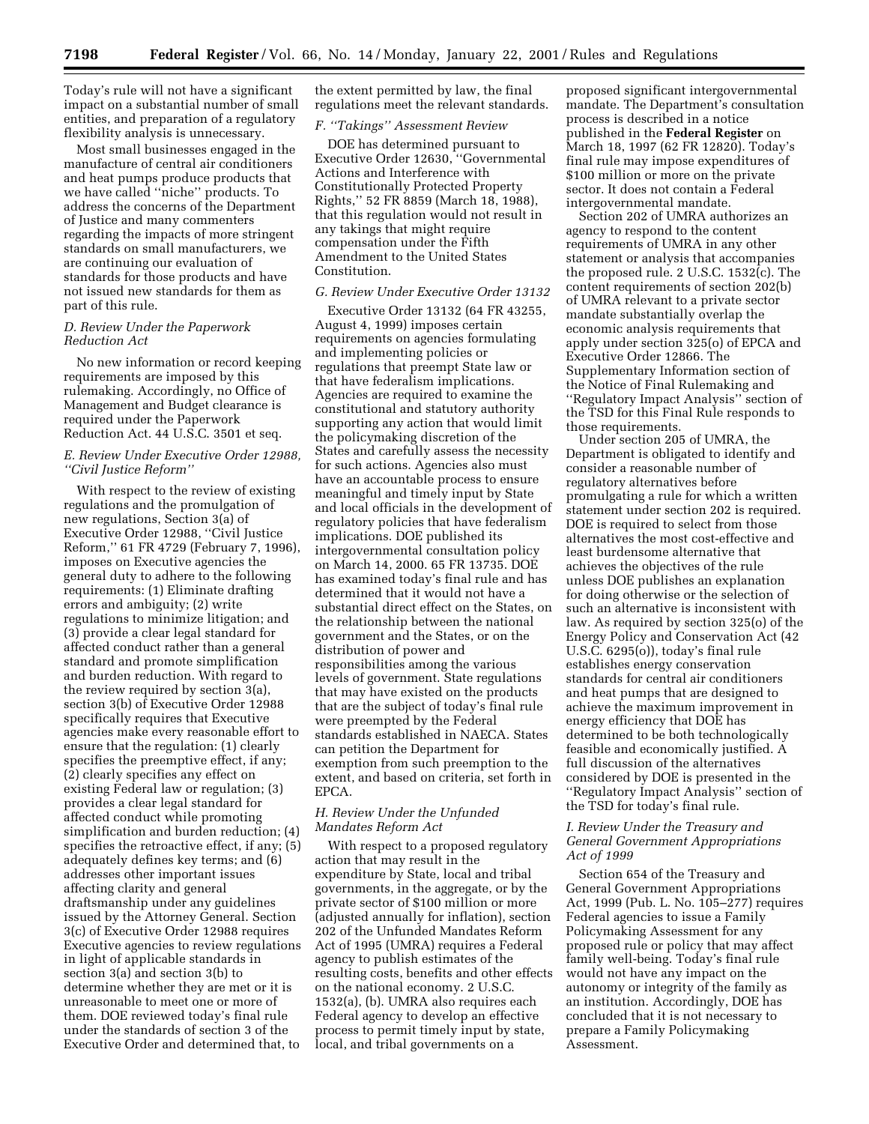Today's rule will not have a significant impact on a substantial number of small entities, and preparation of a regulatory flexibility analysis is unnecessary.

Most small businesses engaged in the manufacture of central air conditioners and heat pumps produce products that we have called ''niche'' products. To address the concerns of the Department of Justice and many commenters regarding the impacts of more stringent standards on small manufacturers, we are continuing our evaluation of standards for those products and have not issued new standards for them as part of this rule.

# *D. Review Under the Paperwork Reduction Act*

No new information or record keeping requirements are imposed by this rulemaking. Accordingly, no Office of Management and Budget clearance is required under the Paperwork Reduction Act. 44 U.S.C. 3501 et seq.

# *E. Review Under Executive Order 12988, ''Civil Justice Reform''*

With respect to the review of existing regulations and the promulgation of new regulations, Section 3(a) of Executive Order 12988, ''Civil Justice Reform,'' 61 FR 4729 (February 7, 1996), imposes on Executive agencies the general duty to adhere to the following requirements: (1) Eliminate drafting errors and ambiguity; (2) write regulations to minimize litigation; and (3) provide a clear legal standard for affected conduct rather than a general standard and promote simplification and burden reduction. With regard to the review required by section 3(a), section 3(b) of Executive Order 12988 specifically requires that Executive agencies make every reasonable effort to ensure that the regulation: (1) clearly specifies the preemptive effect, if any; (2) clearly specifies any effect on existing Federal law or regulation; (3) provides a clear legal standard for affected conduct while promoting simplification and burden reduction; (4) specifies the retroactive effect, if any; (5) adequately defines key terms; and (6) addresses other important issues affecting clarity and general draftsmanship under any guidelines issued by the Attorney General. Section 3(c) of Executive Order 12988 requires Executive agencies to review regulations in light of applicable standards in section 3(a) and section 3(b) to determine whether they are met or it is unreasonable to meet one or more of them. DOE reviewed today's final rule under the standards of section 3 of the Executive Order and determined that, to

the extent permitted by law, the final regulations meet the relevant standards.

## *F. ''Takings'' Assessment Review*

DOE has determined pursuant to Executive Order 12630, ''Governmental Actions and Interference with Constitutionally Protected Property Rights,'' 52 FR 8859 (March 18, 1988), that this regulation would not result in any takings that might require compensation under the Fifth Amendment to the United States Constitution.

# *G. Review Under Executive Order 13132*

Executive Order 13132 (64 FR 43255, August 4, 1999) imposes certain requirements on agencies formulating and implementing policies or regulations that preempt State law or that have federalism implications. Agencies are required to examine the constitutional and statutory authority supporting any action that would limit the policymaking discretion of the States and carefully assess the necessity for such actions. Agencies also must have an accountable process to ensure meaningful and timely input by State and local officials in the development of regulatory policies that have federalism implications. DOE published its intergovernmental consultation policy on March 14, 2000. 65 FR 13735. DOE has examined today's final rule and has determined that it would not have a substantial direct effect on the States, on the relationship between the national government and the States, or on the distribution of power and responsibilities among the various levels of government. State regulations that may have existed on the products that are the subject of today's final rule were preempted by the Federal standards established in NAECA. States can petition the Department for exemption from such preemption to the extent, and based on criteria, set forth in EPCA.

## *H. Review Under the Unfunded Mandates Reform Act*

With respect to a proposed regulatory action that may result in the expenditure by State, local and tribal governments, in the aggregate, or by the private sector of \$100 million or more (adjusted annually for inflation), section 202 of the Unfunded Mandates Reform Act of 1995 (UMRA) requires a Federal agency to publish estimates of the resulting costs, benefits and other effects on the national economy. 2 U.S.C. 1532(a), (b). UMRA also requires each Federal agency to develop an effective process to permit timely input by state, local, and tribal governments on a

proposed significant intergovernmental mandate. The Department's consultation process is described in a notice published in the **Federal Register** on March 18, 1997 (62 FR 12820). Today's final rule may impose expenditures of \$100 million or more on the private sector. It does not contain a Federal intergovernmental mandate.

Section 202 of UMRA authorizes an agency to respond to the content requirements of UMRA in any other statement or analysis that accompanies the proposed rule. 2 U.S.C. 1532(c). The content requirements of section 202(b) of UMRA relevant to a private sector mandate substantially overlap the economic analysis requirements that apply under section 325(o) of EPCA and Executive Order 12866. The Supplementary Information section of the Notice of Final Rulemaking and ''Regulatory Impact Analysis'' section of the TSD for this Final Rule responds to those requirements.

Under section 205 of UMRA, the Department is obligated to identify and consider a reasonable number of regulatory alternatives before promulgating a rule for which a written statement under section 202 is required. DOE is required to select from those alternatives the most cost-effective and least burdensome alternative that achieves the objectives of the rule unless DOE publishes an explanation for doing otherwise or the selection of such an alternative is inconsistent with law. As required by section 325(o) of the Energy Policy and Conservation Act (42 U.S.C. 6295(o)), today's final rule establishes energy conservation standards for central air conditioners and heat pumps that are designed to achieve the maximum improvement in energy efficiency that DOE has determined to be both technologically feasible and economically justified. A full discussion of the alternatives considered by DOE is presented in the ''Regulatory Impact Analysis'' section of the TSD for today's final rule.

# *I. Review Under the Treasury and General Government Appropriations Act of 1999*

Section 654 of the Treasury and General Government Appropriations Act, 1999 (Pub. L. No. 105–277) requires Federal agencies to issue a Family Policymaking Assessment for any proposed rule or policy that may affect family well-being. Today's final rule would not have any impact on the autonomy or integrity of the family as an institution. Accordingly, DOE has concluded that it is not necessary to prepare a Family Policymaking Assessment.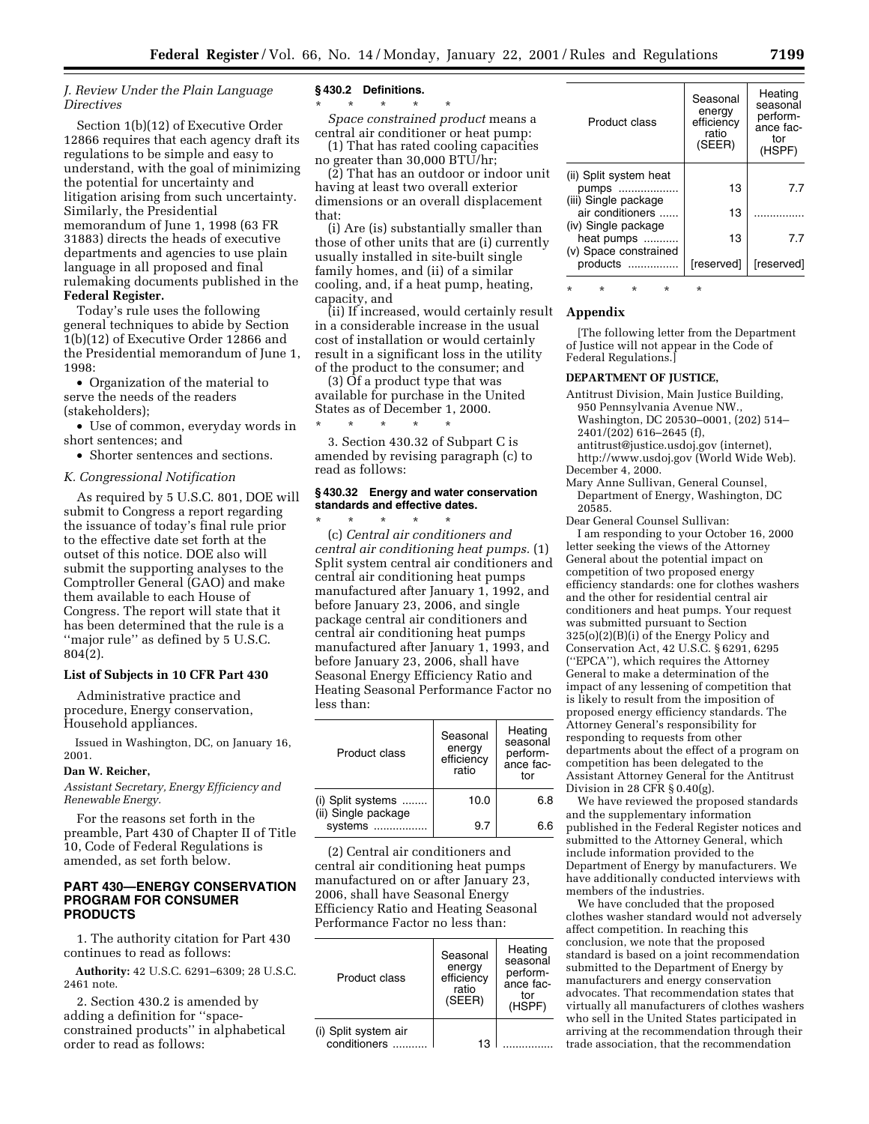# *J. Review Under the Plain Language Directives*

Section 1(b)(12) of Executive Order 12866 requires that each agency draft its regulations to be simple and easy to understand, with the goal of minimizing the potential for uncertainty and litigation arising from such uncertainty. Similarly, the Presidential memorandum of June 1, 1998 (63 FR 31883) directs the heads of executive departments and agencies to use plain language in all proposed and final rulemaking documents published in the **Federal Register.**

Today's rule uses the following general techniques to abide by Section 1(b)(12) of Executive Order 12866 and the Presidential memorandum of June 1, 1998:

• Organization of the material to serve the needs of the readers (stakeholders);

• Use of common, everyday words in short sentences; and

• Shorter sentences and sections.

#### *K. Congressional Notification*

As required by 5 U.S.C. 801, DOE will submit to Congress a report regarding the issuance of today's final rule prior to the effective date set forth at the outset of this notice. DOE also will submit the supporting analyses to the Comptroller General (GAO) and make them available to each House of Congress. The report will state that it has been determined that the rule is a ''major rule'' as defined by 5 U.S.C. 804(2).

#### **List of Subjects in 10 CFR Part 430**

Administrative practice and procedure, Energy conservation, Household appliances.

Issued in Washington, DC, on January 16, 2001.

# **Dan W. Reicher,**

*Assistant Secretary, Energy Efficiency and Renewable Energy.*

For the reasons set forth in the preamble, Part 430 of Chapter II of Title 10, Code of Federal Regulations is amended, as set forth below.

# **PART 430—ENERGY CONSERVATION PROGRAM FOR CONSUMER PRODUCTS**

1. The authority citation for Part 430 continues to read as follows:

**Authority:** 42 U.S.C. 6291–6309; 28 U.S.C. 2461 note.

2. Section 430.2 is amended by adding a definition for ''spaceconstrained products'' in alphabetical order to read as follows:

#### **§ 430.2 Definitions.**

\* \* \* \* \*

*Space constrained product* means a central air conditioner or heat pump: (1) That has rated cooling capacities

no greater than 30,000 BTU/hr; (2) That has an outdoor or indoor unit

having at least two overall exterior dimensions or an overall displacement that:

(i) Are (is) substantially smaller than those of other units that are (i) currently usually installed in site-built single family homes, and (ii) of a similar cooling, and, if a heat pump, heating, capacity, and

(ii) If increased, would certainly result **Appendix** in a considerable increase in the usual cost of installation or would certainly result in a significant loss in the utility of the product to the consumer; and

(3) Of a product type that was available for purchase in the United States as of December 1, 2000. \* \* \* \* \*

3. Section 430.32 of Subpart C is amended by revising paragraph (c) to read as follows:

# **§ 430.32 Energy and water conservation standards and effective dates.**

\* \* \* \* \* (c) *Central air conditioners and central air conditioning heat pumps.* (1) Split system central air conditioners and central air conditioning heat pumps manufactured after January 1, 1992, and before January 23, 2006, and single package central air conditioners and central air conditioning heat pumps manufactured after January 1, 1993, and before January 23, 2006, shall have Seasonal Energy Efficiency Ratio and Heating Seasonal Performance Factor no less than:

| Product class                                       | Seasonal<br>energy<br>efficiency<br>ratio | Heating<br>seasonal<br>perform-<br>ance fac-<br>tor |
|-----------------------------------------------------|-------------------------------------------|-----------------------------------------------------|
| (i) Split systems<br>(ii) Single package<br>systems | 10.0                                      | 6.8                                                 |
|                                                     | 9.7                                       | 6 6                                                 |

(2) Central air conditioners and central air conditioning heat pumps manufactured on or after January 23, 2006, shall have Seasonal Energy Efficiency Ratio and Heating Seasonal Performance Factor no less than:

| Product class                        | Seasonal<br>energy<br>efficiency<br>ratio<br>(SEER) | Heating<br>seasonal<br>perform-<br>ance fac-<br>tor<br>(HSPF) |
|--------------------------------------|-----------------------------------------------------|---------------------------------------------------------------|
| (i) Split system air<br>conditioners | 1 ?                                                 |                                                               |

| Product class                            | Seasonal<br>energy<br>efficiency<br>ratio<br>(SEER) | Heating<br>seasonal<br>perform-<br>ance fac-<br>tor<br>(HSPF) |
|------------------------------------------|-----------------------------------------------------|---------------------------------------------------------------|
| (ii) Split system heat<br>pumps          | 13                                                  | 7.7                                                           |
| (iii) Single package<br>air conditioners | 13                                                  |                                                               |
| (iv) Single package<br>heat pumps        | 13                                                  | 77                                                            |
| (v) Space constrained<br>products        | [reserved]                                          | [reserved]                                                    |

\* \* \* \* \*

[The following letter from the Department of Justice will not appear in the Code of Federal Regulations.]

# **DEPARTMENT OF JUSTICE,**

- Antitrust Division, Main Justice Building, 950 Pennsylvania Avenue NW., Washington, DC 20530–0001, (202) 514– 2401/(202) 616–2645 (f),
- antitrust@justice.usdoj.gov (internet), http://www.usdoj.gov (World Wide Web). December 4, 2000.

Mary Anne Sullivan, General Counsel,

Department of Energy, Washington, DC 20585.

Dear General Counsel Sullivan: I am responding to your October 16, 2000 letter seeking the views of the Attorney General about the potential impact on competition of two proposed energy efficiency standards: one for clothes washers and the other for residential central air conditioners and heat pumps. Your request was submitted pursuant to Section 325(o)(2)(B)(i) of the Energy Policy and Conservation Act, 42 U.S.C. § 6291, 6295 (''EPCA''), which requires the Attorney General to make a determination of the impact of any lessening of competition that is likely to result from the imposition of proposed energy efficiency standards. The Attorney General's responsibility for responding to requests from other departments about the effect of a program on competition has been delegated to the Assistant Attorney General for the Antitrust Division in 28 CFR § 0.40(g).

We have reviewed the proposed standards and the supplementary information published in the Federal Register notices and submitted to the Attorney General, which include information provided to the Department of Energy by manufacturers. We have additionally conducted interviews with members of the industries.

We have concluded that the proposed clothes washer standard would not adversely affect competition. In reaching this conclusion, we note that the proposed standard is based on a joint recommendation submitted to the Department of Energy by manufacturers and energy conservation advocates. That recommendation states that virtually all manufacturers of clothes washers who sell in the United States participated in arriving at the recommendation through their trade association, that the recommendation